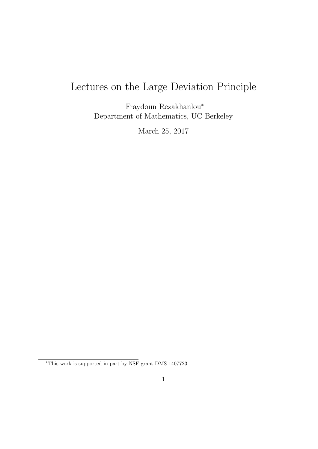# Lectures on the Large Deviation Principle

Fraydoun Rezakhanlou<sup>∗</sup> Department of Mathematics, UC Berkeley

March 25, 2017

 $^{\ast} \mathrm{This}$  work is supported in part by NSF grant DMS-1407723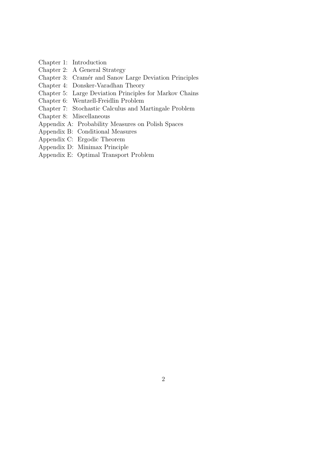Chapter 1: Introduction

- Chapter 2: A General Strategy
- Chapter 3: Cramér and Sanov Large Deviation Principles
- Chapter 4: Donsker-Varadhan Theory
- Chapter 5: Large Deviation Principles for Markov Chains
- Chapter 6: Wentzell-Freidlin Problem
- Chapter 7: Stochastic Calculus and Martingale Problem
- Chapter 8: Miscellaneous
- Appendix A: Probability Measures on Polish Spaces
- Appendix B: Conditional Measures
- Appendix C: Ergodic Theorem
- Appendix D: Minimax Principle
- Appendix E: Optimal Transport Problem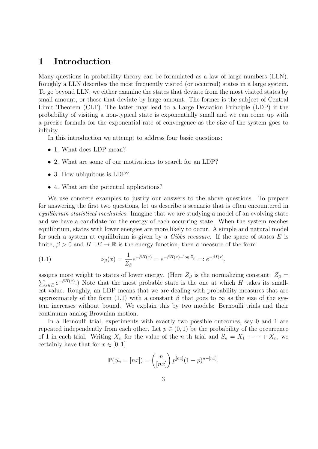# 1 Introduction

Many questions in probability theory can be formulated as a law of large numbers (LLN). Roughly a LLN describes the most frequently visited (or occurred) states in a large system. To go beyond LLN, we either examine the states that deviate from the most visited states by small amount, or those that deviate by large amount. The former is the subject of Central Limit Theorem (CLT). The latter may lead to a Large Deviation Principle (LDP) if the probability of visiting a non-typical state is exponentially small and we can come up with a precise formula for the exponential rate of convergence as the size of the system goes to infinity.

In this introduction we attempt to address four basic questions:

- 1. What does LDP mean?
- 2. What are some of our motivations to search for an LDP?
- 3. How ubiquitous is LDP?
- 4. What are the potential applications?

We use concrete examples to justify our answers to the above questions. To prepare for answering the first two questions, let us describe a scenario that is often encountered in equilibrium statistical mechanics: Imagine that we are studying a model of an evolving state and we have a candidate for the energy of each occurring state. When the system reaches equilibrium, states with lower energies are more likely to occur. A simple and natural model for such a system at equilibrium is given by a Gibbs measure. If the space of states  $E$  is finite,  $\beta > 0$  and  $H : E \to \mathbb{R}$  is the energy function, then a measure of the form

(1.1) 
$$
\nu_{\beta}(x) = \frac{1}{Z_{\beta}} e^{-\beta H(x)} = e^{-\beta H(x) - \log Z_{\beta}} =: e^{-\beta I(x)},
$$

assigns more weight to states of lower energy. (Here  $Z_{\beta}$  is the normalizing constant:  $Z_{\beta}$  =  $\sum_{x\in E}e^{-\beta H(x)}$ .) Note that the most probable state is the one at which H takes its smallest value. Roughly, an LDP means that we are dealing with probability measures that are approximately of the form (1.1) with a constant  $\beta$  that goes to  $\infty$  as the size of the system increases without bound. We explain this by two models: Bernoulli trials and their continuum analog Brownian motion.

In a Bernoulli trial, experiments with exactly two possible outcomes, say 0 and 1 are repeated independently from each other. Let  $p \in (0, 1)$  be the probability of the occurrence of 1 in each trial. Writing  $X_n$  for the value of the *n*-th trial and  $S_n = X_1 + \cdots + X_n$ , we certainly have that for  $x \in [0, 1]$ 

$$
\mathbb{P}(S_n = [nx]) = {n \choose [nx]} p^{[nx]} (1-p)^{n-[nx]},
$$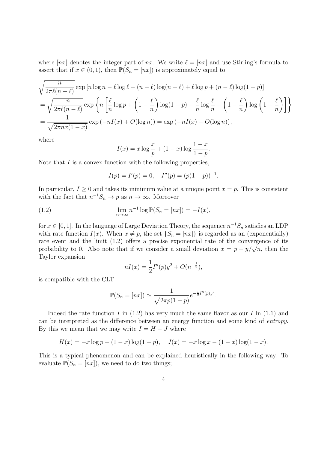where  $[nx]$  denotes the integer part of nx. We write  $\ell = [nx]$  and use Stirling's formula to assert that if  $x \in (0,1)$ , then  $\mathbb{P}(S_n = [nx])$  is approximately equal to

$$
\sqrt{\frac{n}{2\pi\ell(n-\ell)}}\exp\left[n\log n-\ell\log\ell-(n-\ell)\log(n-\ell)+\ell\log p+(n-\ell)\log(1-p)\right]
$$
  
=\sqrt{\frac{n}{2\pi\ell(n-\ell)}}\exp\left\{n\left[\frac{\ell}{n}\log p+\left(1-\frac{\ell}{n}\right)\log(1-p)-\frac{\ell}{n}\log\frac{\ell}{n}-\left(1-\frac{\ell}{n}\right)\log\left(1-\frac{\ell}{n}\right)\right]\right\}  
=\frac{1}{\sqrt{2\pi nx(1-x)}}\exp\left(-nI(x)+O(\log n)\right)=\exp\left(-nI(x)+O(\log n)\right),

where

$$
I(x) = x \log \frac{x}{p} + (1 - x) \log \frac{1 - x}{1 - p}.
$$

Note that  $I$  is a convex function with the following properties,

$$
I(p) = I'(p) = 0, \quad I''(p) = (p(1-p))^{-1}.
$$

In particular,  $I \geq 0$  and takes its minimum value at a unique point  $x = p$ . This is consistent with the fact that  $n^{-1}S_n \to p$  as  $n \to \infty$ . Moreover

(1.2) 
$$
\lim_{n \to \infty} n^{-1} \log \mathbb{P}(S_n = [nx]) = -I(x),
$$

for  $x \in [0, 1]$ . In the language of Large Deviation Theory, the sequence  $n^{-1}S_n$  satisfies an LDP with rate function  $I(x)$ . When  $x \neq p$ , the set  $\{S_n = [nx]\}$  is regarded as an (exponentially) rare event and the limit (1.2) offers a precise exponential rate of the convergence of its probability to 0. Also note that if we consider a small deviation  $x = p + y/\sqrt{n}$ , then the Taylor expansion

$$
nI(x) = \frac{1}{2}I''(p)y^{2} + O(n^{-\frac{1}{2}}),
$$

is compatible with the CLT

$$
\mathbb{P}(S_n = [nx]) \simeq \frac{1}{\sqrt{2\pi p(1-p)}} e^{-\frac{1}{2}I''(p)y^2}.
$$

Indeed the rate function I in  $(1.2)$  has very much the same flavor as our I in  $(1.1)$  and can be interpreted as the difference between an energy function and some kind of entropy. By this we mean that we may write  $I = H - J$  where

$$
H(x) = -x \log p - (1 - x) \log(1 - p), \quad J(x) = -x \log x - (1 - x) \log(1 - x).
$$

This is a typical phenomenon and can be explained heuristically in the following way: To evaluate  $\mathbb{P}(S_n = [nx])$ , we need to do two things;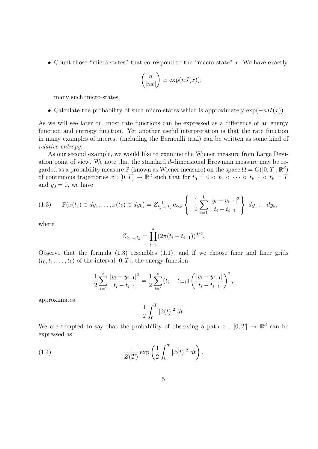• Count those "micro-states" that correspond to the "macro-state" x. We have exactly

$$
\binom{n}{[nx]} \simeq \exp(nJ(x)),
$$

many such micro-states.

• Calculate the probability of such micro-states which is approximately  $\exp(-nH(x))$ .

As we will see later on, most rate functions can be expressed as a difference of an energy function and entropy function. Yet another useful interpretation is that the rate function in many examples of interest (including the Bernoulli trial) can be written as some kind of relative entropy.

As our second example, we would like to examine the Wiener measure from Large Deviation point of view. We note that the standard d-dimensional Brownian measure may be regarded as a probability measure  $\mathbb P$  (known as Wiener measure) on the space  $\Omega = C([0, T]; \mathbb R^d)$ of continuous trajectories  $x : [0, T] \to \mathbb{R}^d$  such that for  $t_0 = 0 < t_1 < \cdots < t_{k-1} < t_k = T$ and  $y_0 = 0$ , we have

$$
(1.3) \qquad \mathbb{P}(x(t_1) \in dy_1, \ldots, x(t_k) \in dy_k) = Z_{t_1, \ldots, t_k}^{-1} \exp\left\{-\frac{1}{2} \sum_{i=1}^k \frac{|y_i - y_{i-1}|^2}{t_i - t_{i-1}}\right\} dy_1 \ldots dy_k,
$$

where

$$
Z_{t_1,\dots,t_k} = \prod_{i=1}^k (2\pi(t_i - t_{i-1}))^{d/2}.
$$

Observe that the formula (1.3) resembles (1.1), and if we choose finer and finer grids  $(t_0, t_1, \ldots, t_k)$  of the interval  $[0, T]$ , the energy function

$$
\frac{1}{2}\sum_{i=1}^k \frac{|y_i - y_{i-1}|^2}{t_i - t_{i-1}} = \frac{1}{2}\sum_{i=1}^k (t_i - t_{i-1}) \left(\frac{|y_i - y_{i-1}|}{t_i - t_{i-1}}\right)^2,
$$

approximates

$$
\frac{1}{2}\int_0^T |\dot{x}(t)|^2 dt.
$$

We are tempted to say that the probability of observing a path  $x : [0, T] \to \mathbb{R}^d$  can be expressed as

(1.4) 
$$
\frac{1}{Z(T)} \exp \left( \frac{1}{2} \int_0^T |\dot{x}(t)|^2 \ dt \right).
$$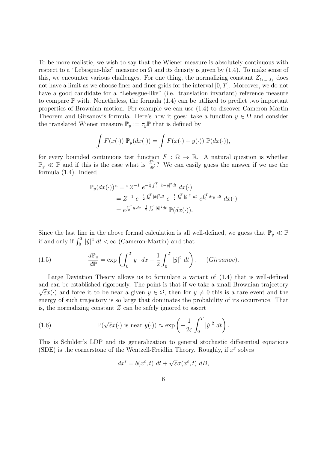To be more realistic, we wish to say that the Wiener measure is absolutely continuous with respect to a "Lebesgue-like" measure on  $\Omega$  and its density is given by (1.4). To make sense of this, we encounter various challenges. For one thing, the normalizing constant  $Z_{t_1,\,\dots,t_k}$  does not have a limit as we choose finer and finer grids for the interval  $[0, T]$ . Moreover, we do not have a good candidate for a "Lebesgue-like" (i.e. translation invariant) reference measure to compare  $\mathbb P$  with. Nonetheless, the formula  $(1.4)$  can be utilized to predict two important properties of Brownian motion. For example we can use (1.4) to discover Cameron-Martin Theorem and Girsanov's formula. Here's how it goes: take a function  $y \in \Omega$  and consider the translated Wiener measure  $\mathbb{P}_y := \tau_y \mathbb{P}$  that is defined by

$$
\int F(x(\cdot)) \mathbb{P}_y(dx(\cdot)) = \int F(x(\cdot) + y(\cdot)) \mathbb{P}(dx(\cdot)),
$$

for every bounded continuous test function  $F : \Omega \to \mathbb{R}$ . A natural question is whether  $\mathbb{P}_y \ll \mathbb{P}$  and if this is the case what is  $\frac{d\mathbb{P}_y}{d\mathbb{P}}$ ? We can easily guess the answer if we use the formula (1.4). Indeed

$$
\mathbb{P}_y(dx(\cdot))^{\alpha} = "Z^{-1} e^{-\frac{1}{2} \int_0^T |\dot{x} - \dot{y}|^2 dt} dx(\cdot) \n= Z^{-1} e^{-\frac{1}{2} \int_0^T |\dot{x}|^2 dt} e^{-\frac{1}{2} \int_0^T |\dot{y}|^2 dt} e^{\int_0^T \dot{x} \cdot y dt} dx(\cdot) \n= e^{\int_0^T y \cdot dx - \frac{1}{2} \int_0^T |\dot{y}|^2 dt} \mathbb{P}(dx(\cdot)).
$$

Since the last line in the above formal calculation is all well-defined, we guess that  $\mathbb{P}_y \ll \mathbb{P}$ if and only if  $\int_0^T |\dot{y}|^2 dt < \infty$  (Cameron-Martin) and that

(1.5) 
$$
\frac{d\mathbb{P}_y}{d\mathbb{P}} = \exp\left(\int_0^T y \cdot dx - \frac{1}{2} \int_0^T |\dot{y}|^2 dt\right), \quad (Girsanov).
$$

Large Deviation Theory allows us to formulate a variant of (1.4) that is well-defined and can be established rigorously. The point is that if we take a small Brownian trajectory  $\sqrt{\varepsilon}x(\cdot)$  and force it to be near a given  $y \in \Omega$ , then for  $y \neq 0$  this is a rare event and the energy of such trajectory is so large that dominates the probability of its occurrence. That is, the normalizing constant  $Z$  can be safely ignored to assert

(1.6) 
$$
\mathbb{P}(\sqrt{\varepsilon}x(\cdot) \text{ is near } y(\cdot)) \approx \exp\left(-\frac{1}{2\varepsilon}\int_0^T |\dot{y}|^2 dt\right).
$$

This is Schilder's LDP and its generalization to general stochastic differential equations (SDE) is the cornerstone of the Wentzell-Freidlin Theory. Roughly, if  $x^{\varepsilon}$  solves

$$
dx^{\varepsilon} = b(x^{\varepsilon}, t) dt + \sqrt{\varepsilon} \sigma(x^{\varepsilon}, t) dB,
$$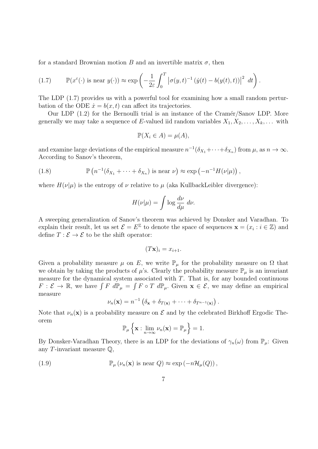for a standard Brownian motion B and an invertible matrix  $\sigma$ , then

(1.7) 
$$
\mathbb{P}(x^{\varepsilon}(\cdot) \text{ is near } y(\cdot)) \approx \exp\left(-\frac{1}{2\varepsilon} \int_0^T \left|\sigma(y,t)^{-1} \left(\dot{y}(t) - b(y(t),t)\right)\right|^2 dt\right).
$$

The LDP (1.7) provides us with a powerful tool for examining how a small random perturbation of the ODE  $\dot{x} = b(x, t)$  can affect its trajectories.

Our LDP  $(1.2)$  for the Bernoulli trial is an instance of the Cramér/Sanov LDP. More generally we may take a sequence of E-valued iid random variables  $X_1, X_2, \ldots, X_k, \ldots$  with

$$
\mathbb{P}(X_i \in A) = \mu(A),
$$

and examine large deviations of the empirical measure  $n^{-1}(\delta_{X_1} + \cdots + \delta_{X_n})$  from  $\mu$ , as  $n \to \infty$ . According to Sanov's theorem,

(1.8) 
$$
\mathbb{P}\left(n^{-1}(\delta_{X_1} + \cdots + \delta_{X_n})\text{ is near }\nu\right) \approx \exp\left(-n^{-1}H(\nu|\mu)\right),
$$

where  $H(\nu|\mu)$  is the entropy of  $\nu$  relative to  $\mu$  (aka KullbackLeibler divergence):

$$
H(\nu|\mu) = \int \log \frac{d\nu}{d\mu} \ d\nu.
$$

A sweeping generalization of Sanov's theorem was achieved by Donsker and Varadhan. To explain their result, let us set  $\mathcal{E} = E^{\mathbb{Z}}$  to denote the space of sequences  $\mathbf{x} = (x_i : i \in \mathbb{Z})$  and define  $T : \mathcal{E} \to \mathcal{E}$  to be the shift operator:

$$
(T\mathbf{x})_i = x_{i+1}.
$$

Given a probability measure  $\mu$  on E, we write  $\mathbb{P}_{\mu}$  for the probability measure on  $\Omega$  that we obtain by taking the products of  $\mu$ 's. Clearly the probability measure  $\mathbb{P}_{\mu}$  is an invariant measure for the dynamical system associated with  $T$ . That is, for any bounded continuous  $F: \mathcal{E} \to \mathbb{R}$ , we have  $\int F d\mathbb{P}_{\mu} = \int F \circ T d\mathbb{P}_{\mu}$ . Given  $\mathbf{x} \in \mathcal{E}$ , we may define an empirical measure

$$
\nu_n(\mathbf{x}) = n^{-1} \left( \delta_{\mathbf{x}} + \delta_{T(\mathbf{x})} + \cdots + \delta_{T^{n-1}(\mathbf{x})} \right).
$$

Note that  $\nu_n(\mathbf{x})$  is a probability measure on  $\mathcal E$  and by the celebrated Birkhoff Ergodic Theorem

$$
\mathbb{P}_{\mu}\left\{\mathbf{x}:\lim_{n\to\infty}\nu_n(\mathbf{x})=\mathbb{P}_{\mu}\right\}=1.
$$

By Donsker-Varadhan Theory, there is an LDP for the deviations of  $\gamma_n(\omega)$  from  $\mathbb{P}_{\mu}$ : Given any T-invariant measure  $\mathbb{Q}$ ,

(1.9) 
$$
\mathbb{P}_{\mu}(\nu_n(\mathbf{x}) \text{ is near } Q) \approx \exp(-n\mathcal{H}_{\mu}(Q)),
$$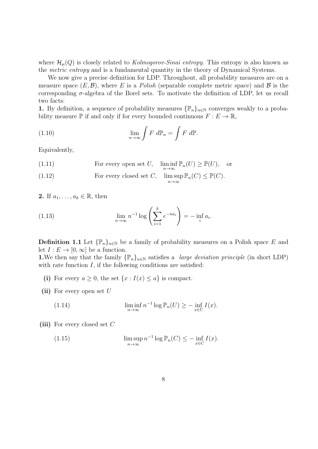where  $\mathcal{H}_{\mu}(Q)$  is closely related to Kolmogorov-Sinai entropy. This entropy is also known as the metric entropy and is a fundamental quantity in the theory of Dynamical Systems.

We now give a precise definition for LDP. Throughout, all probability measures are on a measure space  $(E, \mathcal{B})$ , where E is a Polish (separable complete metric space) and B is the corresponding  $\sigma$ -algebra of the Borel sets. To motivate the definition of LDP, let us recall two facts:

1. By definition, a sequence of probability measures  $\{\mathbb{P}_n\}_{n\in\mathbb{N}}$  converges weakly to a probability measure  $\mathbb P$  if and only if for every bounded continuous  $F: E \to \mathbb R$ ,

(1.10) 
$$
\lim_{n \to \infty} \int F \, d\mathbb{P}_n = \int F \, d\mathbb{P}.
$$

Equivalently,

- (1.11) For every open set U,  $\liminf_{n\to\infty} \mathbb{P}_n(U) \geq \mathbb{P}(U)$ , or
- For every closed set  $C$ ,  $\limsup$ (1.12) For every closed set C,  $\limsup_{n\to\infty} \mathbb{P}_n(C) \leq \mathbb{P}(C)$ .

2. If  $a_1, \ldots, a_k \in \mathbb{R}$ , then

(1.13) 
$$
\lim_{n \to \infty} n^{-1} \log \left( \sum_{i=1}^{k} e^{-na_i} \right) = - \inf_{i} a_i.
$$

**Definition 1.1** Let  $\{\mathbb{P}_n\}_{n\in\mathbb{N}}$  be a family of probability measures on a Polish space E and let  $I : E \to [0, \infty]$  be a function.

1. We then say that the family  $\{\mathbb{P}_n\}_{n\in\mathbb{N}}$  satisfies a *large deviation principle* (in short LDP) with rate function  $I$ , if the following conditions are satisfied:

- (i) For every  $a \geq 0$ , the set  $\{x : I(x) \leq a\}$  is compact.
- (ii) For every open set  $U$

(1.14) 
$$
\liminf_{n \to \infty} n^{-1} \log \mathbb{P}_n(U) \geq - \inf_{x \in U} I(x).
$$

(iii) For every closed set C

(1.15) 
$$
\limsup_{n \to \infty} n^{-1} \log \mathbb{P}_n(C) \leq - \inf_{x \in C} I(x).
$$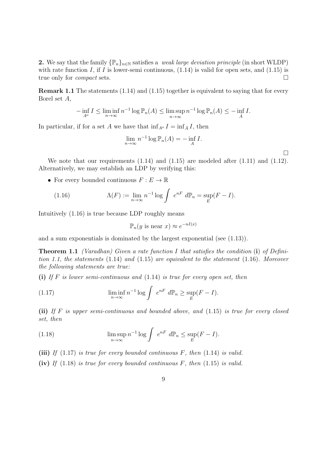2. We say that the family  $\{\mathbb{P}_n\}_{n\in\mathbb{N}}$  satisfies a *weak large deviation principle* (in short WLDP) with rate function I, if I is lower-semi continuous,  $(1.14)$  is valid for open sets, and  $(1.15)$  is true only for *compact* sets.

Remark 1.1 The statements (1.14) and (1.15) together is equivalent to saying that for every Borel set A,

$$
-\inf_{A^o} I \le \liminf_{n \to \infty} n^{-1} \log \mathbb{P}_n(A) \le \limsup_{n \to \infty} n^{-1} \log \mathbb{P}_n(A) \le -\inf_{\bar{A}} I.
$$

In particular, if for a set A we have that  $\inf_{A^o} I = \inf_{\bar{A}} I$ , then

$$
\lim_{n \to \infty} n^{-1} \log \mathbb{P}_n(A) = -\inf_A I.
$$

 $\Box$ 

We note that our requirements  $(1.14)$  and  $(1.15)$  are modeled after  $(1.11)$  and  $(1.12)$ . Alternatively, we may establish an LDP by verifying this:

• For every bounded continuous  $F: E \to \mathbb{R}$ 

(1.16) 
$$
\Lambda(F) := \lim_{n \to \infty} n^{-1} \log \int e^{nF} d\mathbb{P}_n = \sup_E (F - I).
$$

Intuitively (1.16) is true because LDP roughly means

$$
\mathbb{P}_n(y \text{ is near } x) \approx e^{-nI(x)}
$$

and a sum exponentials is dominated by the largest exponential (see  $(1.13)$ ).

**Theorem 1.1** (Varadhan) Given a rate function I that satisfies the condition (i) of Definition 1.1, the statements (1.14) and (1.15) are equivalent to the statement (1.16). Moreover the following statements are true:

(i) If F is lower semi-continuous and  $(1.14)$  is true for every open set, then

(1.17) 
$$
\liminf_{n \to \infty} n^{-1} \log \int e^{nF} d\mathbb{P}_n \ge \sup_E (F - I).
$$

(ii) If  $F$  is upper semi-continuous and bounded above, and  $(1.15)$  is true for every closed set, then

(1.18) 
$$
\limsup_{n \to \infty} n^{-1} \log \int e^{nF} d\mathbb{P}_n \leq \sup_E (F - I).
$$

(iii) If  $(1.17)$  is true for every bounded continuous F, then  $(1.14)$  is valid.

(iv) If  $(1.18)$  is true for every bounded continuous F, then  $(1.15)$  is valid.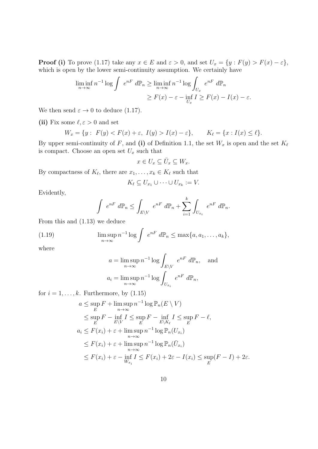**Proof (i)** To prove (1.17) take any  $x \in E$  and  $\varepsilon > 0$ , and set  $U_x = \{y : F(y) > F(x) - \varepsilon\}$ , which is open by the lower semi-continuity assumption. We certainly have

$$
\liminf_{n \to \infty} n^{-1} \log \int e^{nF} d\mathbb{P}_n \ge \liminf_{n \to \infty} n^{-1} \log \int_{U_x} e^{nF} d\mathbb{P}_n
$$
  
 
$$
\ge F(x) - \varepsilon - \inf_{U_x} I \ge F(x) - I(x) - \varepsilon.
$$

We then send  $\varepsilon \to 0$  to deduce (1.17).

(ii) Fix some  $\ell, \varepsilon > 0$  and set

$$
W_x = \{ y : F(y) < F(x) + \varepsilon, \ I(y) > I(x) - \varepsilon \}, \qquad K_\ell = \{ x : I(x) \le \ell \}.
$$

By upper semi-continuity of F, and (i) of Definition 1.1, the set  $W_x$  is open and the set  $K_\ell$ is compact. Choose an open set  $U_x$  such that

$$
x \in U_x \subseteq \bar{U}_x \subseteq W_x.
$$

By compactness of  $K_{\ell}$ , there are  $x_1, \ldots, x_k \in K_{\ell}$  such that

$$
K_{\ell} \subseteq U_{x_1} \cup \cdots \cup U_{x_k} := V.
$$

Evidently,

$$
\int e^{nF} d\mathbb{P}_n \le \int_{E \backslash V} e^{nF} d\mathbb{P}_n + \sum_{i=1}^k \int_{U_{x_i}} e^{nF} d\mathbb{P}_n.
$$

From this and (1.13) we deduce

(1.19) 
$$
\limsup_{n \to \infty} n^{-1} \log \int e^{nF} d\mathbb{P}_n \leq \max\{a, a_1, \dots, a_k\},
$$

where

$$
a = \limsup_{n \to \infty} n^{-1} \log \int_{E \backslash V} e^{nF} d\mathbb{P}_n, \text{ and}
$$
  

$$
a_i = \limsup_{n \to \infty} n^{-1} \log \int_{U_{x_i}} e^{nF} d\mathbb{P}_n,
$$

for  $i = 1, \ldots, k$ . Furthermore, by  $(1.15)$ 

$$
a \le \sup_{E} F + \limsup_{n \to \infty} n^{-1} \log \mathbb{P}_{n}(E \setminus V)
$$
  
\n
$$
\le \sup_{E} F - \inf_{E \setminus V} I \le \sup_{E} F - \inf_{E \setminus K_{\ell}} I \le \sup_{E} F - \ell,
$$
  
\n
$$
a_{i} \le F(x_{i}) + \varepsilon + \limsup_{n \to \infty} n^{-1} \log \mathbb{P}_{n}(U_{x_{i}})
$$
  
\n
$$
\le F(x_{i}) + \varepsilon + \limsup_{n \to \infty} n^{-1} \log \mathbb{P}_{n}(\bar{U}_{x_{i}})
$$
  
\n
$$
\le F(x_{i}) + \varepsilon - \inf_{W_{x_{i}}} I \le F(x_{i}) + 2\varepsilon - I(x_{i}) \le \sup_{E} (F - I) + 2\varepsilon.
$$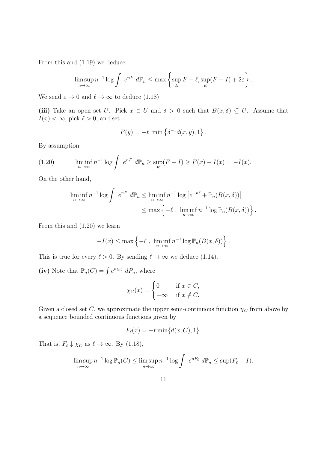From this and (1.19) we deduce

$$
\limsup_{n \to \infty} n^{-1} \log \int e^{nF} d\mathbb{P}_n \le \max \left\{ \sup_E F - \ell, \sup_E (F - I) + 2\varepsilon \right\}.
$$

We send  $\varepsilon \to 0$  and  $\ell \to \infty$  to deduce (1.18).

(iii) Take an open set U. Pick  $x \in U$  and  $\delta > 0$  such that  $B(x, \delta) \subseteq U$ . Assume that  $I(x) < \infty$ , pick  $\ell > 0$ , and set

$$
F(y) = -\ell \min \left\{ \delta^{-1} d(x, y), 1 \right\}.
$$

By assumption

(1.20) 
$$
\liminf_{n \to \infty} n^{-1} \log \int e^{nF} d\mathbb{P}_n \ge \sup_E (F - I) \ge F(x) - I(x) = -I(x).
$$

On the other hand,

$$
\liminf_{n \to \infty} n^{-1} \log \int e^{nF} d\mathbb{P}_n \le \liminf_{n \to \infty} n^{-1} \log \left[ e^{-n\ell} + \mathbb{P}_n(B(x, \delta)) \right]
$$
  

$$
\le \max \left\{ -\ell , \liminf_{n \to \infty} n^{-1} \log \mathbb{P}_n(B(x, \delta)) \right\}.
$$

From this and (1.20) we learn

$$
-I(x) \leq \max\left\{-\ell, \liminf_{n \to \infty} n^{-1} \log \mathbb{P}_n(B(x,\delta))\right\}.
$$

This is true for every  $\ell > 0$ . By sending  $\ell \to \infty$  we deduce (1.14).

(iv) Note that  $\mathbb{P}_n(C) = \int e^{n\chi_C} dP_n$ , where

$$
\chi_C(x) = \begin{cases} 0 & \text{if } x \in C, \\ -\infty & \text{if } x \notin C. \end{cases}
$$

Given a closed set C, we approximate the upper semi-continuous function  $\chi_C$  from above by a sequence bounded continuous functions given by

$$
F_{\ell}(x) = -\ell \min\{d(x, C), 1\}.
$$

That is,  $F_{\ell} \downarrow \chi_C$  as  $\ell \to \infty$ . By (1.18),

$$
\limsup_{n \to \infty} n^{-1} \log \mathbb{P}_n(C) \le \limsup_{n \to \infty} n^{-1} \log \int e^{nF_\ell} d\mathbb{P}_n \le \sup (F_\ell - I).
$$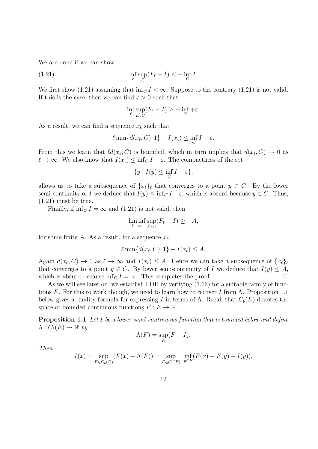We are done if we can show

(1.21) 
$$
\inf_{\ell} \sup_{E} (F_{\ell} - I) \leq - \inf_{C} I.
$$

We first show (1.21) assuming that  $\inf_{C} I < \infty$ . Suppose to the contrary (1.21) is not valid. If this is the case, then we can find  $\varepsilon > 0$  such that

$$
\inf_{\ell} \sup_{E \setminus C} (F_{\ell} - I) \ge - \inf_{C} +\varepsilon.
$$

As a result, we can find a sequence  $x_\ell$  such that

$$
\ell \min\{d(x_{\ell}, C), 1\} + I(x_{\ell}) \le \inf_C I - \varepsilon.
$$

From this we learn that  $\ell d(x_\ell, C)$  is bounded, which in turn implies that  $d(x_\ell, C) \to 0$  as  $\ell \to \infty$ . We also know that  $I(x_{\ell}) \leq \inf_{C} I - \varepsilon$ . The compactness of the set

$$
\{y: I(y) \le \inf_C I - \varepsilon\},\
$$

allows us to take a subsequence of  $\{x_\ell\}_\ell$  that converges to a point  $y \in C$ . By the lower semi-continuity of I we deduce that  $I(y) \leq \inf_C I - \varepsilon$ , which is absurd because  $y \in C$ . Thus, (1.21) must be true.

Finally, if  $\inf_C I = \infty$  and (1.21) is not valid, then

$$
\liminf_{\ell \to \infty} \sup_{E \setminus C} (F_{\ell} - I) \ge -A,
$$

for some finite A. As a result, for a sequence  $x_{\ell}$ ,

$$
\ell \min\{d(x_{\ell}, C), 1\} + I(x_{\ell}) \leq A.
$$

Again  $d(x_\ell, C) \to 0$  as  $\ell \to \infty$  and  $I(x_\ell) \leq A$ . Hence we can take a subsequence of  $\{x_\ell\}_\ell$ that converges to a point  $y \in C$ . By lower semi-continuity of I we deduce that  $I(y) \leq A$ , which is absurd because inf $c I = \infty$ . This completes the proof.

As we will see later on, we establish LDP by verifying (1.16) for a suitable family of functions F. For this to work though, we need to learn how to recover I from  $\Lambda$ . Proposition 1.1 below gives a duality formula for expressing I in terms of  $\Lambda$ . Recall that  $C_b(E)$  denotes the space of bounded continuous functions  $F : E \to \mathbb{R}$ .

Proposition 1.1 Let I be a lower semi-continuous function that is bounded below and define  $\Lambda: C_b(E) \to \mathbb{R}$  by

$$
\Lambda(F) = \sup_E (F - I).
$$

Then

$$
I(x) = \sup_{F \in C_b(E)} (F(x) - \Lambda(F)) = \sup_{F \in C_b(E)} \inf_{y \in E} (F(x) - F(y) + I(y)).
$$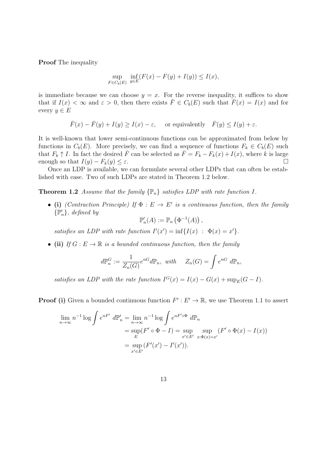Proof The inequality

$$
\sup_{F \in C_b(E)} \inf_{y \in E} (F(x) - F(y) + I(y)) \le I(x),
$$

is immediate because we can choose  $y = x$ . For the reverse inequality, it suffices to show that if  $I(x) < \infty$  and  $\varepsilon > 0$ , then there exists  $\overline{F} \in C_b(E)$  such that  $\overline{F}(x) = I(x)$  and for every  $y \in E$ 

$$
\overline{F}(x) - \overline{F}(y) + I(y) \ge I(x) - \varepsilon
$$
, or equivalently  $\overline{F}(y) \le I(y) + \varepsilon$ .

It is well-known that lower semi-continuous functions can be approximated from below by functions in  $C_b(E)$ . More precisely, we can find a sequence of functions  $F_k \in C_b(E)$  such that  $F_k \uparrow I$ . In fact the desired  $\overline{F}$  can be selected as  $\overline{F} = F_k - F_k(x) + I(x)$ , where k is large enough so that  $I(y) - F_k(y) \leq \varepsilon$ .

Once an LDP is available, we can formulate several other LDPs that can often be established with ease. Two of such LDPs are stated in Theorem 1.2 below.

**Theorem 1.2** Assume that the family  $\{\mathbb{P}_n\}$  satisfies LDP with rate function I.

• (i) (Contraction Principle) If  $\Phi : E \to E'$  is a continuous function, then the family  $\{\mathbb{P}'_n\},\ defined\ by$ 

$$
\mathbb{P}'_n(A) := \mathbb{P}_n\left(\Phi^{-1}(A)\right),
$$

satisfies an LDP with rate function  $I'(x') = \inf\{I(x) : \Phi(x) = x'\}.$ 

• (ii) If  $G : E \to \mathbb{R}$  is a bounded continuous function, then the family

$$
d\mathbb{P}_n^G := \frac{1}{Z_n(G)} e^{nG} d\mathbb{P}_n, \quad with \quad Z_n(G) = \int e^{nG} d\mathbb{P}_n,
$$

satisfies an LDP with the rate function  $I^G(x) = I(x) - G(x) + \sup_E (G - I)$ .

**Proof (i)** Given a bounded continuous function  $F': E' \to \mathbb{R}$ , we use Theorem 1.1 to assert

$$
\lim_{n \to \infty} n^{-1} \log \int e^{nF'} d\mathbb{P}'_n = \lim_{n \to \infty} n^{-1} \log \int e^{nF' \circ \Phi} d\mathbb{P}_n
$$
  
\n
$$
= \sup_E (F' \circ \Phi - I) = \sup_{x' \in E'} \sup_{x: \Phi(x) = x'} (F' \circ \Phi(x) - I(x))
$$
  
\n
$$
= \sup_{x' \in E'} (F'(x') - I'(x')).
$$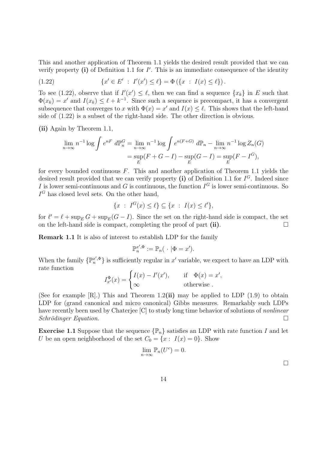This and another application of Theorem 1.1 yields the desired result provided that we can verify property  $(i)$  of Definition 1.1 for  $I'$ . This is an immediate consequence of the identity

(1.22) 
$$
\{x' \in E' : I'(x') \le \ell\} = \Phi(\{x : I(x) \le \ell\}).
$$

To see (1.22), observe that if  $I'(x') \leq \ell$ , then we can find a sequence  $\{x_k\}$  in E such that  $\Phi(x_k) = x'$  and  $I(x_k) \leq \ell + k^{-1}$ . Since such a sequence is precompact, it has a convergent subsequence that converges to x with  $\Phi(x) = x'$  and  $I(x) \leq \ell$ . This shows that the left-hand side of (1.22) is a subset of the right-hand side. The other direction is obvious.

(ii) Again by Theorem 1.1,

$$
\lim_{n \to \infty} n^{-1} \log \int e^{nF} d\mathbb{P}_n^G = \lim_{n \to \infty} n^{-1} \log \int e^{n(F+G)} d\mathbb{P}_n - \lim_{n \to \infty} n^{-1} \log Z_n(G)
$$

$$
= \sup_E (F+G-I) - \sup_E (G-I) = \sup_E (F-I^G),
$$

for every bounded continuous  $F$ . This and another application of Theorem 1.1 yields the desired result provided that we can verify property (i) of Definition 1.1 for  $I^G$ . Indeed since I is lower semi-continuous and G is continuous, the function  $I^G$  is lower semi-continuous. So  $I<sup>G</sup>$  has closed level sets. On the other hand,

$$
\{x : I^G(x) \le \ell\} \subseteq \{x : I(x) \le \ell'\},\
$$

for  $\ell' = \ell + \sup_E G + \sup_E (G - I)$ . Since the set on the right-hand side is compact, the set on the left-hand side is compact, completing the proof of part (ii).  $\Box$ 

Remark 1.1 It is also of interest to establish LDP for the family

$$
\mathbb{P}_n^{x', \Phi} := \mathbb{P}_n(\ \cdot \ | \Phi = x').
$$

When the family  $\{\mathbb{P}_{n}^{x',\Phi}\}\$  is sufficiently regular in  $x'$  variable, we expect to have an LDP with rate function

$$
I_{x'}^{\Phi}(x) = \begin{cases} I(x) - I'(x'), & \text{if } \Phi(x) = x', \\ \infty & \text{otherwise.} \end{cases}
$$

(See for example  $[R]$ .) This and Theorem 1.2(ii) may be applied to LDP  $(1.9)$  to obtain LDP for (grand canonical and micro canonical) Gibbs measures. Remarkably such LDPs have recently been used by Chaterjee [C] to study long time behavior of solutions of *nonlinear*  $Schrödinger Equation.$ 

**Exercise 1.1** Suppose that the sequence  $\{\mathbb{P}_n\}$  satisfies an LDP with rate function I and let U be an open neighborhood of the set  $C_0 = \{x : I(x) = 0\}$ . Show

$$
\lim_{n \to \infty} \mathbb{P}_n(U^c) = 0.
$$

 $\Box$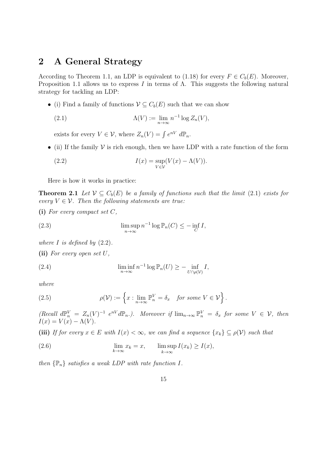# 2 A General Strategy

According to Theorem 1.1, an LDP is equivalent to (1.18) for every  $F \in C_b(E)$ . Moreover, Proposition 1.1 allows us to express I in terms of  $\Lambda$ . This suggests the following natural strategy for tackling an LDP:

• (i) Find a family of functions  $\mathcal{V} \subseteq C_b(E)$  such that we can show

(2.1) 
$$
\Lambda(V) := \lim_{n \to \infty} n^{-1} \log Z_n(V),
$$

exists for every  $V \in \mathcal{V}$ , where  $Z_n(V) = \int e^{nV} d\mathbb{P}_n$ .

• (ii) If the family  $\mathcal V$  is rich enough, then we have LDP with a rate function of the form

(2.2) 
$$
I(x) = \sup_{V \in \mathcal{V}} (V(x) - \Lambda(V)).
$$

Here is how it works in practice:

**Theorem 2.1** Let  $V \subseteq C_b(E)$  be a family of functions such that the limit (2.1) exists for every  $V \in \mathcal{V}$ . Then the following statements are true:

(i) For every compact set  $C$ ,

(2.3) 
$$
\limsup_{n \to \infty} n^{-1} \log \mathbb{P}_n(C) \leq - \inf_C I,
$$

where  $I$  is defined by  $(2.2)$ .

(ii) For every open set  $U$ ,

(2.4) 
$$
\liminf_{n \to \infty} n^{-1} \log \mathbb{P}_n(U) \geq - \inf_{U \cap \rho(V)} I,
$$

where

(2.5) 
$$
\rho(\mathcal{V}) := \left\{ x : \lim_{n \to \infty} \mathbb{P}_n^V = \delta_x \text{ for some } V \in \mathcal{V} \right\}.
$$

 $(Recall d\mathbb{P}_{n}^{V} = Z_{n}(V)^{-1} e^{nV} d\mathbb{P}_{n}$ . Moreover if  $\lim_{n\to\infty} \mathbb{P}_{n}^{V} = \delta_{x}$  for some  $V \in V$ , then  $I(x) = V(x) - \Lambda(V)$ .

(iii) If for every  $x \in E$  with  $I(x) < \infty$ , we can find a sequence  $\{x_k\} \subseteq \rho(\mathcal{V})$  such that

(2.6) 
$$
\lim_{k \to \infty} x_k = x, \qquad \limsup_{k \to \infty} I(x_k) \ge I(x),
$$

then  $\{\mathbb{P}_n\}$  satisfies a weak LDP with rate function I.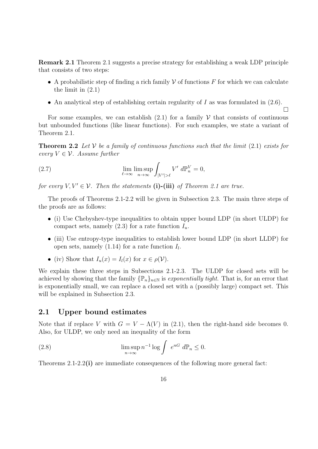Remark 2.1 Theorem 2.1 suggests a precise strategy for establishing a weak LDP principle that consists of two steps:

- A probabilistic step of finding a rich family  $\mathcal V$  of functions F for which we can calculate the limit in (2.1)
- An analytical step of establishing certain regularity of  $I$  as was formulated in  $(2.6)$ .

 $\Box$ 

For some examples, we can establish  $(2.1)$  for a family V that consists of continuous but unbounded functions (like linear functions). For such examples, we state a variant of Theorem 2.1.

**Theorem 2.2** Let V be a family of continuous functions such that the limit  $(2.1)$  exists for every  $V \in \mathcal{V}$ . Assume further

(2.7) 
$$
\lim_{\ell \to \infty} \lim_{n \to \infty} \int_{|V'| > \ell} V' d\mathbb{P}_n^V = 0,
$$

for every  $V, V' \in \mathcal{V}$ . Then the statements (i)-(iii) of Theorem 2.1 are true.

The proofs of Theorems 2.1-2.2 will be given in Subsection 2.3. The main three steps of the proofs are as follows:

- (i) Use Chebyshev-type inequalities to obtain upper bound LDP (in short ULDP) for compact sets, namely  $(2.3)$  for a rate function  $I_u$ .
- (iii) Use entropy-type inequalities to establish lower bound LDP (in short LLDP) for open sets, namely  $(1.14)$  for a rate function  $I_l$ .
- (iv) Show that  $I_u(x) = I_l(x)$  for  $x \in \rho(\mathcal{V})$ .

We explain these three steps in Subsections 2.1-2.3. The ULDP for closed sets will be achieved by showing that the family  $\{\mathbb{P}_n\}_{n\in\mathbb{N}}$  is exponentially tight. That is, for an error that is exponentially small, we can replace a closed set with a (possibly large) compact set. This will be explained in Subsection 2.3.

## 2.1 Upper bound estimates

Note that if replace V with  $G = V - \Lambda(V)$  in (2.1), then the right-hand side becomes 0. Also, for ULDP, we only need an inequality of the form

(2.8) 
$$
\limsup_{n \to \infty} n^{-1} \log \int e^{nG} d\mathbb{P}_n \leq 0.
$$

Theorems 2.1-2.2(i) are immediate consequences of the following more general fact: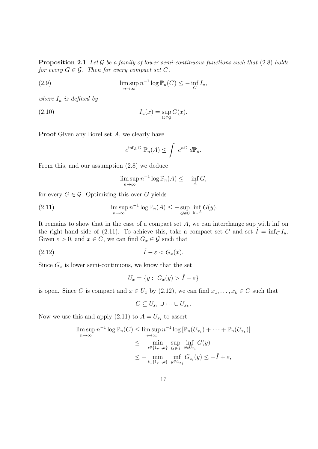**Proposition 2.1** Let G be a family of lower semi-continuous functions such that  $(2.8)$  holds for every  $G \in \mathcal{G}$ . Then for every compact set C,

(2.9) 
$$
\limsup_{n \to \infty} n^{-1} \log \mathbb{P}_n(C) \leq - \inf_C I_u,
$$

where  $I_u$  is defined by

(2.10) 
$$
I_u(x) = \sup_{G \in \mathcal{G}} G(x).
$$

**Proof** Given any Borel set A, we clearly have

$$
e^{\inf_A G} \mathbb{P}_n(A) \le \int e^{nG} d\mathbb{P}_n.
$$

From this, and our assumption (2.8) we deduce

$$
\limsup_{n \to \infty} n^{-1} \log \mathbb{P}_n(A) \le - \inf_A G,
$$

for every  $G \in \mathcal{G}$ . Optimizing this over G yields

(2.11) 
$$
\limsup_{n \to \infty} n^{-1} \log \mathbb{P}_n(A) \leq - \sup_{G \in \mathcal{G}} \inf_{y \in A} G(y).
$$

It remains to show that in the case of a compact set  $A$ , we can interchange sup with inf on the right-hand side of (2.11). To achieve this, take a compact set C and set  $\hat{I} = \inf_{C} I_u$ . Given  $\varepsilon > 0$ , and  $x \in C$ , we can find  $G_x \in \mathcal{G}$  such that

$$
(2.12) \t\t\t \hat{I} - \varepsilon < G_x(x).
$$

Since  $G_x$  is lower semi-continuous, we know that the set

$$
U_x = \{ y : \ G_x(y) > \hat{I} - \varepsilon \}
$$

is open. Since C is compact and  $x \in U_x$  by (2.12), we can find  $x_1, \ldots, x_k \in C$  such that

$$
C \subseteq U_{x_1} \cup \cdots \cup U_{x_k}.
$$

Now we use this and apply  $(2.11)$  to  $A = U_{x_i}$  to assert

$$
\limsup_{n \to \infty} n^{-1} \log \mathbb{P}_n(C) \le \limsup_{n \to \infty} n^{-1} \log [\mathbb{P}_n(U_{x_1}) + \dots + \mathbb{P}_n(U_{x_k})]
$$
  
\n
$$
\le - \min_{i \in \{1, \dots, k\}} \sup_{G \in \mathcal{G}} \inf_{y \in U_{x_i}} G(y)
$$
  
\n
$$
\le - \min_{i \in \{1, \dots, k\}} \inf_{y \in U_{x_i}} G_{x_i}(y) \le -\hat{I} + \varepsilon,
$$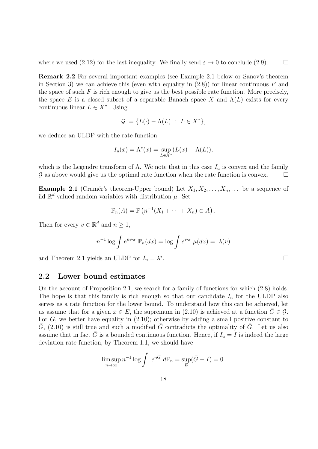where we used (2.12) for the last inequality. We finally send  $\varepsilon \to 0$  to conclude (2.9).

Remark 2.2 For several important examples (see Example 2.1 below or Sanov's theorem in Section 3) we can achieve this (even with equality in  $(2.8)$ ) for linear continuous F and the space of such  $F$  is rich enough to give us the best possible rate function. More precisely, the space E is a closed subset of a separable Banach space X and  $\Lambda(L)$  exists for every continuous linear  $L \in X^*$ . Using

$$
\mathcal{G} := \{ L(\cdot) - \Lambda(L) \ : \ L \in X^* \},
$$

we deduce an ULDP with the rate function

$$
I_u(x) = \Lambda^*(x) = \sup_{L \in X^*} (L(x) - \Lambda(L)),
$$

which is the Legendre transform of  $\Lambda$ . We note that in this case  $I_u$  is convex and the family  $\mathcal G$  as above would give us the optimal rate function when the rate function is convex.  $\Box$ 

**Example 2.1** (Cramér's theorem-Upper bound) Let  $X_1, X_2, \ldots, X_n, \ldots$  be a sequence of iid  $\mathbb{R}^d$ -valued random variables with distribution  $\mu$ . Set

$$
\mathbb{P}_n(A) = \mathbb{P}\left(n^{-1}(X_1 + \dots + X_n) \in A\right).
$$

Then for every  $v \in \mathbb{R}^d$  and  $n \geq 1$ ,

$$
n^{-1}\log\int e^{nv\cdot x}\,\mathbb{P}_n(dx) = \log\int e^{v\cdot x}\,\mu(dx) =: \lambda(v)
$$

and Theorem 2.1 yields an ULDP for  $I_u = \lambda^*$ 

#### 2.2 Lower bound estimates

On the account of Proposition 2.1, we search for a family of functions for which (2.8) holds. The hope is that this family is rich enough so that our candidate  $I_u$  for the ULDP also serves as a rate function for the lower bound. To understand how this can be achieved, let us assume that for a given  $\bar{x} \in E$ , the supremum in (2.10) is achieved at a function  $G \in \mathcal{G}$ . For  $\bar{G}$ , we better have equality in (2.10); otherwise by adding a small positive constant to  $\bar{G}$ , (2.10) is still true and such a modified  $\bar{G}$  contradicts the optimality of  $\bar{G}$ . Let us also assume that in fact  $\bar{G}$  is a bounded continuous function. Hence, if  $I_u = I$  is indeed the large deviation rate function, by Theorem 1.1, we should have

$$
\limsup_{n \to \infty} n^{-1} \log \int e^{n\bar{G}} d\mathbb{P}_n = \sup_E (\bar{G} - I) = 0.
$$

|   |  |  | __ |
|---|--|--|----|
| ٠ |  |  |    |
|   |  |  |    |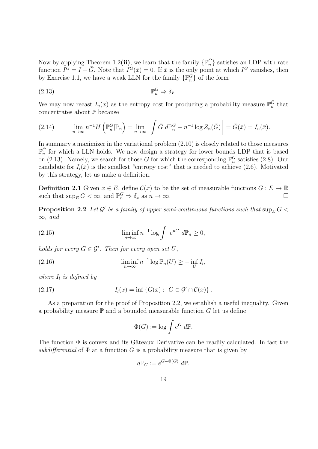Now by applying Theorem 1.2(ii), we learn that the family  $\{\mathbb{P}_n^{\bar{G}}\}$  satisfies an LDP with rate function  $I^{\bar{G}} = I - \bar{G}$ . Note that  $I^{\bar{G}}(\bar{x}) = 0$ . If  $\bar{x}$  is the only point at which  $I^{\bar{G}}$  vanishes, then by Exercise 1.1, we have a weak LLN for the family  $\{\mathbb{P}_{n}^{\bar{G}}\}$  of the form

$$
\mathbb{P}_n^{\bar{G}} \Rightarrow \delta_{\bar{x}}.
$$

We may now recast  $I_u(x)$  as the entropy cost for producing a probability measure  $\mathbb{P}_n^{\bar{G}}$  that concentrates about  $\bar{x}$  because

$$
(2.14) \qquad \lim_{n \to \infty} n^{-1} H\left(\mathbb{P}_n^{\bar{G}} | \mathbb{P}_n\right) = \lim_{n \to \infty} \left[ \int \bar{G} \, d\mathbb{P}_n^{\bar{G}} - n^{-1} \log Z_n(\bar{G}) \right] = \bar{G}(\bar{x}) = I_u(\bar{x}).
$$

In summary a maximizer in the variational problem (2.10) is closely related to those measures  $\mathbb{P}_{n}^{\bar{G}}$  for which a LLN holds. We now design a strategy for lower bounds LDP that is based on (2.13). Namely, we search for those G for which the corresponding  $\mathbb{P}_n^G$  satisfies (2.8). Our candidate for  $I_l(\bar{x})$  is the smallest "entropy cost" that is needed to achieve (2.6). Motivated by this strategy, let us make a definition.

**Definition 2.1** Given  $x \in E$ , define  $\mathcal{C}(x)$  to be the set of measurable functions  $G : E \to \mathbb{R}$ such that  $\sup_E G < \infty$ , and  $\mathbb{P}_n^G \Rightarrow \delta_x$  as  $n \to \infty$ .

**Proposition 2.2** Let  $\mathcal{G}'$  be a family of upper semi-continuous functions such that  $\sup_E G$  <  $\infty$ , and

(2.15) 
$$
\liminf_{n \to \infty} n^{-1} \log \int e^{nG} d\mathbb{P}_n \ge 0,
$$

holds for every  $G \in \mathcal{G}'$ . Then for every open set U,

(2.16) 
$$
\liminf_{n \to \infty} n^{-1} \log \mathbb{P}_n(U) \geq - \inf_{U} I_l,
$$

where  $I_l$  is defined by

$$
(2.17) \tIl(x) = \inf \{ G(x) : G \in \mathcal{G}' \cap \mathcal{C}(x) \}.
$$

As a preparation for the proof of Proposition 2.2, we establish a useful inequality. Given a probability measure  $\mathbb P$  and a bounded measurable function G let us define

$$
\Phi(G) := \log \int e^G \, d\mathbb{P}.
$$

The function  $\Phi$  is convex and its Gâteaux Derivative can be readily calculated. In fact the subdifferential of  $\Phi$  at a function G is a probability measure that is given by

$$
d\mathbb{P}_G := e^{G - \Phi(G)} d\mathbb{P}.
$$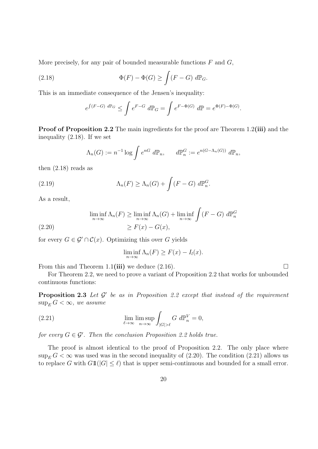More precisely, for any pair of bounded measurable functions  $F$  and  $G$ ,

(2.18) 
$$
\Phi(F) - \Phi(G) \ge \int (F - G) d\mathbb{P}_G.
$$

This is an immediate consequence of the Jensen's inequality:

$$
e^{\int (F-G) \ d\mathbb{P}_G} \le \int e^{F-G} \ d\mathbb{P}_G = \int e^{F-\Phi(G)} \ d\mathbb{P} = e^{\Phi(F)-\Phi(G)}.
$$

Proof of Proposition 2.2 The main ingredients for the proof are Theorem 1.2(iii) and the inequality (2.18). If we set

$$
\Lambda_n(G) := n^{-1} \log \int e^{nG} \, d\mathbb{P}_n, \qquad d\mathbb{P}_n^G := e^{n(G - \Lambda_n(G))} \, d\mathbb{P}_n,
$$

then (2.18) reads as

(2.19) 
$$
\Lambda_n(F) \geq \Lambda_n(G) + \int (F - G) d\mathbb{P}_n^G.
$$

As a result,

$$
\liminf_{n \to \infty} \Lambda_n(F) \ge \liminf_{n \to \infty} \Lambda_n(G) + \liminf_{n \to \infty} \int (F - G) \, d\mathbb{P}_n^G
$$
\n
$$
\ge F(x) - G(x),
$$

for every  $G \in \mathcal{G}' \cap \mathcal{C}(x)$ . Optimizing this over G yields

$$
\liminf_{n \to \infty} \Lambda_n(F) \ge F(x) - I_l(x).
$$

From this and Theorem 1.1(iii) we deduce  $(2.16)$ .

For Theorem 2.2, we need to prove a variant of Proposition 2.2 that works for unbounded continuous functions:

**Proposition 2.3** Let  $\mathcal{G}'$  be as in Proposition 2.2 except that instead of the requirement  $\sup_E G < \infty$ , we assume

(2.21) 
$$
\lim_{\ell \to \infty} \lim_{n \to \infty} \int_{|G| > \ell} G \, d\mathbb{P}_n^V = 0,
$$

for every  $G \in \mathcal{G}'$ . Then the conclusion Proposition 2.2 holds true.

The proof is almost identical to the proof of Proposition 2.2. The only place where  $\sup_{E} G < \infty$  was used was in the second inequality of (2.20). The condition (2.21) allows us to replace G with  $G1(|G| \leq \ell)$  that is upper semi-continuous and bounded for a small error.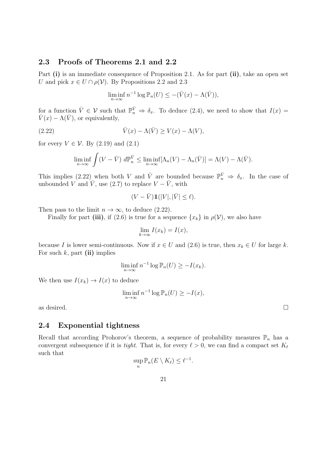## 2.3 Proofs of Theorems 2.1 and 2.2

Part (i) is an immediate consequence of Proposition 2.1. As for part (ii), take an open set U and pick  $x \in U \cap \rho(V)$ . By Propositions 2.2 and 2.3

$$
\liminf_{n \to \infty} n^{-1} \log \mathbb{P}_n(U) \le -(\bar{V}(x) - \Lambda(\bar{V})),
$$

for a function  $\bar{V} \in \mathcal{V}$  such that  $\mathbb{P}_{n}^{\bar{V}} \Rightarrow \delta_{x}$ . To deduce (2.4), we need to show that  $I(x) =$  $\bar{V}(x) - \Lambda(\bar{V})$ , or equivalently,

(2.22) 
$$
\overline{V}(x) - \Lambda(\overline{V}) \ge V(x) - \Lambda(V),
$$

for every  $V \in \mathcal{V}$ . By (2.19) and (2.1)

$$
\liminf_{n \to \infty} \int (V - \bar{V}) d\mathbb{P}_n^{\bar{V}} \leq \liminf_{n \to \infty} [\Lambda_n(V) - \Lambda_n(\bar{V})] = \Lambda(V) - \Lambda(\bar{V}).
$$

This implies (2.22) when both V and  $\bar{V}$  are bounded because  $\mathbb{P}_n^{\bar{V}} \Rightarrow \delta_x$ . In the case of unbounded V and  $\overline{V}$ , use (2.7) to replace  $V - \overline{V}$ , with

$$
(V - \bar{V})1\!\!1(|V|, |\bar{V}| \le \ell).
$$

Then pass to the limit  $n \to \infty$ , to deduce (2.22).

Finally for part (iii), if (2.6) is true for a sequence  $\{x_k\}$  in  $\rho(\mathcal{V})$ , we also have

$$
\lim_{k \to \infty} I(x_k) = I(x),
$$

because I is lower semi-continuous. Now if  $x \in U$  and  $(2.6)$  is true, then  $x_k \in U$  for large k. For such  $k$ , part (ii) implies

$$
\liminf_{n \to \infty} n^{-1} \log \mathbb{P}_n(U) \ge -I(x_k).
$$

We then use  $I(x_k) \to I(x)$  to deduce

$$
\liminf_{n \to \infty} n^{-1} \log \mathbb{P}_n(U) \ge -I(x),
$$

as desired.  $\square$ 

## 2.4 Exponential tightness

Recall that according Prohorov's theorem, a sequence of probability measures  $\mathbb{P}_n$  has a convergent subsequence if it is tight. That is, for every  $\ell > 0$ , we can find a compact set  $K_{\ell}$ such that

$$
\sup_n \mathbb{P}_n(E \setminus K_\ell) \leq \ell^{-1}.
$$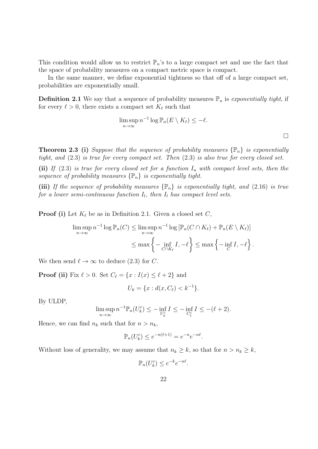This condition would allow us to restrict  $\mathbb{P}_n$ 's to a large compact set and use the fact that the space of probability measures on a compact metric space is compact.

In the same manner, we define exponential tightness so that off of a large compact set, probabilities are exponentially small.

**Definition 2.1** We say that a sequence of probability measures  $\mathbb{P}_n$  is exponentially tight, if for every  $\ell > 0$ , there exists a compact set  $K_{\ell}$  such that

$$
\limsup_{n\to\infty} n^{-1}\log \mathbb{P}_n(E\setminus K_\ell) \leq -\ell.
$$

**Theorem 2.3 (i)** Suppose that the sequence of probability measures  $\{\mathbb{P}_n\}$  is exponentially tight, and (2.3) is true for every compact set. Then (2.3) is also true for every closed set.

 $\Box$ 

(ii) If (2.3) is true for every closed set for a function  $I_u$  with compact level sets, then the sequence of probability measures  $\{\mathbb{P}_n\}$  is exponentially tight.

(iii) If the sequence of probability measures  $\{\mathbb{P}_n\}$  is exponentially tight, and (2.16) is true for a lower semi-continuous function  $I_l$ , then  $I_l$  has compact level sets.

**Proof (i)** Let  $K_{\ell}$  be as in Definition 2.1. Given a closed set C,

$$
\limsup_{n \to \infty} n^{-1} \log \mathbb{P}_n(C) \le \limsup_{n \to \infty} n^{-1} \log \left[ \mathbb{P}_n(C \cap K_\ell) + \mathbb{P}_n(E \setminus K_\ell) \right]
$$
  

$$
\le \max \left\{ - \inf_{C \cap K_\ell} I, -\ell \right\} \le \max \left\{ - \inf_C I, -\ell \right\}.
$$

We then send  $\ell \to \infty$  to deduce (2.3) for C.

**Proof (ii)** Fix  $\ell > 0$ . Set  $C_{\ell} = \{x : I(x) \leq \ell + 2\}$  and

$$
U_k = \{x : d(x, C_\ell) < k^{-1}\}.
$$

By ULDP,

$$
\limsup_{n \to \infty} n^{-1} \mathbb{P}_n(U_k^c) \le - \inf_{U_k^c} I \le - \inf_{C_\ell^c} I \le - (\ell + 2).
$$

Hence, we can find  $n_k$  such that for  $n > n_k$ ,

$$
\mathbb{P}_n(U_k^c) \le e^{-n(\ell+1)} = e^{-n}e^{-n\ell}.
$$

Without loss of generality, we may assume that  $n_k \geq k$ , so that for  $n > n_k \geq k$ ,

 $\mathbb{P}_n(U_k^c) \leq e^{-k} e^{-n\ell}.$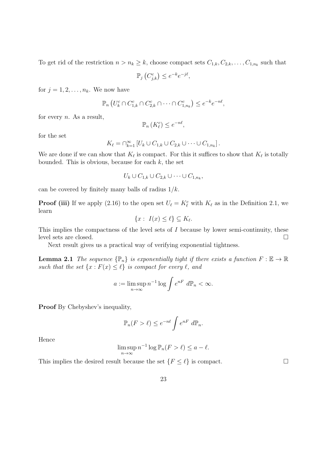To get rid of the restriction  $n > n_k \geq k$ , choose compact sets  $C_{1,k}, C_{2,k}, \ldots, C_{1,n_k}$  such that

$$
\mathbb{P}_j\left(C_{j,k}^c\right) \le e^{-k}e^{-j\ell},
$$

for  $j = 1, 2, \ldots, n_k$ . We now have

$$
\mathbb{P}_n\left(U_k^c \cap C_{1,k}^c \cap C_{2,k}^c \cap \cdots \cap C_{1,n_k}^c\right) \leq e^{-k}e^{-n\ell},
$$

for every  $n$ . As a result,

$$
\mathbb{P}_n\left(K_\ell^c\right) \le e^{-n\ell},
$$

for the set

$$
K_{\ell} = \bigcap_{k=1}^{\infty} \left[ U_k \cup C_{1,k} \cup C_{2,k} \cup \cdots \cup C_{1,n_k} \right].
$$

We are done if we can show that  $K_{\ell}$  is compact. For this it suffices to show that  $K_{\ell}$  is totally bounded. This is obvious, because for each  $k$ , the set

$$
U_k \cup C_{1,k} \cup C_{2,k} \cup \cdots \cup C_{1,n_k},
$$

can be covered by finitely many balls of radius  $1/k$ .

**Proof (iii)** If we apply (2.16) to the open set  $U_\ell = K_\ell^c$  with  $K_\ell$  as in the Definition 2.1, we learn

$$
\{x:\ I(x)\leq \ell\}\subseteq K_{\ell}.
$$

This implies the compactness of the level sets of I because by lower semi-continuity, these level sets are closed.

Next result gives us a practical way of verifying exponential tightness.

**Lemma 2.1** The sequence  $\{\mathbb{P}_n\}$  is exponentially tight if there exists a function  $F : \mathbb{E} \to \mathbb{R}$ such that the set  $\{x : F(x) \leq \ell\}$  is compact for every  $\ell$ , and

$$
a := \limsup_{n \to \infty} n^{-1} \log \int e^{nF} d\mathbb{P}_n < \infty.
$$

**Proof** By Chebyshev's inequality,

$$
\mathbb{P}_n(F > \ell) \le e^{-n\ell} \int e^{nF} d\mathbb{P}_n.
$$

Hence

$$
\limsup_{n \to \infty} n^{-1} \log \mathbb{P}_n(F > \ell) \le a - \ell.
$$

This implies the desired result because the set  $\{F \leq \ell\}$  is compact.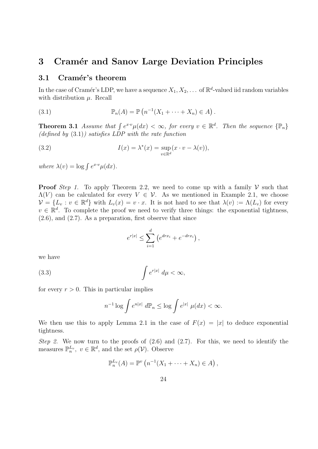# 3 Cramér and Sanov Large Deviation Principles

## 3.1 Cramér's theorem

In the case of Cramér's LDP, we have a sequence  $X_1, X_2, \ldots$  of  $\mathbb{R}^d$ -valued iid random variables with distribution  $\mu$ . Recall

(3.1) 
$$
\mathbb{P}_n(A) = \mathbb{P}\left(n^{-1}(X_1 + \dots + X_n) \in A\right).
$$

**Theorem 3.1** Assume that  $\int e^{x \cdot v} \mu(dx) < \infty$ , for every  $v \in \mathbb{R}^d$ . Then the sequence  $\{\mathbb{P}_n\}$ (defined by  $(3.1)$ ) satisfies LDP with the rate function

(3.2) 
$$
I(x) = \lambda^*(x) = \sup_{v \in \mathbb{R}^d} (x \cdot v - \lambda(v)),
$$

where  $\lambda(v) = \log \int e^{x \cdot v} \mu(dx)$ .

**Proof** Step 1. To apply Theorem 2.2, we need to come up with a family  $V$  such that  $\Lambda(V)$  can be calculated for every  $V \in V$ . As we mentioned in Example 2.1, we choose  $\mathcal{V} = \{L_v : v \in \mathbb{R}^d\}$  with  $L_v(x) = v \cdot x$ . It is not hard to see that  $\lambda(v) := \Lambda(L_v)$  for every  $v \in \mathbb{R}^d$ . To complete the proof we need to verify three things: the exponential tightness, (2.6), and (2.7). As a preparation, first observe that since

$$
e^{r|x|} \le \sum_{i=1}^d \left( e^{drx_i} + e^{-drx_i} \right),
$$

we have

$$
\int e^{r|x|} \, d\mu < \infty,
$$

for every  $r > 0$ . This in particular implies

$$
n^{-1}\log\int e^{n|x|} \, d\mathbb{P}_n \le \log\int e^{|x|} \, \mu(dx) < \infty.
$$

We then use this to apply Lemma 2.1 in the case of  $F(x) = |x|$  to deduce exponential tightness.

Step 2. We now turn to the proofs of  $(2.6)$  and  $(2.7)$ . For this, we need to identify the measures  $\mathbb{P}_n^{L_v}$ ,  $v \in \mathbb{R}^d$ , and the set  $\rho(\mathcal{V})$ . Observe

$$
\mathbb{P}_n^{L_v}(A) = \mathbb{P}^v\left(n^{-1}(X_1 + \cdots + X_n) \in A\right),
$$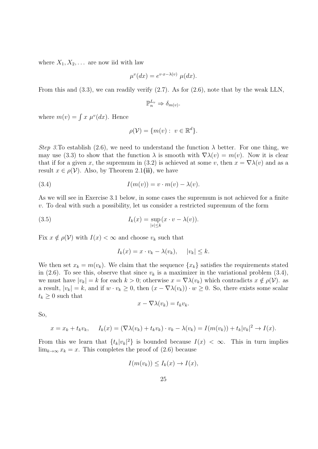where  $X_1, X_2, \ldots$  are now iid with law

$$
\mu^v(dx) = e^{v \cdot x - \lambda(v)} \mu(dx).
$$

From this and (3.3), we can readily verify (2.7). As for (2.6), note that by the weak LLN,

$$
\mathbb{P}_n^{L_v} \Rightarrow \delta_{m(v)}.
$$

where  $m(v) = \int x \mu^{v} (dx)$ . Hence

$$
\rho(\mathcal{V}) = \{m(v) : v \in \mathbb{R}^d\}.
$$

Step 3.To establish (2.6), we need to understand the function  $\lambda$  better. For one thing, we may use (3.3) to show that the function  $\lambda$  is smooth with  $\nabla \lambda(v) = m(v)$ . Now it is clear that if for a given x, the supremum in (3.2) is achieved at some v, then  $x = \nabla \lambda(v)$  and as a result  $x \in \rho(\mathcal{V})$ . Also, by Theorem 2.1(ii), we have

(3.4) 
$$
I(m(v)) = v \cdot m(v) - \lambda(v).
$$

As we will see in Exercise 3.1 below, in some cases the supremum is not achieved for a finite  $v$ . To deal with such a possibility, let us consider a restricted supremum of the form

(3.5) 
$$
I_k(x) = \sup_{|v| \le k} (x \cdot v - \lambda(v)).
$$

Fix  $x \notin \rho(\mathcal{V})$  with  $I(x) < \infty$  and choose  $v_k$  such that

$$
I_k(x) = x \cdot v_k - \lambda(v_k), \quad |v_k| \leq k.
$$

We then set  $x_k = m(v_k)$ . We claim that the sequence  $\{x_k\}$  satisfies the requirements stated in (2.6). To see this, observe that since  $v_k$  is a maximizer in the variational problem (3.4), we must have  $|v_k| = k$  for each  $k > 0$ ; otherwise  $x = \nabla \lambda(v_k)$  which contradicts  $x \notin \rho(\mathcal{V})$ . as a result,  $|v_k| = k$ , and if  $w \cdot v_k \geq 0$ , then  $(x - \nabla \lambda(v_k)) \cdot w \geq 0$ . So, there exists some scalar  $t_k \geq 0$  such that

$$
x - \nabla \lambda(v_k) = t_k v_k.
$$

So,

$$
x = x_k + t_k v_k, \quad I_k(x) = (\nabla \lambda(v_k) + t_k v_k) \cdot v_k - \lambda(v_k) = I(m(v_k)) + t_k |v_k|^2 \to I(x).
$$

From this we learn that  $\{t_k|v_k|^2\}$  is bounded because  $I(x) < \infty$ . This in turn implies  $\lim_{k\to\infty} x_k = x$ . This completes the proof of (2.6) because

$$
I(m(v_k)) \leq I_k(x) \to I(x),
$$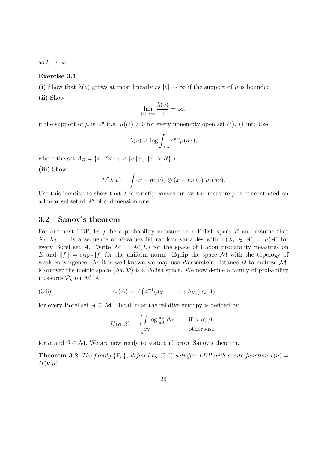as  $k \to \infty$ .

#### Exercise 3.1

(i) Show that  $\lambda(v)$  grows at most linearly as  $|v| \to \infty$  if the support of  $\mu$  is bounded. (ii) Show

$$
\lim_{|v| \to \infty} \frac{\lambda(v)}{|v|} = \infty,
$$

if the support of  $\mu$  is  $\mathbb{R}^d$  (i.e.  $\mu(U) > 0$  for every nonempty open set U). (Hint: Use

$$
\lambda(v) \ge \log \int_{A_R} e^{x \cdot v} \mu(dx),
$$

where the set  $A_R = \{x : 2x \cdot v \ge |v||x|, |x| > R\}.$ (iii) Show

 $D^2\lambda(v) = \int (x - m(v)) \otimes (x - m(v)) \mu^v(dx).$ 

Use this identity to show that  $\lambda$  is strictly convex unless the measure  $\mu$  is concentrated on a linear subset of  $\mathbb{R}^d$  of codimension one.

## 3.2 Sanov's theorem

For our next LDP, let  $\mu$  be a probability measure on a Polish space E and assume that  $X_1, X_2, \ldots$  is a sequence of E-values iid random variables with  $\mathbb{P}(X_i \in A) = \mu(A)$  for every Borel set A. Write  $\mathcal{M} = \mathcal{M}(E)$  for the space of Radon probability measures on E and  $||f|| = \sup_E |f|$  for the uniform norm. Equip the space M with the topology of weak convergence. As it is well-known we may use Wasserstein distance  $\mathcal D$  to metrize  $\mathcal M$ . Moreover the metric space  $(M, D)$  is a Polish space. We now define a family of probability measures  $\mathcal{P}_n$  on  $\mathcal{M}$  by

(3.6) 
$$
\mathbb{P}_n(A) = \mathbb{P}\left(n^{-1}(\delta_{X_1} + \cdots + \delta_{X_n}) \in A\right)
$$

for every Borel set  $A \subseteq \mathcal{M}$ . Recall that the relative entropy is defined by

$$
H(\alpha|\beta) = \begin{cases} \int \log \frac{d\alpha}{d\beta} \, d\alpha & \text{if } \alpha \ll \beta, \\ \infty & \text{otherwise,} \end{cases}
$$

for  $\alpha$  and  $\beta \in \mathcal{M}$ . We are now ready to state and prove Sanov's theorem.

**Theorem 3.2** The family  $\{\mathbb{P}_n\}$ , defined by (3.6) satisfies LDP with a rate function  $I(\nu)$  =  $H(\nu|\mu)$ .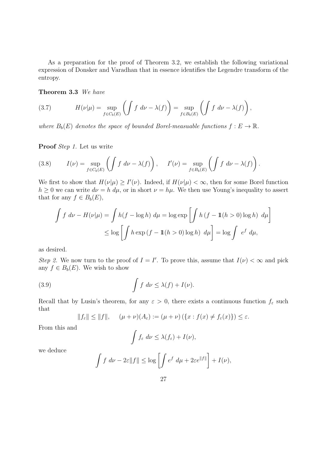As a preparation for the proof of Theorem 3.2, we establish the following variational expression of Donsker and Varadhan that in essence identifies the Legendre transform of the entropy.

#### Theorem 3.3 We have

(3.7) 
$$
H(\nu|\mu) = \sup_{f \in C_b(E)} \left( \int f \ d\nu - \lambda(f) \right) = \sup_{f \in B_b(E)} \left( \int f \ d\nu - \lambda(f) \right),
$$

where  $B_b(E)$  denotes the space of bounded Borel-measuable functions  $f : E \to \mathbb{R}$ .

Proof Step 1. Let us write

(3.8) 
$$
I(\nu) = \sup_{f \in C_b(E)} \left( \int f \ d\nu - \lambda(f) \right), \quad I'(\nu) = \sup_{f \in B_b(E)} \left( \int f \ d\nu - \lambda(f) \right).
$$

We first to show that  $H(\nu|\mu) \geq I'(\nu)$ . Indeed, if  $H(\nu|\mu) < \infty$ , then for some Borel function  $h \geq 0$  we can write  $d\nu = h d\mu$ , or in short  $\nu = h\mu$ . We then use Young's inequality to assert that for any  $f \in B_b(E)$ ,

$$
\int f \, d\nu - H(\nu|\mu) = \int h(f - \log h) \, d\mu = \log \exp \left[ \int h \, (f - \mathbb{1}(h > 0) \log h) \, d\mu \right]
$$
\n
$$
\leq \log \left[ \int h \exp \left( f - \mathbb{1}(h > 0) \log h \right) \, d\mu \right] = \log \int e^f \, d\mu,
$$

as desired.

Step 2. We now turn to the proof of  $I = I'$ . To prove this, assume that  $I(\nu) < \infty$  and pick any  $f \in B_b(E)$ . We wish to show

(3.9) 
$$
\int f \, d\nu \leq \lambda(f) + I(\nu).
$$

Recall that by Lusin's theorem, for any  $\varepsilon > 0$ , there exists a continuous function  $f_{\varepsilon}$  such that

$$
||f_{\varepsilon}|| \le ||f||
$$
,  $(\mu + \nu)(A_{\varepsilon}) := (\mu + \nu)(\{x : f(x) \ne f_{\varepsilon}(x)\}) \le \varepsilon$ .

From this and

$$
\int f_{\varepsilon} d\nu \leq \lambda(f_{\varepsilon}) + I(\nu),
$$

we deduce

$$
\int f \ d\nu - 2\varepsilon \|f\| \le \log \left[ \int e^f \ d\mu + 2\varepsilon e^{\|f\|} \right] + I(\nu),
$$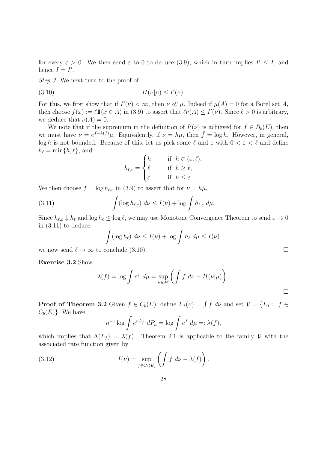for every  $\varepsilon > 0$ . We then send  $\varepsilon$  to 0 to deduce (3.9), which in turn implies  $I' \leq I$ , and hence  $I = I'$ .

Step 3. We next turn to the proof of

(3.10) H(ν|µ) ≤ I 0 (ν).

For this, we first show that if  $I'(\nu) < \infty$ , then  $\nu \ll \mu$ . Indeed if  $\mu(A) = 0$  for a Borel set A, then choose  $f(x) := \ell \mathbb{1}(x \in A)$  in (3.9) to assert that  $\ell \nu(A) \leq I'(\nu)$ . Since  $\ell > 0$  is arbitrary, we deduce that  $\nu(A) = 0$ .

We note that if the supremum in the definition of  $I'(\nu)$  is achieved for  $\bar{f} \in B_b(E)$ , then we must have  $\nu = e^{\bar{f}-\lambda(\bar{f})}\mu$ . Equivalently, if  $\nu = h\mu$ , then  $\bar{f} = \log h$ . However, in general, log h is not bounded. Because of this, let us pick some  $\ell$  and  $\varepsilon$  with  $0 < \varepsilon < \ell$  and define  $h_{\ell} = \min\{h, \ell\},\$  and

$$
h_{\ell,\varepsilon} = \begin{cases} h & \text{if } h \in (\varepsilon,\ell), \\ \ell & \text{if } h \ge \ell, \\ \varepsilon & \text{if } h \le \varepsilon. \end{cases}
$$

We then choose  $f = \log h_{\ell,\varepsilon}$  in (3.9) to assert that for  $\nu = h\mu$ ,

(3.11) 
$$
\int (\log h_{\ell,\varepsilon}) \, d\nu \le I(\nu) + \log \int h_{\ell,\varepsilon} \, d\mu.
$$

Since  $h_{\ell,\varepsilon} \downarrow h_{\ell}$  and  $\log h_{\ell} \leq \log \ell$ , we may use Monotone Convergence Theorem to send  $\varepsilon \to 0$ in (3.11) to deduce

$$
\int (\log h_{\ell}) d\nu \le I(\nu) + \log \int h_{\ell} d\mu \le I(\nu).
$$

we now send  $\ell \to \infty$  to conclude (3.10).

Exercise 3.2 Show

$$
\lambda(f) = \log \int e^f \ d\mu = \sup_{\nu \in \mathcal{M}} \left( \int f \ d\nu - H(\nu|\mu) \right).
$$

**Proof of Theorem 3.2** Given  $f \in C_b(E)$ , define  $L_f(\nu) = \int f \, d\nu$  and set  $\mathcal{V} = \{L_f : f \in$  $C_b(E)$ . We have

$$
n^{-1}\log\int e^{nL_f} dP_n = \log\int e^f d\mu =: \lambda(f),
$$

which implies that  $\Lambda(L_f) = \lambda(f)$ . Theorem 2.1 is applicable to the family V with the associated rate function given by

(3.12) 
$$
I(\nu) = \sup_{f \in C_b(E)} \left( \int f \, d\nu - \lambda(f) \right).
$$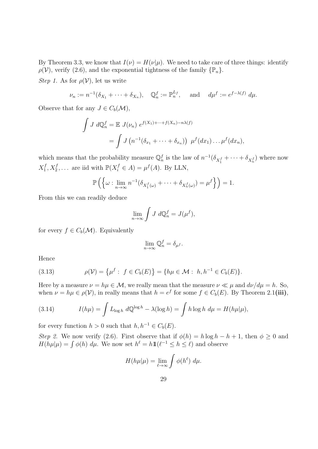By Theorem 3.3, we know that  $I(\nu) = H(\nu|\mu)$ . We need to take care of three things: identify  $\rho(\mathcal{V})$ , verify (2.6), and the exponential tightness of the family  $\{\mathbb{P}_n\}$ .

*Step 1.* As for  $\rho(\mathcal{V})$ , let us write

$$
\nu_n := n^{-1}(\delta_{X_1} + \dots + \delta_{X_n}), \quad \mathbb{Q}_n^f := \mathbb{P}_n^{L_f}, \quad \text{and} \quad d\mu^f := e^{f - \lambda(f)} d\mu.
$$

Observe that for any  $J \in C_b(\mathcal{M}),$ 

$$
\int J d\mathbb{Q}_n^f = \mathbb{E} J(\nu_n) e^{f(X_1) + \dots + f(X_n) - n\lambda(f)}
$$
  
= 
$$
\int J(n^{-1}(\delta_{x_1} + \dots + \delta_{x_n})) \mu^f(dx_1) \dots \mu^f(dx_n),
$$

which means that the probability measure  $\mathbb{Q}_n^f$  is the law of  $n^{-1}(\delta_{X_1^f} + \cdots + \delta_{X_n^f})$  where now  $X_1^f$  $f_1, X_2^f, \ldots$  are iid with  $\mathbb{P}(X_i^f \in A) = \mu^f(A)$ . By LLN,

$$
\mathbb{P}\left(\left\{\omega:\lim_{n\to\infty}n^{-1}(\delta_{X_1^f(\omega)}+\cdots+\delta_{X_n^f(\omega)})=\mu^f\right\}\right)=1.
$$

From this we can readily deduce

$$
\lim_{n \to \infty} \int J \, d\mathbb{Q}_n^f = J(\mu^f),
$$

for every  $f \in C_b(\mathcal{M})$ . Equivalently

$$
\lim_{n\to\infty} \mathbb{Q}_n^f = \delta_{\mu^f}.
$$

Hence

(3.13) 
$$
\rho(\mathcal{V}) = \left\{ \mu^f : f \in C_b(E) \right\} = \left\{ h\mu \in \mathcal{M} : h, h^{-1} \in C_b(E) \right\}.
$$

Here by a measure  $\nu = h\mu \in \mathcal{M}$ , we really mean that the measure  $\nu \ll \mu$  and  $d\nu/d\mu = h$ . So, when  $\nu = h\mu \in \rho(\mathcal{V})$ , in really means that  $h = e^f$  for some  $f \in C_b(E)$ . By Theorem 2.1(iii),

(3.14) 
$$
I(h\mu) = \int L_{\log h} d\mathbb{Q}^{\log h} - \lambda(\log h) = \int h \log h \ d\mu = H(h\mu|\mu),
$$

for every function  $h > 0$  such that  $h, h^{-1} \in C_b(E)$ .

Step 2. We now verify (2.6). First observe that if  $\phi(h) = h \log h - h + 1$ , then  $\phi \ge 0$  and  $H(h\mu|\mu) = \int \phi(h) \, d\mu$ . We now set  $h^{\ell} = h \mathbb{1}(\ell^{-1} \leq h \leq \ell)$  and observe

$$
H(h\mu|\mu) = \lim_{\ell \to \infty} \int \phi(h^{\ell}) \, d\mu.
$$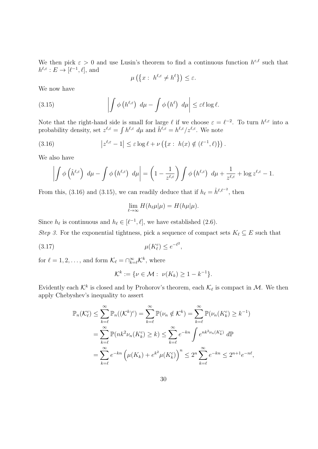We then pick  $\varepsilon > 0$  and use Lusin's theorem to find a continuous function  $h^{\varepsilon,\ell}$  such that  $h^{\ell,\varepsilon}: E \to [\ell^{-1}, \ell],$  and

$$
\mu\left(\left\{x:\ h^{\ell,\varepsilon}\neq h^{\ell}\right\}\right)\leq\varepsilon.
$$

We now have

(3.15) 
$$
\left| \int \phi \left( h^{\ell, \varepsilon} \right) \, d\mu - \int \phi \left( h^{\ell} \right) \, d\mu \right| \leq \varepsilon \ell \log \ell.
$$

Note that the right-hand side is small for large  $\ell$  if we choose  $\varepsilon = \ell^{-2}$ . To turn  $h^{\ell,\varepsilon}$  into a probability density, set  $z^{\ell,\varepsilon} = \int h^{\ell,\varepsilon} d\mu$  and  $\hat{h}^{\ell,\varepsilon} = h^{\ell,\varepsilon}/z^{\ell,\varepsilon}$ . We note

(3.16) 
$$
\left| z^{\ell,\varepsilon} - 1 \right| \leq \varepsilon \log \ell + \nu \left( \{ x : h(x) \notin (\ell^{-1}, \ell) \} \right).
$$

We also have

$$
\left| \int \phi\left(\hat{h}^{\ell,\varepsilon}\right) d\mu - \int \phi\left(h^{\ell,\varepsilon}\right) d\mu \right| = \left(1 - \frac{1}{z^{\ell,\varepsilon}}\right) \int \phi\left(h^{\ell,\varepsilon}\right) d\mu + \frac{1}{z^{\ell,\varepsilon}} + \log z^{\ell,\varepsilon} - 1.
$$

From this, (3.16) and (3.15), we can readily deduce that if  $h_\ell = \hat{h}^{\ell,\ell-2}$ , then

$$
\lim_{\ell \to \infty} H(h_{\ell}\mu|\mu) = H(h\mu|\mu).
$$

Since  $h_{\ell}$  is continuous and  $h_{\ell} \in [\ell^{-1}, \ell]$ , we have established (2.6).

Step 3. For the exponential tightness, pick a sequence of compact sets  $K_\ell \subseteq E$  such that

$$
\mu(K_{\ell}^c) \le e^{-\ell^2},
$$

for  $\ell = 1, 2, \ldots$ , and form  $\mathcal{K}_{\ell} = \bigcap_{k=\ell}^{\infty} \mathcal{K}^{k}$ , where

$$
\mathcal{K}^k := \{ \nu \in \mathcal{M} : \ \nu(K_k) \geq 1 - k^{-1} \}.
$$

Evidently each  $\mathcal{K}^k$  is closed and by Prohorov's theorem, each  $\mathcal{K}_\ell$  is compact in M. We then apply Chebyshev's inequality to assert

$$
\mathbb{P}_n(\mathcal{K}_\ell^c) \leq \sum_{k=\ell}^\infty \mathbb{P}_n((\mathcal{K}^k)^c) = \sum_{k=\ell}^\infty \mathbb{P}(\nu_n \notin \mathcal{K}^k) = \sum_{k=\ell}^\infty \mathbb{P}(\nu_n(K_k^c) \geq k^{-1})
$$
  
= 
$$
\sum_{k=\ell}^\infty \mathbb{P}(nk^2 \nu_n(K_k^c) \geq k) \leq \sum_{k=\ell}^\infty e^{-kn} \int e^{nk^2 \nu_n(K_k^c)} d\mathbb{P}
$$
  
= 
$$
\sum_{k=\ell}^\infty e^{-kn} \left(\mu(K_k) + e^{k^2} \mu(K_k^c)\right)^n \leq 2^n \sum_{k=\ell}^\infty e^{-kn} \leq 2^{n+1} e^{-n\ell},
$$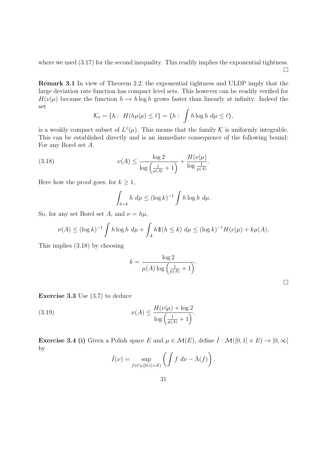where we used  $(3.17)$  for the second inequality. This readily implies the exponential tightness.  $\Box$ 

Remark 3.1 In view of Theorem 2.2, the exponential tightness and ULDP imply that the large deviation rate function has compact level sets. This however can be readily verified for  $H(\nu|\mu)$  because the function  $h \mapsto h \log h$  grows faster than linearly at infinity. Indeed the set

$$
\mathcal{K}_{\ell} = \{ h: H(h\mu|\mu) \leq \ell \} = \{ h: \int h \log h \ d\mu \leq \ell \},
$$

is a weakly compact subset of  $L^1(\mu)$ . This means that the family K is uniformly integrable. This can be established directly and is an immediate consequence of the following bound: For any Borel set A,

(3.18) 
$$
\nu(A) \le \frac{\log 2}{\log \left(\frac{1}{\mu(A)} + 1\right)} + \frac{H(\nu|\mu)}{\log \frac{1}{\mu(A)}}.
$$

Here how the proof goes; for  $k \geq 1$ ,

$$
\int_{h>k} h \, d\mu \le (\log k)^{-1} \int h \log h \, d\mu.
$$

So, for any set Borel set A, and  $\nu = h\mu$ ,

$$
\nu(A) \leq (\log k)^{-1} \int h \log h \ d\mu + \int_A h1\mathbb{1}(h \leq k) \ d\mu \leq (\log k)^{-1} H(\nu|\mu) + k\mu(A).
$$

This implies (3.18) by choosing

$$
k = \frac{\log 2}{\mu(A) \log \left(\frac{1}{\mu(A)} + 1\right)}.
$$

 $\Box$ 

| <b>Exercise 3.3</b> Use $(3.7)$ to deduce |  |  |  |
|-------------------------------------------|--|--|--|
|                                           |  |  |  |

(3.19) 
$$
\nu(A) \le \frac{H(\nu|\mu) + \log 2}{\log(\frac{1}{\mu(A)} + 1)}.
$$

**Exercise 3.4 (i)** Given a Polish space E and  $\mu \in \mathcal{M}(E)$ , define  $\hat{I}: \mathcal{M}([0,1] \times E) \to [0,\infty]$ by

$$
\hat{I}(\nu) = \sup_{f \in C_b([0,1] \times E)} \left( \int f \, d\nu - \hat{\Lambda}(f) \right),
$$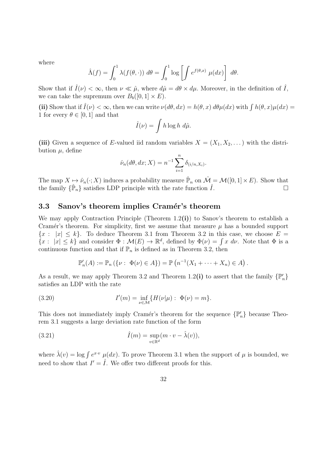where

$$
\hat{\Lambda}(f) = \int_0^1 \lambda(f(\theta, \cdot)) \ d\theta = \int_0^1 \log \left[ \int e^{f(\theta, x)} \ \mu(dx) \right] \ d\theta.
$$

Show that if  $\hat{I}(\nu) < \infty$ , then  $\nu \ll \hat{\mu}$ , where  $d\hat{\mu} = d\theta \times d\mu$ . Moreover, in the definition of  $\hat{I}$ , we can take the supremum over  $B_b([0, 1] \times E)$ .

(ii) Show that if  $\hat{I}(\nu) < \infty$ , then we can write  $\nu(d\theta, dx) = h(\theta, x) d\theta \mu(dx)$  with  $\int h(\theta, x) \mu(dx) =$ 1 for every  $\theta \in [0, 1]$  and that

$$
\hat{I}(\nu) = \int h \log h \ d\hat{\mu}.
$$

(iii) Given a sequence of E-valued iid random variables  $X = (X_1, X_2, \dots)$  with the distribution  $\mu$ , define

$$
\hat{\nu}_n(d\theta, dx; X) = n^{-1} \sum_{i=1}^n \delta_{(i/n, X_i)}.
$$

The map  $X \mapsto \hat{\nu}_n(\cdot; X)$  induces a probability measure  $\hat{\mathbb{P}}_n$  on  $\hat{\mathcal{M}} = \mathcal{M}([0, 1] \times E)$ . Show that the family  $\{\hat{\mathbb{P}}_n\}$  satisfies LDP principle with the rate function  $\hat{I}$ .

#### 3.3 Sanov's theorem implies Cramér's theorem

We may apply Contraction Principle (Theorem 1.2(i)) to Sanov's theorem to establish a Cramér's theorem. For simplicity, first we assume that measure  $\mu$  has a bounded support  ${x : |x| \leq k}$ . To deduce Theorem 3.1 from Theorem 3.2 in this case, we choose  $E =$  ${x : |x| \leq k}$  and consider  $\Phi : \mathcal{M}(E) \to \mathbb{R}^d$ , defined by  $\Phi(\nu) = \int x \, d\nu$ . Note that  $\Phi$  is a continuous function and that if  $\mathbb{P}_n$  is defined as in Theorem 3.2, then

$$
\mathbb{P}'_n(A) := \mathbb{P}_n (\{\nu : \Phi(\nu) \in A\}) = \mathbb{P} (n^{-1}(X_1 + \cdots + X_n) \in A).
$$

As a result, we may apply Theorem 3.2 and Theorem 1.2(i) to assert that the family  $\{\mathbb{P}_n'\}$ satisfies an LDP with the rate

(3.20) 
$$
I'(m) = \inf_{\nu \in \mathcal{M}} \{ H(\nu | \mu) : \Phi(\nu) = m \}.
$$

This does not immediately imply Cramér's theorem for the sequence  $\{\mathbb{P}'_n\}$  because Theorem 3.1 suggests a large deviation rate function of the form

(3.21) 
$$
\hat{I}(m) = \sup_{v \in \mathbb{R}^d} (m \cdot v - \hat{\lambda}(v)),
$$

where  $\hat{\lambda}(v) = \log \int e^{x \cdot v} \mu(dx)$ . To prove Theorem 3.1 when the support of  $\mu$  is bounded, we need to show that  $I' = \hat{I}$ . We offer two different proofs for this.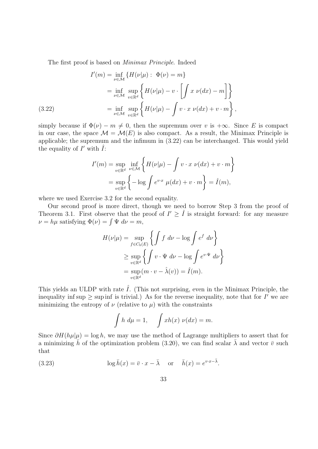The first proof is based on Minimax Principle. Indeed

(3.22) 
$$
I'(m) = \inf_{\nu \in \mathcal{M}} \{ H(\nu | \mu) : \Phi(\nu) = m \}
$$

$$
= \inf_{\nu \in \mathcal{M}} \sup_{v \in \mathbb{R}^d} \left\{ H(\nu | \mu) - v \cdot \left[ \int x \nu(dx) - m \right] \right\}
$$

$$
= \inf_{\nu \in \mathcal{M}} \sup_{v \in \mathbb{R}^d} \left\{ H(\nu | \mu) - \int v \cdot x \nu(dx) + v \cdot m \right\},
$$

simply because if  $\Phi(\nu) - m \neq 0$ , then the supremum over v is  $+\infty$ . Since E is compact in our case, the space  $\mathcal{M} = \mathcal{M}(E)$  is also compact. As a result, the Minimax Principle is applicable; the supremum and the infimum in (3.22) can be interchanged. This would yield the equality of  $I'$  with  $\hat{I}$ :

$$
I'(m) = \sup_{v \in \mathbb{R}^d} \inf_{\nu \in \mathcal{M}} \left\{ H(\nu | \mu) - \int v \cdot x \, \nu(dx) + v \cdot m \right\}
$$
  
= 
$$
\sup_{v \in \mathbb{R}^d} \left\{ -\log \int e^{v \cdot x} \, \mu(dx) + v \cdot m \right\} = \hat{I}(m),
$$

where we used Exercise 3.2 for the second equality.

Our second proof is more direct, though we need to borrow Step 3 from the proof of Theorem 3.1. First observe that the proof of  $I' \geq \hat{I}$  is straight forward: for any measure  $\nu = h\mu$  satisfying  $\Phi(\nu) = \int \Psi \, d\nu = m$ ,

$$
H(\nu|\mu) = \sup_{f \in C_b(E)} \left\{ \int f \ d\nu - \log \int e^f \ d\nu \right\}
$$
  

$$
\geq \sup_{v \in \mathbb{R}^d} \left\{ \int v \cdot \Psi \ d\nu - \log \int e^{v \cdot \Psi} \ d\nu \right\}
$$
  

$$
= \sup_{v \in \mathbb{R}^d} (m \cdot v - \hat{\lambda}(v)) = \hat{I}(m).
$$

This yields an ULDP with rate  $\hat{I}$ . (This not surprising, even in the Minimax Principle, the inequality inf sup  $\geq$  sup inf is trivial.) As for the reverse inequality, note that for I' we are minimizing the entropy of  $\nu$  (relative to  $\mu$ ) with the constraints

$$
\int h \ d\mu = 1, \quad \int xh(x) \ \nu(dx) = m.
$$

Since  $\partial H(h\mu|\mu) = \log h$ , we may use the method of Lagrange multipliers to assert that for a minimizing  $\bar{h}$  of the optimization problem (3.20), we can find scalar  $\bar{\lambda}$  and vector  $\bar{v}$  such that

(3.23) 
$$
\log \bar{h}(x) = \bar{v} \cdot x - \bar{\lambda} \quad \text{or} \quad \bar{h}(x) = e^{v \cdot x - \bar{\lambda}}.
$$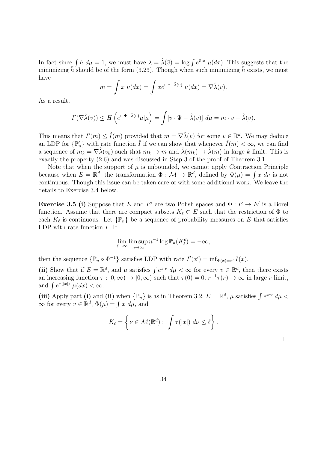In fact since  $\int \bar{h} d\mu = 1$ , we must have  $\bar{\lambda} = \hat{\lambda}(\bar{v}) = \log \int e^{\bar{v} \cdot x} \mu(dx)$ . This suggests that the minimizing h should be of the form (3.23). Though when such minimizing h exists, we must have

$$
m = \int x \ \nu(dx) = \int x e^{v \cdot x - \hat{\lambda}(v)} \ \nu(dx) = \nabla \hat{\lambda}(v).
$$

As a result,

$$
I'(\nabla \hat{\lambda}(v)) \le H\left(e^{v \cdot \Psi - \hat{\lambda}(v)}\mu|\mu\right) = \int [v \cdot \Psi - \hat{\lambda}(v)] \, d\mu = m \cdot v - \hat{\lambda}(v).
$$

This means that  $I'(m) \leq \hat{I}(m)$  provided that  $m = \nabla \hat{\lambda}(v)$  for some  $v \in \mathbb{R}^d$ . We may deduce an LDP for  $\{\mathbb{P}'_n\}$  with rate function  $\hat{I}$  if we can show that whenever  $\hat{I}(m) < \infty$ , we can find a sequence of  $m_k = \nabla \lambda(v_k)$  such that  $m_k \to m$  and  $\lambda(m_k) \to \lambda(m)$  in large k limit. This is exactly the property (2.6) and was discussed in Step 3 of the proof of Theorem 3.1.

Note that when the support of  $\mu$  is unbounded, we cannot apply Contraction Principle because when  $E = \mathbb{R}^d$ , the transformation  $\Phi : \mathcal{M} \to \mathbb{R}^d$ , defined by  $\Phi(\mu) = \int x \, d\nu$  is not continuous. Though this issue can be taken care of with some additional work. We leave the details to Exercise 3.4 below.

**Exercise 3.5 (i)** Suppose that E and E' are two Polish spaces and  $\Phi : E \to E'$  is a Borel function. Assume that there are compact subsets  $K_\ell \subset E$  such that the restriction of  $\Phi$  to each  $K_{\ell}$  is continuous. Let  $\{\mathbb{P}_n\}$  be a sequence of probability measures on E that satisfies LDP with rate function  $I$ . If

$$
\lim_{\ell \to \infty} \limsup_{n \to \infty} n^{-1} \log \mathbb{P}_n(K_{\ell}^c) = -\infty,
$$

then the sequence  $\{\mathbb{P}_n \circ \Phi^{-1}\}\$  satisfies LDP with rate  $I'(x') = \inf_{\Phi(x) = x'} I(x)$ .

(ii) Show that if  $E = \mathbb{R}^d$ , and  $\mu$  satisfies  $\int e^{x \cdot v} d\mu < \infty$  for every  $v \in \mathbb{R}^d$ , then there exists an increasing function  $\tau : [0, \infty) \to [0, \infty)$  such that  $\tau(0) = 0$ ,  $r^{-1}\tau(r) \to \infty$  in large r limit, and  $\int e^{\tau(|x|)} \mu(dx) < \infty$ .

(iii) Apply part (i) and (ii) when  $\{\mathbb{P}_n\}$  is as in Theorem 3.2,  $E = \mathbb{R}^d$ ,  $\mu$  satisfies  $\int e^{x \cdot v} d\mu$  $\infty$  for every  $v \in \mathbb{R}^d$ ,  $\Phi(\mu) = \int x \, d\mu$ , and

$$
K_{\ell} = \left\{ \nu \in \mathcal{M}(\mathbb{R}^d) : \int \tau(|x|) \, d\nu \le \ell \right\}.
$$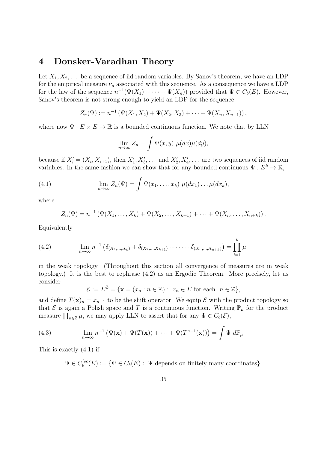# 4 Donsker-Varadhan Theory

Let  $X_1, X_2, \ldots$  be a sequence of iid random variables. By Sanov's theorem, we have an LDP for the empirical measure  $\nu_n$  associated with this sequence. As a consequence we have a LDP for the law of the sequence  $n^{-1}(\Psi(X_1) + \cdots + \Psi(X_n))$  provided that  $\Psi \in C_b(E)$ . However, Sanov's theorem is not strong enough to yield an LDP for the sequence

$$
Z_n(\Psi) := n^{-1} \left( \Psi(X_1, X_2) + \Psi(X_2, X_3) + \cdots + \Psi(X_n, X_{n+1}) \right),
$$

where now  $\Psi: E \times E \to \mathbb{R}$  is a bounded continuous function. We note that by LLN

$$
\lim_{n \to \infty} Z_n = \int \Psi(x, y) \mu(dx) \mu(dy),
$$

because if  $X_i' = (X_i, X_{i+1}),$  then  $X_1', X_3', \ldots$  and  $X_2', X_4', \ldots$  are two sequences of iid random variables. In the same fashion we can show that for any bounded continuous  $\Psi: E^k \to \mathbb{R}$ ,

(4.1) 
$$
\lim_{n\to\infty} Z_n(\Psi) = \int \Psi(x_1,\ldots,x_k) \ \mu(dx_1) \ldots \mu(dx_k),
$$

where

$$
Z_n(\Psi) = n^{-1} \left( \Psi(X_1, \ldots, X_k) + \Psi(X_2, \ldots, X_{k+1}) + \cdots + \Psi(X_n, \ldots, X_{n+k}) \right).
$$

Equivalently

(4.2) 
$$
\lim_{n \to \infty} n^{-1} \left( \delta_{(X_1, ..., X_k)} + \delta_{(X_2, ..., X_{k+1})} + \cdots + \delta_{(X_n, ..., X_{n+k})} \right) = \prod_{i=1}^k \mu,
$$

in the weak topology. (Throughout this section all convergence of measures are in weak topology.) It is the best to rephrase (4.2) as an Ergodic Theorem. More precisely, let us consider

$$
\mathcal{E} := E^{\mathbb{Z}} = \{ \mathbf{x} = (x_n : n \in \mathbb{Z}) : \ x_n \in E \text{ for each } n \in \mathbb{Z} \},
$$

and define  $T(\mathbf{x})_n = x_{n+1}$  to be the shift operator. We equip  $\mathcal E$  with the product topology so that  $\mathcal E$  is again a Polish space and T is a continuous function. Writing  $\mathbb P_\mu$  for the product measure  $\prod_{n\in\mathbb{Z}}\mu$ , we may apply LLN to assert that for any  $\Psi\in C_b(\mathcal{E}),$ 

(4.3) 
$$
\lim_{n \to \infty} n^{-1} \left( \Psi(\mathbf{x}) + \Psi(T(\mathbf{x})) + \dots + \Psi(T^{n-1}(\mathbf{x})) \right) = \int \Psi \ d\mathbb{P}_{\mu}.
$$

This is exactly (4.1) if

 $\Psi \in C_b^{loc}(E) := \{ \Psi \in C_b(E) : \Psi \text{ depends on finitely many coordinates} \}.$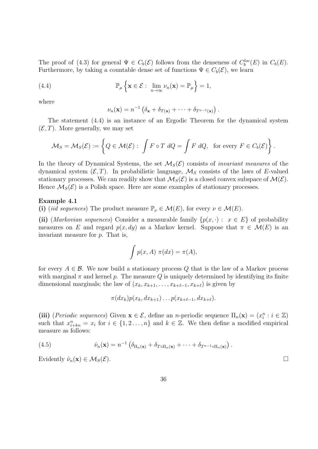The proof of (4.3) for general  $\Psi \in C_b(\mathcal{E})$  follows from the denseness of  $C_b^{loc}(E)$  in  $C_b(E)$ . Furthermore, by taking a countable dense set of functions  $\Psi \in C_b(\mathcal{E})$ , we learn

(4.4) 
$$
\mathbb{P}_{\mu}\left\{\mathbf{x}\in\mathcal{E}: \lim_{n\to\infty} \nu_n(\mathbf{x}) = \mathbb{P}_{\mu}\right\} = 1,
$$

where

$$
\nu_n(\mathbf{x}) = n^{-1} \left( \delta_{\mathbf{x}} + \delta_{T(\mathbf{x})} + \cdots + \delta_{T^{n-1}(\mathbf{x})} \right).
$$

The statement (4.4) is an instance of an Ergodic Theorem for the dynamical system  $(\mathcal{E}, T)$ . More generally, we may set

$$
\mathcal{M}_S = \mathcal{M}_S(\mathcal{E}) := \left\{ Q \in \mathcal{M}(\mathcal{E}) : \int F \circ T \ dQ = \int F \ dQ, \text{ for every } F \in C_b(\mathcal{E}) \right\}.
$$

In the theory of Dynamical Systems, the set  $\mathcal{M}_{S}(\mathcal{E})$  consists of *invariant measures* of the dynamical system  $(\mathcal{E}, T)$ . In probabilistic language,  $\mathcal{M}_S$  consists of the laws of E-valued stationary processes. We can readily show that  $\mathcal{M}_S(\mathcal{E})$  is a closed convex subspace of  $\mathcal{M}(\mathcal{E})$ . Hence  $\mathcal{M}_{S}(\mathcal{E})$  is a Polish space. Here are some examples of stationary processes.

#### Example 4.1

(i) (iid sequences) The product measure  $\mathbb{P}_{\nu} \in \mathcal{M}(E)$ , for every  $\nu \in \mathcal{M}(E)$ .

(ii) (Markovian sequences) Consider a measurable family  $\{p(x, \cdot) : x \in E\}$  of probability measures on E and regard  $p(x, dy)$  as a Markov kernel. Suppose that  $\pi \in \mathcal{M}(E)$  is an invariant measure for p. That is,

$$
\int p(x, A) \pi(dx) = \pi(A),
$$

for every  $A \in \mathcal{B}$ . We now build a stationary process Q that is the law of a Markov process with marginal  $\pi$  and kernel p. The measure Q is uniquely determined by identifying its finite dimensional marginals; the law of  $(x_k, x_{k+1}, \ldots, x_{k+\ell-1}, x_{k+\ell})$  is given by

$$
\pi(dx_k)p(x_k,dx_{k+1})\ldots p(x_{k+\ell-1},dx_{k+\ell}).
$$

(iii) (*Periodic sequences*) Given  $\mathbf{x} \in \mathcal{E}$ , define an *n*-periodic sequence  $\Pi_n(\mathbf{x}) = (x_i^n : i \in \mathbb{Z})$ such that  $x_{i+kn}^n = x_i$  for  $i \in \{1, 2, ..., n\}$  and  $k \in \mathbb{Z}$ . We then define a modified empirical measure as follows:

(4.5) 
$$
\hat{\nu}_n(\mathbf{x}) = n^{-1} \left( \delta_{\Pi_n(\mathbf{x})} + \delta_{T \circ \Pi_n(\mathbf{x})} + \cdots + \delta_{T^{n-1} \circ \Pi_n(\mathbf{x})} \right).
$$

Evidently  $\hat{\nu}_n(\mathbf{x}) \in \mathcal{M}_S(\mathcal{E}).$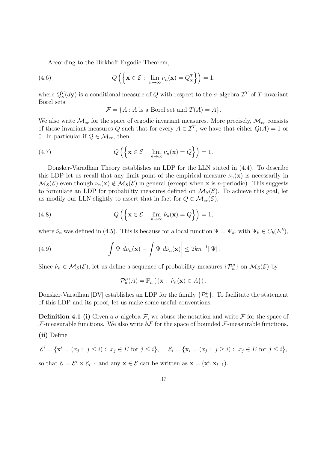According to the Birkhoff Ergodic Theorem,

(4.6) 
$$
Q\left(\left\{\mathbf{x}\in\mathcal{E}: \lim_{n\to\infty} \nu_n(\mathbf{x})=Q_\mathbf{x}^T\right\}\right)=1,
$$

where  $Q_{\mathbf{x}}^T(dy)$  is a conditional measure of Q with respect to the  $\sigma$ -algebra  $\mathcal{I}^T$  of T-invariant Borel sets:

$$
\mathcal{F} = \{A : A \text{ is a Borel set and } T(A) = A\}.
$$

We also write  $\mathcal{M}_{er}$  for the space of ergodic invariant measures. More precisely,  $\mathcal{M}_{er}$  consists of those invariant measures Q such that for every  $A \in \mathcal{I}^T$ , we have that either  $Q(A) = 1$  or 0. In particular if  $Q \in \mathcal{M}_{er}$ , then

(4.7) 
$$
Q\left(\left\{\mathbf{x}\in\mathcal{E}: \lim_{n\to\infty} \nu_n(\mathbf{x})=Q\right\}\right)=1.
$$

Donsker-Varadhan Theory establishes an LDP for the LLN stated in (4.4). To describe this LDP let us recall that any limit point of the empirical measure  $\nu_n(\mathbf{x})$  is necessarily in  $\mathcal{M}_S(\mathcal{E})$  even though  $\nu_n(\mathbf{x}) \notin \mathcal{M}_S(\mathcal{E})$  in general (except when **x** is *n*-periodic). This suggests to formulate an LDP for probability measures defined on  $\mathcal{M}_S(\mathcal{E})$ . To achieve this goal, let us modify our LLN slightly to assert that in fact for  $Q \in \mathcal{M}_{er}(\mathcal{E}),$ 

(4.8) 
$$
Q\left(\left\{\mathbf{x}\in\mathcal{E}: \lim_{n\to\infty} \hat{\nu}_n(\mathbf{x})=Q\right\}\right)=1,
$$

where  $\hat{\nu}_n$  was defined in (4.5). This is because for a local function  $\Psi = \Psi_k$ , with  $\Psi_k \in C_b(E^k)$ ,

(4.9) 
$$
\left| \int \Psi \ d\nu_n(\mathbf{x}) - \int \Psi \ d\hat{\nu}_n(\mathbf{x}) \right| \leq 2kn^{-1} \|\Psi\|.
$$

Since  $\hat{\nu}_n \in M_S(\mathcal{E})$ , let us define a sequence of probability measures  $\{\mathcal{P}_n^{\mu}\}$  on  $M_S(\mathcal{E})$  by

$$
\mathcal{P}_n^{\mu}(A) = \mathbb{P}_{\mu}\left(\{\mathbf{x}: \ \hat{\nu}_n(\mathbf{x}) \in A\}\right).
$$

Donsker-Varadhan [DV] establishes an LDP for the family  $\{\mathcal{P}_n^{\mu}\}\$ . To facilitate the statement of this LDP and its proof, let us make some useful conventions.

**Definition 4.1 (i)** Given a  $\sigma$ -algebra F, we abuse the notation and write F for the space of F-measurable functions. We also write  $b\mathcal{F}$  for the space of bounded F-measurable functions. (ii) Define

$$
\mathcal{E}^i = \{ \mathbf{x}^i = (x_j : j \le i) : x_j \in E \text{ for } j \le i \}, \quad \mathcal{E}_i = \{ \mathbf{x}_i = (x_j : j \ge i) : x_j \in E \text{ for } j \le i \},
$$
  
so that  $\mathcal{E} = \mathcal{E}^i \times \mathcal{E}_{i+1}$  and any  $\mathbf{x} \in \mathcal{E}$  can be written as  $\mathbf{x} = (\mathbf{x}^i, \mathbf{x}_{i+1}).$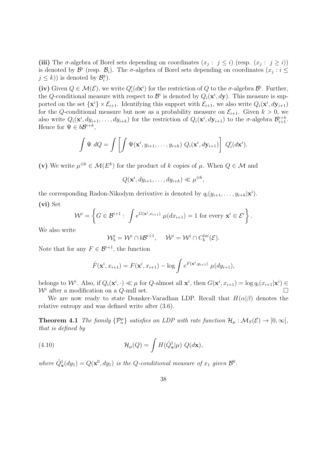(iii) The  $\sigma$ -algebra of Borel sets depending on coordinates  $(x_j : j \leq i)$  (resp.  $(x_j : j \geq i)$ ) is denoted by  $\mathcal{B}^i$  (resp.  $\mathcal{B}_i$ ). The  $\sigma$ -algebra of Borel sets depending on coordinates  $(x_j : i \leq j)$  $j \leq k$ ) is denoted by  $\mathcal{B}_i^k$ ).

(iv) Given  $Q \in \mathcal{M}(\mathcal{E})$ , we write  $Q_i'(d\mathbf{x}^i)$  for the restriction of Q to the  $\sigma$ -algebra  $\mathcal{B}^i$ . Further, the Q-conditional measure with respect to  $\mathcal{B}^i$  is denoted by  $Q_i(\mathbf{x}^i, d\mathbf{y})$ . This measure is supported on the set  $\{x^i\}\times \mathcal{E}_{i+1}$ . Identifying this support with  $\mathcal{E}_{i+1}$ , we also write  $Q_i(x^i, dy_{i+1})$ for the Q-conditional measure but now as a probability measure on  $\mathcal{E}_{i+1}$ . Given  $k > 0$ , we also write  $Q_i(\mathbf{x}^i, dy_{i+1}, \dots, dy_{i+k})$  for the restriction of  $Q_i(\mathbf{x}^i, d\mathbf{y}_{i+1})$  to the  $\sigma$ -algebra  $\mathcal{B}_{i+1}^{i+k}$ . Hence for  $\Psi \in b\mathcal{B}^{i+k}$ ,

$$
\int \Psi \ dQ = \int \left[ \int \Psi(\mathbf{x}^i, y_{i+1}, \dots, y_{i+k}) \ Q_i(\mathbf{x}^i, d\mathbf{y}_{i+1}) \right] \ Q'_i(d\mathbf{x}^i).
$$

(v) We write  $\mu^{\otimes k} \in \mathcal{M}(E^k)$  for the product of k copies of  $\mu$ . When  $Q \in \mathcal{M}$  and

 $Q(\mathbf{x}^i, dy_{i+1}, \dots, dy_{i+k}) \ll \mu^{\otimes k},$ 

the corresponding Radon-Nikodym derivative is denoted by  $q_i(y_{i+1},..., y_{i+k}|\mathbf{x}^i)$ . (vi) Set

$$
\mathcal{W}^i = \left\{ G \in \mathcal{B}^{i+1} : \int e^{G(\mathbf{x}^i, x_{i+1})} \mu(dx_{i+1}) = 1 \text{ for every } \mathbf{x}^i \in \mathcal{E}^i \right\}.
$$

We also write

$$
\mathcal{W}_b^i = \mathcal{W}^i \cap b\mathcal{B}^{i+1}, \quad \hat{\mathcal{W}}^i = \mathcal{W}^i \cap C_b^{loc}(\mathcal{E}).
$$

Note that for any  $F \in \mathcal{B}^{i+1}$ , the function

$$
\hat{F}(\mathbf{x}^i, x_{i+1}) = F(\mathbf{x}^i, x_{i+1}) - \log \int e^{F(\mathbf{x}^i, y_{i+1})} \mu(dy_{i+1}),
$$

belongs to  $\mathcal{W}^i$ . Also, if  $Q_i(\mathbf{x}^i, \cdot) \ll \mu$  for  $Q$ -almost all  $\mathbf{x}^i$ , then  $G(\mathbf{x}^i, x_{i+1}) = \log q_i(x_{i+1}|\mathbf{x}^i) \in$  $\mathcal{W}^i$  after a modification on a Q-null set.

We are now ready to state Donsker-Varadhan LDP. Recall that  $H(\alpha|\beta)$  denotes the relative entropy and was defined write after (3.6).

**Theorem 4.1** The family  $\{\mathcal{P}_n^{\mu}\}\$  satisfies an LDP with rate function  $\mathcal{H}_{\mu} : \mathcal{M}_S(\mathcal{E}) \to [0, \infty],$ that is defined by

(4.10) 
$$
\mathcal{H}_{\mu}(Q) = \int H(\hat{Q}_{\mathbf{x}}^1 | \mu) Q(d\mathbf{x}),
$$

where  $\hat{Q}_{\mathbf{x}}^1(dy_1) = Q(\mathbf{x}^0, dy_1)$  is the Q-conditional measure of  $x_1$  given  $\mathcal{B}^0$ .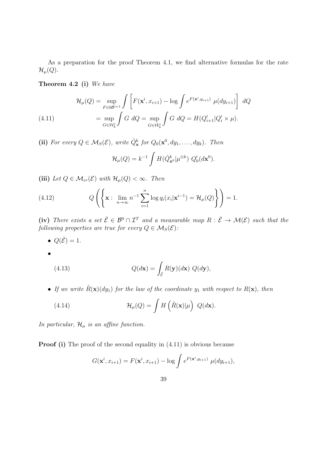As a preparation for the proof Theorem 4.1, we find alternative formulas for the rate  $\mathcal{H}_{\mu}(Q).$ 

Theorem 4.2 (i) We have

$$
\mathcal{H}_{\mu}(Q) = \sup_{F \in b\mathcal{B}^{i+1}} \int \left[ F(\mathbf{x}^i, x_{i+1}) - \log \int e^{F(\mathbf{x}^i, y_{i+1})} \mu(dy_{i+1}) \right] dQ
$$
\n
$$
(4.11) \qquad \qquad = \sup_{G \in \mathcal{W}_b^i} \int G \ dQ = \sup_{G \in \hat{\mathcal{W}}_b^i} \int G \ dQ = H(Q_{i+1}^{\prime}|Q_i^{\prime} \times \mu).
$$

(ii) For every  $Q \in \mathcal{M}_S(\mathcal{E})$ , write  $\hat{Q}_x^k$  for  $Q_0(\mathbf{x}^0, dy_1, \dots, dy_k)$ . Then  $\mathcal{H}_\mu(Q)=k^{-1}\,\int H(\hat{Q}_{\mathbf{x}^0}^k|\mu^{\otimes k})\,\,Q_0'(d\mathbf{x}^0).$ 

(iii) Let  $Q \in \mathcal{M}_{er}(\mathcal{E})$  with  $\mathcal{H}_{\mu}(Q) < \infty$ . Then

(4.12) 
$$
Q\left(\left\{\mathbf{x}: \lim_{n\to\infty} n^{-1}\sum_{i=1}^n \log q_i(x_i|\mathbf{x}^{i-1}) = \mathcal{H}_\mu(Q)\right\}\right) = 1.
$$

(iv) There exists a set  $\overline{\mathcal{E}} \in \mathcal{B}^0 \cap \mathcal{I}^T$  and a measurable map  $R : \overline{\mathcal{E}} \to \mathcal{M}(\mathcal{E})$  such that the following properties are true for every  $Q \in \mathcal{M}_S(\mathcal{E})$ :

•  $Q(\bar{\mathcal{E}})=1$ .

$$
\theta
$$

(4.13) 
$$
Q(d\mathbf{x}) = \int_{\bar{\mathcal{E}}} R(\mathbf{y})(d\mathbf{x}) Q(d\mathbf{y}),
$$

• If we write  $\hat{R}(\mathbf{x})(dy_1)$  for the law of the coordinate  $y_1$  with respect to  $R(\mathbf{x})$ , then

(4.14) 
$$
\mathcal{H}_{\mu}(Q) = \int H\left(\hat{R}(\mathbf{x})|\mu\right) Q(d\mathbf{x}).
$$

In particular,  $\mathcal{H}_{\mu}$  is an affine function.

**Proof (i)** The proof of the second equality in  $(4.11)$  is obvious because

$$
G(\mathbf{x}^i, x_{i+1}) = F(\mathbf{x}^i, x_{i+1}) - \log \int e^{F(\mathbf{x}^i, y_{i+1})} \mu(dy_{i+1}),
$$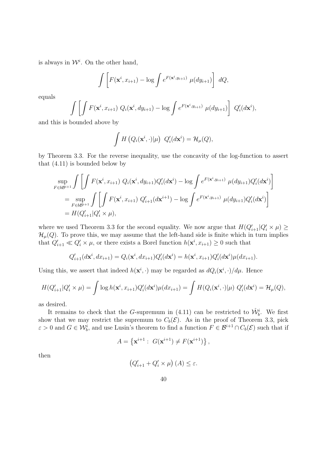is always in  $\mathcal{W}^i$ . On the other hand,

$$
\int \left[ F(\mathbf{x}^i, x_{i+1}) - \log \int e^{F(\mathbf{x}^i, y_{i+1})} \mu(dy_{i+1}) \right] dQ,
$$

equals

$$
\int \left[ \int F(\mathbf{x}^i, x_{i+1}) Q_i(\mathbf{x}^i, dy_{i+1}) - \log \int e^{F(\mathbf{x}^i, y_{i+1})} \mu(dy_{i+1}) \right] Q'_i(d\mathbf{x}^i),
$$

and this is bounded above by

$$
\int H\left(Q_i(\mathbf{x}^i,\cdot)|\mu\right) Q'_i(d\mathbf{x}^i) = \mathcal{H}_{\mu}(Q),
$$

by Theorem 3.3. For the reverse inequality, use the concavity of the log-function to assert that (4.11) is bounded below by

$$
\sup_{F \in b\mathcal{B}^{i+1}} \int \left[ \int F(\mathbf{x}^i, x_{i+1}) Q_i(\mathbf{x}^i, dy_{i+1}) Q'_i(d\mathbf{x}^i) - \log \int e^{F(\mathbf{x}^i, y_{i+1})} \mu(dy_{i+1}) Q'_i(d\mathbf{x}^i) \right]
$$
  
\n
$$
= \sup_{F \in b\mathcal{B}^{i+1}} \int \left[ \int F(\mathbf{x}^i, x_{i+1}) Q'_{i+1}(d\mathbf{x}^{i+1}) - \log \int e^{F(\mathbf{x}^i, y_{i+1})} \mu(dy_{i+1}) Q'_i(d\mathbf{x}^i) \right]
$$
  
\n
$$
= H(Q'_{i+1}|Q'_{i} \times \mu),
$$

where we used Theorem 3.3 for the second equality. We now argue that  $H(Q_{i+1}^{\prime}|Q_i^{\prime} \times \mu) \ge$  $\mathcal{H}_{\mu}(Q)$ . To prove this, we may assume that the left-hand side is finite which in turn implies that  $Q'_{i+1} \ll Q'_{i} \times \mu$ , or there exists a Borel function  $h(\mathbf{x}^{i}, x_{i+1}) \geq 0$  such that

$$
Q'_{i+1}(d\mathbf{x}^i, dx_{i+1}) = Q_i(\mathbf{x}^i, dx_{i+1})Q'_i(d\mathbf{x}^i) = h(\mathbf{x}^i, x_{i+1})Q'_i(d\mathbf{x}^i)\mu(dx_{i+1}).
$$

Using this, we assert that indeed  $h(\mathbf{x}^i, \cdot)$  may be regarded as  $dQ_i(\mathbf{x}^i, \cdot)/d\mu$ . Hence

$$
H(Q'_{i+1}|Q'_{i} \times \mu) = \int \log h(\mathbf{x}^{i}, x_{i+1}) Q'_{i}(d\mathbf{x}^{i}) \mu(dx_{i+1}) = \int H(Q_{i}(\mathbf{x}^{i}, \cdot)|\mu) Q'_{i}(d\mathbf{x}^{i}) = \mathcal{H}_{\mu}(Q),
$$

as desired.

It remains to check that the G-supremum in (4.11) can be restricted to  $\hat{\mathcal{W}}_b^i$ . We first show that we may restrict the supremum to  $C_b(\mathcal{E})$ . As in the proof of Theorem 3.3, pick  $\varepsilon > 0$  and  $G \in \mathcal{W}_b^i$ , and use Lusin's theorem to find a function  $F \in \mathcal{B}^{i+1} \cap C_b(\mathcal{E})$  such that if

$$
A = \{ \mathbf{x}^{i+1} : G(\mathbf{x}^{i+1}) \neq F(\mathbf{x}^{i+1}) \},
$$

then

$$
(Q'_{i+1} + Q'_{i} \times \mu) (A) \le \varepsilon.
$$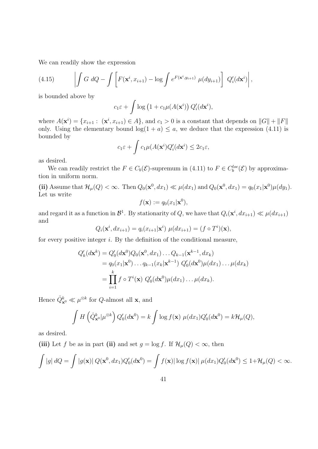We can readily show the expression

(4.15) 
$$
\left| \int G \ dQ - \int \left[ F(\mathbf{x}^i, x_{i+1}) - \log \int e^{F(\mathbf{x}^i, y_{i+1})} \mu(dy_{i+1}) \right] Q'_i(d\mathbf{x}^i) \right|,
$$

is bounded above by

$$
c_1\varepsilon + \int \log\left(1 + c_1\mu(A(\mathbf{x}^i))\,Q'_i(d\mathbf{x}^i)\right),\,
$$

where  $A(\mathbf{x}^i) = \{x_{i+1} : (\mathbf{x}^i, x_{i+1}) \in A\}$ , and  $c_1 > 0$  is a constant that depends on  $||G|| + ||F||$ only. Using the elementary bound  $log(1 + a) \le a$ , we deduce that the expression (4.11) is bounded by

$$
c_1\varepsilon + \int c_1\mu(A(\mathbf{x}^i)Q_i'(d\mathbf{x}^i) \le 2c_1\varepsilon,
$$

as desired.

We can readily restrict the  $F \in C_b(\mathcal{E})$ -supremum in (4.11) to  $F \in C_b^{loc}(\mathcal{E})$  by approximation in uniform norm.

(ii) Assume that  $\mathcal{H}_\mu(Q) < \infty$ . Then  $Q_0(\mathbf{x}^0, dx_1) \ll \mu(dx_1)$  and  $Q_0(\mathbf{x}^0, dx_1) = q_0(x_1|\mathbf{x}^0)\mu(dy_1)$ . Let us write

$$
f(\mathbf{x}) := q_0(x_1|\mathbf{x}^0),
$$

and regard it as a function in  $\mathcal{B}^1$ . By stationarity of Q, we have that  $Q_i(\mathbf{x}^i, dx_{i+1}) \ll \mu(dx_{i+1})$ and

$$
Q_i(\mathbf{x}^i, dx_{i+1}) = q_i(x_{i+1}|\mathbf{x}^i) \ \mu(dx_{i+1}) = (f \circ T^i)(\mathbf{x}),
$$

for every positive integer i. By the definition of the conditional measure,

$$
Q'_{k}(d\mathbf{x}^{k}) = Q'_{0}(d\mathbf{x}^{0})Q_{0}(\mathbf{x}^{0}, dx_{1})\dots Q_{k-1}(\mathbf{x}^{k-1}, dx_{k})
$$
  
=  $q_{0}(x_{1}|\mathbf{x}^{0})\dots q_{k-1}(x_{k}|\mathbf{x}^{k-1}) Q'_{0}(d\mathbf{x}^{0})\mu(dx_{1})\dots\mu(dx_{k})$   
= 
$$
\prod_{i=1}^{k} f \circ T^{i}(\mathbf{x}) Q'_{0}(d\mathbf{x}^{0})\mu(dx_{1})\dots\mu(dx_{k}).
$$

Hence  $\hat{Q}_{\mathbf{x}^0}^k \ll \mu^{\otimes k}$  for Q-almost all **x**, and

$$
\int H\left(\hat{Q}_{\mathbf{x}^0}^k|\mu^{\otimes k}\right)Q_0'(d\mathbf{x}^0) = k\int \log f(\mathbf{x}) \ \mu(dx_1)Q_0'(d\mathbf{x}^0) = k\mathcal{H}_\mu(Q),
$$

as desired.

(iii) Let f be as in part (ii) and set  $g = \log f$ . If  $\mathcal{H}_{\mu}(Q) < \infty$ , then

$$
\int |g| dQ = \int |g(\mathbf{x})| Q(\mathbf{x}^0, dx_1) Q_0'(d\mathbf{x}^0) = \int f(\mathbf{x}) |\log f(\mathbf{x})| \mu(dx_1) Q_0'(d\mathbf{x}^0) \leq 1 + \mathcal{H}_{\mu}(Q) < \infty.
$$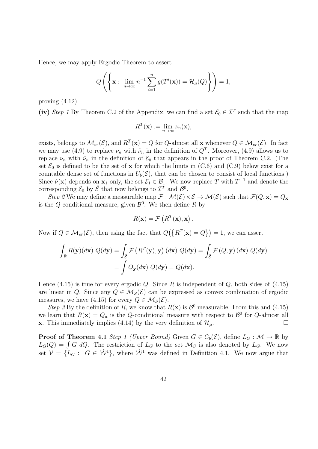Hence, we may apply Ergodic Theorem to assert

$$
Q\left(\left\{\mathbf{x}: \lim_{n\to\infty} n^{-1}\sum_{i=1}^n g(T^i(\mathbf{x})) = \mathcal{H}_\mu(Q)\right\}\right) = 1,
$$

proving (4.12).

(iv) Step 1 By Theorem C.2 of the Appendix, we can find a set  $\mathcal{E}_0 \in \mathcal{I}^T$  such that the map

$$
R^T(\mathbf{x}) := \lim_{n \to \infty} \nu_n(\mathbf{x}),
$$

exists, belongs to  $\mathcal{M}_{er}(\mathcal{E})$ , and  $R^T(\mathbf{x}) = Q$  for Q-almost all x whenever  $Q \in \mathcal{M}_{er}(\mathcal{E})$ . In fact we may use (4.9) to replace  $\nu_n$  with  $\hat{\nu}_n$  in the definition of  $Q^T$ . Moreover, (4.9) allows us to replace  $\nu_n$  with  $\hat{\nu}_n$  in the definition of  $\mathcal{E}_0$  that appears in the proof of Theorem C.2. (The set  $\mathcal{E}_0$  is defined to be the set of **x** for which the limits in (C.6) and (C.9) below exist for a countable dense set of functions in  $U_b(\mathcal{E})$ , that can be chosen to consist of local functions.) Since  $\hat{\nu}(\mathbf{x})$  depends on  $\mathbf{x}_1$  only, the set  $\mathcal{E}_1 \in \mathcal{B}_1$ . We now replace T with  $T^{-1}$  and denote the corresponding  $\mathcal{E}_0$  by  $\overline{\mathcal{E}}$  that now belongs to  $\mathcal{I}^T$  and  $\mathcal{B}^0$ .

Step 2 We may define a measurable map  $\mathcal{F}: \mathcal{M}(\mathcal{E}) \times \mathcal{E} \to \mathcal{M}(\mathcal{E})$  such that  $\mathcal{F}(Q, \mathbf{x}) = Q_{\mathbf{x}}$ is the Q-conditional measure, given  $\mathcal{B}^0$ . We then define R by

$$
R(\mathbf{x}) = \mathcal{F}\left(R^T(\mathbf{x}), \mathbf{x}\right).
$$

Now if  $Q \in \mathcal{M}_{er}(\mathcal{E})$ , then using the fact that  $Q(\lbrace R^T(\mathbf{x}) = Q \rbrace) = 1$ , we can assert

$$
\int_{\bar{E}} R(\mathbf{y})(d\mathbf{x}) Q(d\mathbf{y}) = \int_{\bar{\mathcal{E}}} \mathcal{F}\left(R^{T}(\mathbf{y}), \mathbf{y}\right) (d\mathbf{x}) Q(d\mathbf{y}) = \int_{\bar{\mathcal{E}}} \mathcal{F}\left(Q, \mathbf{y}\right) (d\mathbf{x}) Q(d\mathbf{y})
$$
\n
$$
= \int Q_{\mathbf{y}}(d\mathbf{x}) Q(d\mathbf{y}) = Q(d\mathbf{x}).
$$

Hence  $(4.15)$  is true for every ergodic Q. Since R is independent of Q, both sides of  $(4.15)$ are linear in Q. Since any  $Q \in \mathcal{M}_{S}(\mathcal{E})$  can be expressed as convex combination of ergodic measures, we have (4.15) for every  $Q \in \mathcal{M}_S(\mathcal{E})$ .

Step 3 By the definition of R, we know that  $R(x)$  is  $\mathcal{B}^0$  measurable. From this and (4.15) we learn that  $R(\mathbf{x}) = Q_{\mathbf{x}}$  is the Q-conditional measure with respect to  $\mathcal{B}^0$  for Q-almost all **x**. This immediately implies (4.14) by the very definition of  $\mathcal{H}_{\mu}$ .

**Proof of Theorem 4.1** Step 1 (Upper Bound) Given  $G \in C_b(\mathcal{E})$ , define  $L_G : \mathcal{M} \to \mathbb{R}$  by  $L_G(Q) = \int G \ dQ$ . The restriction of  $L_G$  to the set  $\mathcal{M}_S$  is also denoted by  $L_G$ . We now set  $\mathcal{V} = \{L_G : G \in \hat{\mathcal{W}}^1\}$ , where  $\hat{\mathcal{W}}^1$  was defined in Definition 4.1. We now argue that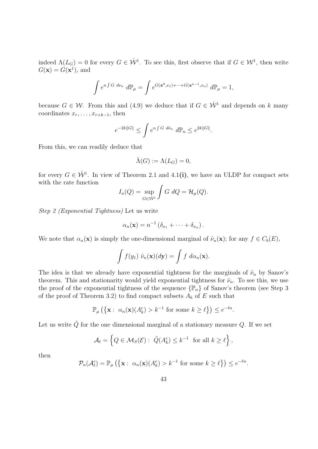indeed  $\Lambda(L_G) = 0$  for every  $G \in \hat{\mathcal{W}}^1$ . To see this, first observe that if  $G \in \mathcal{W}^1$ , then write  $G(\mathbf{x}) = G(\mathbf{x}^1)$ , and

$$
\int e^{n\int G\ d\nu_n}\ d\mathbb{P}_{\mu} = \int e^{G(\mathbf{x}^0, x_1) + \dots + G(\mathbf{x}^{n-1}, x_n)}\ d\mathbb{P}_{\mu} = 1,
$$

because  $G \in \mathcal{W}$ . From this and (4.9) we deduce that if  $G \in \hat{\mathcal{W}}^1$  and depends on k many coordinates  $x_r, \ldots, x_{r+k-1}$ , then

$$
e^{-2k\|G\|} \le \int e^{n\int G \ d\hat{\nu}_n} \ d\mathbb{P}_n \le e^{2k\|G\|}.
$$

From this, we can readily deduce that

$$
\bar{\Lambda}(G) := \Lambda(L_G) = 0,
$$

for every  $G \in \hat{W}^1$ . In view of Theorem 2.1 and 4.1(i), we have an ULDP for compact sets with the rate function

$$
I_u(Q) = \sup_{G \in \hat{\mathcal{W}}^1} \int G \, dQ = \mathcal{H}_\mu(Q).
$$

Step 2 (Exponential Tightness) Let us write

$$
\alpha_n(\mathbf{x}) = n^{-1} (\delta_{x_1} + \cdots + \delta_{x_n}).
$$

We note that  $\alpha_n(\mathbf{x})$  is simply the one-dimensional marginal of  $\hat{\nu}_n(\mathbf{x})$ ; for any  $f \in C_b(E)$ ,

$$
\int f(y_1) \hat{\nu}_n(\mathbf{x})(d\mathbf{y}) = \int f \, d\alpha_n(\mathbf{x}).
$$

The idea is that we already have exponential tightness for the marginals of  $\hat{\nu}_n$  by Sanov's theorem. This and stationarity would yield exponential tightness for  $\hat{\nu}_n$ . To see this, we use the proof of the exponential tightness of the sequence  $\{\mathbb{P}_n\}$  of Sanov's theorem (see Step 3 of the proof of Theorem 3.2) to find compact subsets  $A_k$  of E such that

$$
\mathbb{P}_{\mu}\left(\left\{\mathbf{x}: \alpha_n(\mathbf{x})(A_k^c) > k^{-1} \text{ for some } k \ge \ell\right\}\right) \le e^{-\ell n}.
$$

Let us write  $\tilde{Q}$  for the one dimensional marginal of a stationary measure Q. If we set

$$
\mathcal{A}_{\ell} = \left\{ Q \in \mathcal{M}_S(\mathcal{E}) : \ \tilde{Q}(A_k^c) \leq k^{-1} \ \text{ for all } k \geq \ell \right\},\
$$

then

$$
\mathcal{P}_n(\mathcal{A}_{\ell}^c) = \mathbb{P}_{\mu}\left(\left\{\mathbf{x}: \alpha_n(\mathbf{x})(A_k^c) > k^{-1} \text{ for some } k \geq \ell\right\}\right) \leq e^{-\ell n}.
$$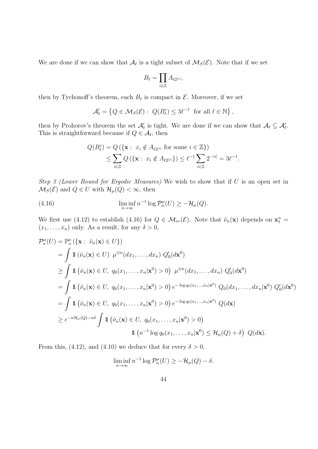We are done if we can show that  $\mathcal{A}_{\ell}$  is a tight subset of  $\mathcal{M}_{S}(\mathcal{E})$ . Note that if we set

$$
B_\ell = \prod_{i \in \mathbb{Z}} A_{\ell 2^{|i|}},
$$

then by Tychonoff's theorem, each  $B_{\ell}$  is compact in  $\mathcal{E}$ . Moreover, if we set

$$
\mathcal{A}'_{\ell} = \left\{ Q \in \mathcal{M}_S(\mathcal{E}) : \ Q(B_{\ell}^c) \leq 3\ell^{-1} \text{ for all } \ell \in \mathbb{N} \right\},\
$$

then by Prohorov's theorem the set  $\mathcal{A}'_{\ell}$  is tight. We are done if we can show that  $\mathcal{A}_{\ell} \subseteq \mathcal{A}'_{\ell}$ . This is straightforward because if  $Q \in \mathcal{A}_{\ell}$ , then

$$
Q(B_{\ell}^{c}) = Q\left(\{\mathbf{x} : x_{i} \notin A_{\ell 2^{|i|}} \text{ for some } i \in \mathbb{Z}\}\right) \\ \leq \sum_{i \in \mathbb{Z}} Q\left(\{\mathbf{x} : x_{i} \notin A_{\ell 2^{|i|}}\}\right) \leq \ell^{-1} \sum_{i \in \mathbb{Z}} 2^{-|i|} = 3\ell^{-1}.
$$

Step 3 (Lower Bound for Ergodic Measures) We wish to show that if U is an open set in  $\mathcal{M}_S(\mathcal{E})$  and  $Q \in U$  with  $\mathcal{H}_\mu(Q) < \infty$ , then

(4.16) 
$$
\liminf_{n \to \infty} n^{-1} \log \mathcal{P}_n^{\mu}(U) \geq -\mathcal{H}_{\mu}(Q).
$$

We first use (4.12) to establish (4.16) for  $Q \in \mathcal{M}_{er}(\mathcal{E})$ . Note that  $\hat{\nu}_n(\mathbf{x})$  depends on  $\mathbf{x}_1^n =$  $(x_1, \ldots, x_n)$  only. As a result, for any  $\delta > 0$ ,

$$
\mathcal{P}_{n}^{\mu}(U) = \mathbb{P}_{n}^{\mu} \{ \{ \mathbf{x} : \hat{\nu}_{n}(\mathbf{x}) \in U \} \}
$$
\n
$$
= \int \mathbb{1} \left( \hat{\nu}_{n}(\mathbf{x}) \in U \right) \mu^{\otimes n}(dx_{1}, \dots, dx_{n}) Q'_{0}(d\mathbf{x}^{0})
$$
\n
$$
\geq \int \mathbb{1} \left( \hat{\nu}_{n}(\mathbf{x}) \in U, q_{0}(x_{1}, \dots, x_{n} | \mathbf{x}^{0}) > 0 \right) \mu^{\otimes n}(dx_{1}, \dots, dx_{n}) Q'_{0}(d\mathbf{x}^{0})
$$
\n
$$
= \int \mathbb{1} \left( \hat{\nu}_{n}(\mathbf{x}) \in U, q_{0}(x_{1}, \dots, x_{n} | \mathbf{x}^{0}) > 0 \right) e^{-\log q_{0}(x_{1}, \dots, x_{n} | \mathbf{x}^{0})} Q_{0}(dx_{1}, \dots, dx_{n} | \mathbf{x}^{0}) Q'_{0}(d\mathbf{x}^{0})
$$
\n
$$
= \int \mathbb{1} \left( \hat{\nu}_{n}(\mathbf{x}) \in U, q_{0}(x_{1}, \dots, x_{n} | \mathbf{x}^{0}) > 0 \right) e^{-\log q_{0}(x_{1}, \dots, x_{n} | \mathbf{x}^{0})} Q(d\mathbf{x})
$$
\n
$$
\geq e^{-n\mathcal{H}_{\mu}(Q) - n\delta} \int \mathbb{1} \left( \hat{\nu}_{n}(\mathbf{x}) \in U, q_{0}(x_{1}, \dots, x_{n} | \mathbf{x}^{0}) > 0 \right)
$$
\n
$$
\mathbb{1} \left( n^{-1} \log q_{0}(x_{1}, \dots, x_{n} | \mathbf{x}^{0}) \leq \mathcal{H}_{\mu}(Q) + \delta \right) Q(d\mathbf{x}).
$$

From this, (4.12), and (4.10) we deduce that for every  $\delta > 0$ ,

$$
\liminf_{n \to \infty} n^{-1} \log \mathcal{P}_n^{\mu}(U) \geq -\mathcal{H}_{\mu}(Q) - \delta.
$$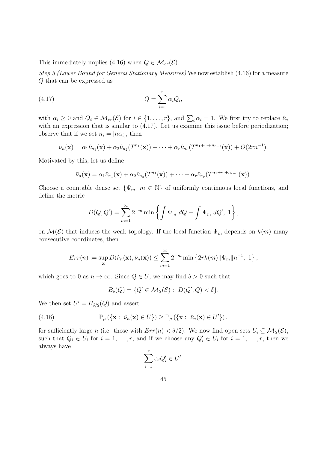This immediately implies (4.16) when  $Q \in \mathcal{M}_{er}(\mathcal{E})$ .

Step 3 (Lower Bound for General Stationary Measures) We now establish (4.16) for a measure Q that can be expressed as

$$
(4.17) \tQ = \sum_{i=1}^{r} \alpha_i Q_i,
$$

with  $\alpha_i \geq 0$  and  $Q_i \in \mathcal{M}_{er}(\mathcal{E})$  for  $i \in \{1, \ldots, r\}$ , and  $\sum_i \alpha_i = 1$ . We first try to replace  $\hat{\nu}_n$ with an expression that is similar to  $(4.17)$ . Let us examine this issue before periodization; observe that if we set  $n_i = [n\alpha_i]$ , then

$$
\nu_n(\mathbf{x}) = \alpha_1 \hat{\nu}_{n_1}(\mathbf{x}) + \alpha_2 \hat{\nu}_{n_2}(T^{n_1}(\mathbf{x})) + \cdots + \alpha_r \hat{\nu}_{n_r}(T^{n_1 + \cdots + n_{r-1}}(\mathbf{x})) + O(2rn^{-1}).
$$

Motivated by this, let us define

$$
\bar{\nu}_n(\mathbf{x}) = \alpha_1 \hat{\nu}_{n_1}(\mathbf{x}) + \alpha_2 \hat{\nu}_{n_2}(T^{n_1}(\mathbf{x})) + \cdots + \alpha_r \hat{\nu}_{n_r}(T^{n_1 + \cdots + n_{r-1}}(\mathbf{x})).
$$

Choose a countable dense set  $\{\Psi_m \mid m \in \mathbb{N}\}\$  of uniformly continuous local functions, and define the metric

$$
D(Q, Q') = \sum_{m=1}^{\infty} 2^{-m} \min \left\{ \int \Psi_m \ dQ - \int \Psi_m \ dQ', 1 \right\},
$$

on  $\mathcal{M}(\mathcal{E})$  that induces the weak topology. If the local function  $\Psi_m$  depends on  $k(m)$  many consecutive coordinates, then

$$
Err(n) := \sup_{\mathbf{x}} D(\hat{\nu}_n(\mathbf{x}), \bar{\nu}_n(\mathbf{x})) \le \sum_{m=1}^{\infty} 2^{-m} \min \{2rk(m) \|\Psi_m\| \, n^{-1}, \, 1\},
$$

which goes to 0 as  $n \to \infty$ . Since  $Q \in U$ , we may find  $\delta > 0$  such that

$$
B_{\delta}(Q) = \{Q' \in \mathcal{M}_S(\mathcal{E}) : D(Q', Q) < \delta\}.
$$

We then set  $U' = B_{\delta/2}(Q)$  and assert

(4.18) 
$$
\mathbb{P}_{\mu}(\{\mathbf{x}: \hat{\nu}_n(\mathbf{x}) \in U\}) \geq \mathbb{P}_{\mu}(\{\mathbf{x}: \bar{\nu}_n(\mathbf{x}) \in U'\}),
$$

for sufficiently large n (i.e. those with  $Err(n) < \delta/2$ ). We now find open sets  $U_i \subseteq \mathcal{M}_S(\mathcal{E}),$ such that  $Q_i \in U_i$  for  $i = 1, ..., r$ , and if we choose any  $Q'_i \in U_i$  for  $i = 1, ..., r$ , then we always have

$$
\sum_{i=1}^r \alpha_i Q_i' \in U'.
$$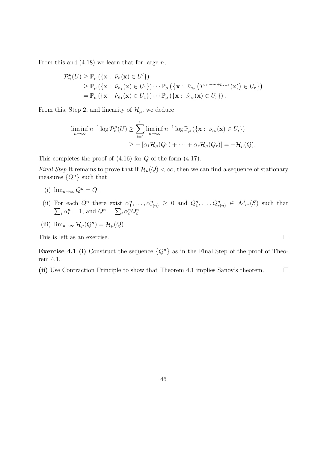From this and  $(4.18)$  we learn that for large n,

$$
\mathcal{P}_n^{\mu}(U) \geq \mathbb{P}_{\mu} \left( \{ \mathbf{x} : \bar{\nu}_n(\mathbf{x}) \in U' \} \right) \n\geq \mathbb{P}_{\mu} \left( \{ \mathbf{x} : \hat{\nu}_{n_1}(\mathbf{x}) \in U_1 \} \right) \cdots \mathbb{P}_{\mu} \left( \{ \mathbf{x} : \hat{\nu}_{n_r} \left( T^{n_1 + \cdots + n_{r-1}}(\mathbf{x}) \right) \in U_r \} \right) \n= \mathbb{P}_{\mu} \left( \{ \mathbf{x} : \hat{\nu}_{n_1}(\mathbf{x}) \in U_1 \} \right) \cdots \mathbb{P}_{\mu} \left( \{ \mathbf{x} : \hat{\nu}_{n_r}(\mathbf{x}) \in U_r \} \right).
$$

From this, Step 2, and linearity of  $\mathcal{H}_{\mu}$ , we deduce

$$
\liminf_{n \to \infty} n^{-1} \log \mathcal{P}_n^{\mu}(U) \ge \sum_{i=1}^r \liminf_{n \to \infty} n^{-1} \log \mathbb{P}_{\mu} \left( \{ \mathbf{x} : \hat{\nu}_{n_i}(\mathbf{x}) \in U_i \} \right)
$$
  

$$
\ge -\left[ \alpha_1 \mathcal{H}_{\mu}(Q_1) + \dots + \alpha_r \mathcal{H}_{\mu}(Q_r) \right] = -\mathcal{H}_{\mu}(Q).
$$

This completes the proof of (4.16) for Q of the form (4.17).

Final Step It remains to prove that if  $\mathcal{H}_{\mu}(Q) < \infty$ , then we can find a sequence of stationary measures  $\{Q^n\}$  such that

- (i)  $\lim_{n\to\infty} Q^n = Q;$
- (ii) For each  $Q^n$  there exist  $\alpha_1^n, \ldots, \alpha_{r(n)}^n \geq 0$  and  $Q_1^n, \ldots, Q_{r(n)}^n \in \mathcal{M}_{er}(\mathcal{E})$  such that  $\sum_i \alpha_i^n = 1$ , and  $Q^n = \sum_i \alpha_i^n Q_i^n$ .
- (iii)  $\lim_{n\to\infty} \mathcal{H}_{\mu}(Q^n) = \mathcal{H}_{\mu}(Q).$

This is left as an exercise.  $\Box$ 

**Exercise 4.1 (i)** Construct the sequence  $\{Q^n\}$  as in the Final Step of the proof of Theorem 4.1.

(ii) Use Contraction Principle to show that Theorem 4.1 implies Sanov's theorem.  $\Box$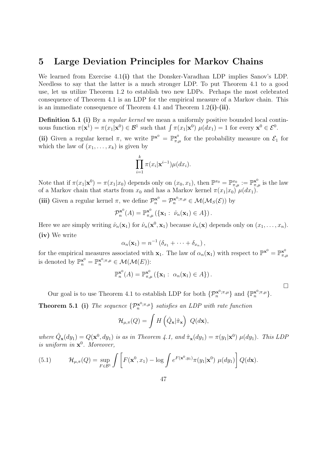### 5 Large Deviation Principles for Markov Chains

We learned from Exercise 4.1(i) that the Donsker-Varadhan LDP implies Sanov's LDP. Needless to say that the latter is a much stronger LDP. To put Theorem 4.1 to a good use, let us utilize Theorem 1.2 to establish two new LDPs. Perhaps the most celebrated consequence of Theorem 4.1 is an LDP for the empirical measure of a Markov chain. This is an immediate consequence of Theorem 4.1 and Theorem  $1.2(i)$ -(ii).

Definition 5.1 (i) By a regular kernel we mean a uniformly positive bounded local continuous function  $\pi(\mathbf{x}^1) = \pi(x_1|\mathbf{x}^0) \in \mathcal{B}^1$  such that  $\int \pi(x_1|\mathbf{x}^0) \mu(dx_1) = 1$  for every  $\mathbf{x}^0 \in \mathcal{E}^0$ .

(ii) Given a regular kernel  $\pi$ , we write  $\mathbb{P}^{x^0} = \mathbb{P}^{x^0}_{\pi,\mu}$  for the probability measure on  $\mathcal{E}_1$  for which the law of  $(x_1, \ldots, x_k)$  is given by

$$
\prod_{i=1}^k \pi(x_i|\mathbf{x}^{i-1})\mu(dx_i).
$$

Note that if  $\pi(x_1|\mathbf{x}^0) = \pi(x_1|x_0)$  depends only on  $(x_0, x_1)$ , then  $\mathbb{P}^{x_0} = \mathbb{P}^{x_0}_{\pi,\mu} := \mathbb{P}^{x^0}_{\pi,\mu}$  is the law of a Markov chain that starts from  $x_0$  and has a Markov kernel  $\pi(x_1|x_0)$   $\mu(dx_1)$ .

(iii) Given a regular kernel  $\pi$ , we define  $\mathcal{P}_{n}^{\mathbf{x}^0} = \mathcal{P}_{n}^{\mathbf{x}^0; \pi, \mu} \in \mathcal{M}(\mathcal{M}_S(\mathcal{E}))$  by

$$
\mathcal{P}_n^{\mathbf{x}^0}(A) = \mathbb{P}_{\pi,\mu}^{\mathbf{x}^0} (\{\mathbf{x}_1 : \hat{\nu}_n(\mathbf{x}_1) \in A\}).
$$

Here we are simply writing  $\hat{\nu}_n(\mathbf{x}_1)$  for  $\hat{\nu}_n(\mathbf{x}^0, \mathbf{x}_1)$  because  $\hat{\nu}_n(\mathbf{x})$  depends only on  $(x_1, \ldots, x_n)$ . (iv) We write

$$
\alpha_n(\mathbf{x}_1)=n^{-1}(\delta_{x_1}+\cdots+\delta_{x_n}),
$$

for the empirical measures associated with  $\mathbf{x}_1$ . The law of  $\alpha_n(\mathbf{x}_1)$  with respect to  $\mathbb{P}^{\mathbf{x}^0} = \mathbb{P}^{\mathbf{x}^0}_{\pi}$ .  $\pi,\mu$ is denoted by  $\mathbb{P}_{n}^{\mathbf{x}^0} = \mathbb{P}_{n}^{\mathbf{x}^0; \pi, \mu} \in \mathcal{M}(\mathcal{M}(E))$ :

$$
\mathbb{P}_{n}^{\mathbf{x}^{0}}(A)=\mathbb{P}_{\pi,\mu}^{\mathbf{x}^{0}}\left(\{\mathbf{x}_{1}:\ \alpha_{n}(\mathbf{x}_{1})\in A\}\right).
$$

 $\Box$ 

Our goal is to use Theorem 4.1 to establish LDP for both  $\{\mathcal{P}_n^{\mathbf{x}^0;\pi,\mu}\}\$  and  $\{\mathbb{P}_n^{\mathbf{x}^0;\pi,\mu}\}.$ 

**Theorem 5.1 (i)** The sequence  $\{\mathcal{P}_n^{\mathbf{x}^0; \pi, \mu}\}\)$  satisfies an LDP with rate function

$$
\mathcal{H}_{\mu,\pi}(Q) = \int H\left(\hat{Q}_{\mathbf{x}}|\hat{\pi}_{\mathbf{x}}\right) Q(d\mathbf{x}),
$$

where  $\hat{Q}_{\mathbf{x}}(dy_1) = Q(\mathbf{x}^0, dy_1)$  is as in Theorem 4.1, and  $\hat{\pi}_{\mathbf{x}}(dy_1) = \pi(y_1|\mathbf{x}^0) \mu(dy_1)$ . This LDF is uniform in  $\mathbf{x}^0$ . Moreover,

(5.1) 
$$
\mathcal{H}_{\mu,\pi}(Q) = \sup_{F \in \mathcal{B}^1} \int \left[ F(\mathbf{x}^0, x_1) - \log \int e^{F(\mathbf{x}^0, y_1)} \pi(y_1 | \mathbf{x}^0) \mu(dy_1) \right] Q(d\mathbf{x}).
$$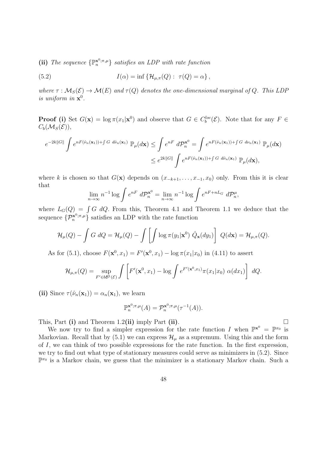(ii) The sequence  $\{\mathbb{P}_{n}^{x^{0};\pi,\mu}\}\$  satisfies an LDP with rate function

(5.2) 
$$
I(\alpha) = \inf \{ \mathcal{H}_{\mu,\pi}(Q) : \tau(Q) = \alpha \},
$$

where  $\tau : \mathcal{M}_S(\mathcal{E}) \to \mathcal{M}(E)$  and  $\tau(Q)$  denotes the one-dimensional marginal of Q. This LDP is uniform in  $\mathbf{x}^0$ .

**Proof (i)** Set  $G(\mathbf{x}) = \log \pi(x_1|\mathbf{x}^0)$  and observe that  $G \in C_b^{loc}(\mathcal{E})$ . Note that for any  $F \in$  $C_b(\mathcal{M}_S(\mathcal{E})),$ 

$$
e^{-2k||G||} \int e^{nF(\hat{\nu}_n(\mathbf{x}_1))+\int G \ d\hat{\nu}_n(\mathbf{x}_1)} \ \mathbb{P}_{\mu}(d\mathbf{x}) \leq \int e^{nF} \ d\mathcal{P}_n^{\mathbf{x}^0} = \int e^{nF(\hat{\nu}_n(\mathbf{x}_1))+\int G \ d\nu_n(\mathbf{x}_1)} \ \mathbb{P}_{\mu}(d\mathbf{x})
$$
  

$$
\leq e^{2k||G||} \int e^{nF(\hat{\nu}_n(\mathbf{x}_1))+\int G \ d\hat{\nu}_n(\mathbf{x}_1)} \ \mathbb{P}_{\mu}(d\mathbf{x}),
$$

where k is chosen so that  $G(\mathbf{x})$  depends on  $(x_{-k+1}, \ldots, x_{-1}, x_0)$  only. From this it is clear that

$$
\lim_{n \to \infty} n^{-1} \log \int e^{nF} d\mathcal{P}_n^{\mathbf{x}^0} = \lim_{n \to \infty} n^{-1} \log \int e^{nF + nL_G} d\mathcal{P}_n^{\mu},
$$

where  $L_G(Q) = \int G \ dQ$ . From this, Theorem 4.1 and Theorem 1.1 we deduce that the sequence  $\{\mathcal{P}_n^{\mathbf{x}^0;\pi,\mu}\}\$  satisfies an LDP with the rate function

$$
\mathcal{H}_{\mu}(Q) - \int G \ dQ = \mathcal{H}_{\mu}(Q) - \int \left[ \int \log \pi(y_1|\mathbf{x}^0) \hat{Q}_{\mathbf{x}}(dy_1) \right] \ Q(d\mathbf{x}) = \mathcal{H}_{\mu,\pi}(Q).
$$

As for (5.1), choose  $F(\mathbf{x}^0, x_1) = F'(\mathbf{x}^0, x_1) - \log \pi(x_1|x_0)$  in (4.11) to assert

$$
\mathcal{H}_{\mu,\pi}(Q) = \sup_{F' \in b\mathcal{B}^1(\mathcal{E})} \int \left[ F'(\mathbf{x}^0, x_1) - \log \int e^{F'(\mathbf{x}^0, x_1)} \pi(x_1 | x_0) \alpha(dx_1) \right] dQ.
$$

(ii) Since  $\tau(\hat{\nu}_n(\mathbf{x}_1)) = \alpha_n(\mathbf{x}_1)$ , we learn

$$
\mathbb{P}_n^{\mathbf{x}^0; \pi, \mu}(A) = \mathcal{P}_n^{\mathbf{x}^0; \pi, \mu}(\tau^{-1}(A)).
$$

This, Part (i) and Theorem 1.2(ii) imply Part (ii).  $\Box$ 

We now try to find a simpler expression for the rate function I when  $\mathbb{P}^{x^0} = \mathbb{P}^{x_0}$  is Markovian. Recall that by (5.1) we can express  $\mathcal{H}_{\mu}$  as a supremum. Using this and the form of I, we can think of two possible expressions for the rate function. In the first expression, we try to find out what type of stationary measures could serve as minimizers in (5.2). Since  $\mathbb{P}^{x_0}$  is a Markov chain, we guess that the minimizer is a stationary Markov chain. Such a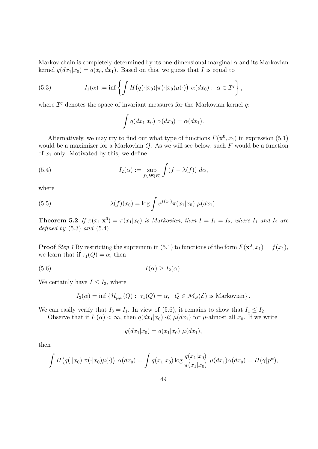Markov chain is completely determined by its one-dimensional marginal  $\alpha$  and its Markovian kernel  $q(dx_1|x_0) = q(x_0, dx_1)$ . Based on this, we guess that I is equal to

(5.3) 
$$
I_1(\alpha) := \inf \left\{ \int H\big(q(\cdot|x_0)|\pi(\cdot|x_0)\mu(\cdot)\big) \alpha(dx_0) : \ \alpha \in \mathcal{I}^q \right\},
$$

where  $\mathcal{I}^q$  denotes the space of invariant measures for the Markovian kernel q:

$$
\int q(dx_1|x_0) \alpha(dx_0) = \alpha(dx_1).
$$

Alternatively, we may try to find out what type of functions  $F(\mathbf{x}^0, x_1)$  in expression (5.1) would be a maximizer for a Markovian  $Q$ . As we will see below, such  $F$  would be a function of  $x_1$  only. Motivated by this, we define

(5.4) 
$$
I_2(\alpha) := \sup_{f \in b\mathcal{B}(E)} \int (f - \lambda(f)) \, d\alpha,
$$

where

(5.5) 
$$
\lambda(f)(x_0) = \log \int e^{f(x_1)} \pi(x_1|x_0) \mu(dx_1).
$$

**Theorem 5.2** If  $\pi(x_1|\mathbf{x}^0) = \pi(x_1|x_0)$  is Markovian, then  $I = I_1 = I_2$ , where  $I_1$  and  $I_2$  are defined by  $(5.3)$  and  $(5.4)$ .

**Proof** Step 1 By restricting the supremum in (5.1) to functions of the form  $F(\mathbf{x}^0, x_1) = f(x_1)$ , we learn that if  $\tau_1(Q) = \alpha$ , then

$$
(5.6) \tI(\alpha) \ge I_2(\alpha).
$$

We certainly have  $I \leq I_3$ , where

$$
I_3(\alpha) = \inf \left\{ \mathcal{H}_{\mu,\pi}(Q) : \ \tau_1(Q) = \alpha, \ \ Q \in \mathcal{M}_S(\mathcal{E}) \ \text{is Markovian} \right\}.
$$

We can easily verify that  $I_3 = I_1$ . In view of (5.6), it remains to show that  $I_1 \leq I_2$ .

Observe that if  $I_1(\alpha) < \infty$ , then  $q(dx_1|x_0) \ll \mu(dx_1)$  for  $\mu$ -almost all  $x_0$ . If we write

$$
q(dx_1|x_0) = q(x_1|x_0) \mu(dx_1),
$$

then

$$
\int H(q(\cdot|x_0)|\pi(\cdot|x_0)\mu(\cdot)) \alpha(dx_0) = \int q(x_1|x_0) \log \frac{q(x_1|x_0)}{\pi(x_1|x_0)} \mu(dx_1)\alpha(dx_0) = H(\gamma|p^{\alpha}),
$$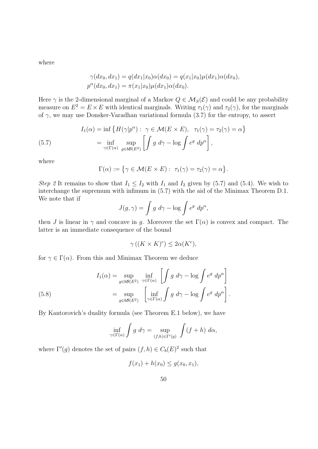where

$$
\gamma(dx_0, dx_1) = q(dx_1|x_0)\alpha(dx_0) = q(x_1|x_0)\mu(dx_1)\alpha(dx_0),
$$
  

$$
p^{\alpha}(dx_0, dx_1) = \pi(x_1|x_0)\mu(dx_1)\alpha(dx_0).
$$

Here  $\gamma$  is the 2-dimensional marginal of a Markov  $Q \in \mathcal{M}_S(\mathcal{E})$  and could be any probability measure on  $E^2 = E \times E$  with identical marginals. Writing  $\tau_1(\gamma)$  and  $\tau_2(\gamma)$ , for the marginals of  $\gamma$ , we may use Donsker-Varadhan variational formula (3.7) for the entropy, to assert

(5.7) 
$$
I_1(\alpha) = \inf \{ H(\gamma | p^{\alpha}) : \gamma \in \mathcal{M}(E \times E), \ \tau_1(\gamma) = \tau_2(\gamma) = \alpha \}
$$

$$
= \inf_{\gamma \in \Gamma(\alpha)} \sup_{g \in b\mathcal{B}(E^2)} \left[ \int g \ d\gamma - \log \int e^g \ dp^{\alpha} \right],
$$

where

$$
\Gamma(\alpha) := \{ \gamma \in \mathcal{M}(E \times E) : \tau_1(\gamma) = \tau_2(\gamma) = \alpha \}.
$$

Step 2 It remains to show that  $I_1 \leq I_2$  with  $I_1$  and  $I_2$  given by (5.7) and (5.4). We wish to interchange the supremum with infimum in (5.7) with the aid of the Minimax Theorem D.1. We note that if

$$
J(g,\gamma) = \int g \ d\gamma - \log \int e^g \ dp^{\alpha},
$$

then J is linear in  $\gamma$  and concave in g. Moreover the set  $\Gamma(\alpha)$  is convex and compact. The latter is an immediate consequence of the bound

$$
\gamma ((K \times K)^c) \leq 2\alpha (K^c),
$$

for  $\gamma \in \Gamma(\alpha)$ . From this and Minimax Theorem we deduce

(5.8) 
$$
I_1(\alpha) = \sup_{g \in b\mathcal{B}(E^2)} \inf_{\gamma \in \Gamma(\alpha)} \left[ \int g \ d\gamma - \log \int e^g \ dp^{\alpha} \right]
$$

$$
= \sup_{g \in b\mathcal{B}(E^2)} \left[ \inf_{\gamma \in \Gamma(\alpha)} \int g \ d\gamma - \log \int e^g \ dp^{\alpha} \right].
$$

By Kantorovich's duality formula (see Theorem E.1 below), we have

$$
\inf_{\gamma \in \Gamma(\alpha)} \int g \ d\gamma = \sup_{(f,h) \in \Gamma'(g)} \int (f+h) \ d\alpha,
$$

where  $\Gamma'(g)$  denotes the set of pairs  $(f, h) \in C_b(E)^2$  such that

$$
f(x_1) + h(x_0) \le g(x_0, x_1),
$$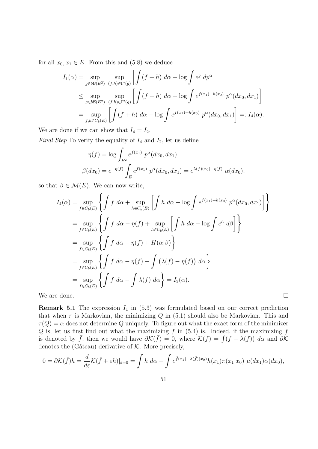for all  $x_0, x_1 \in E$ . From this and (5.8) we deduce

$$
I_1(\alpha) = \sup_{g \in b\mathcal{B}(E^2)} \sup_{(f,h) \in \Gamma'(g)} \left[ \int (f+h) \, d\alpha - \log \int e^g \, dp^{\alpha} \right]
$$
  
\$\leq\$ 
$$
\sup_{g \in b\mathcal{B}(E^2)} \sup_{(f,h) \in \Gamma'(g)} \left[ \int (f+h) \, d\alpha - \log \int e^{f(x_1) + h(x_0)} \, p^{\alpha}(dx_0, dx_1) \right]
$$
  
= 
$$
\sup_{f,h \in C_b(E)} \left[ \int (f+h) \, d\alpha - \log \int e^{f(x_1) + h(x_0)} \, p^{\alpha}(dx_0, dx_1) \right] =: I_4(\alpha).
$$

We are done if we can show that  $I_4 = I_2$ .

*Final Step* To verify the equality of  $I_4$  and  $I_2$ , let us define

$$
\eta(f) = \log \int_{E^2} e^{f(x_1)} p^{\alpha}(dx_0, dx_1),
$$
  

$$
\beta(dx_0) = e^{-\eta(f)} \int_E e^{f(x_1)} p^{\alpha}(dx_0, dx_1) = e^{\lambda(f)(x_0) - \eta(f)} \alpha(dx_0),
$$

so that  $\beta \in \mathcal{M}(E)$ . We can now write,

$$
I_4(\alpha) = \sup_{f \in C_b(E)} \left\{ \int f \ d\alpha + \sup_{h \in C_b(E)} \left[ \int h \ d\alpha - \log \int e^{f(x_1) + h(x_0)} \ p^{\alpha}(dx_0, dx_1) \right] \right\}
$$
  
= 
$$
\sup_{f \in C_b(E)} \left\{ \int f \ d\alpha - \eta(f) + \sup_{h \in C_b(E)} \left[ \int h \ d\alpha - \log \int e^h \ d\beta \right] \right\}
$$
  
= 
$$
\sup_{f \in C_b(E)} \left\{ \int f \ d\alpha - \eta(f) + H(\alpha|\beta) \right\}
$$
  
= 
$$
\sup_{f \in C_b(E)} \left\{ \int f \ d\alpha - \eta(f) - \int (\lambda(f) - \eta(f)) \ d\alpha \right\}
$$
  
= 
$$
\sup_{f \in C_b(E)} \left\{ \int f \ d\alpha - \int \lambda(f) \ d\alpha \right\} = I_2(\alpha).
$$

We are done.

**Remark 5.1** The expression  $I_1$  in (5.3) was formulated based on our correct prediction that when  $\pi$  is Markovian, the minimizing Q in (5.1) should also be Markovian. This and  $\tau(Q) = \alpha$  does not determine Q uniquely. To figure out what the exact form of the minimizer  $Q$  is, let us first find out what the maximizing  $f$  in (5.4) is. Indeed, if the maximizing  $f$ is denoted by  $\bar{f}$ , then we would have  $\partial \mathcal{K}(\bar{f}) = 0$ , where  $\mathcal{K}(f) = \int (f - \lambda(f)) d\alpha$  and  $\partial \mathcal{K}$ denotes the (Gâteau) derivative of  $K$ . More precisely,

$$
0 = \partial \mathcal{K}(\bar{f})h = \frac{d}{d\varepsilon} \mathcal{K}(\bar{f} + \varepsilon h)|_{\varepsilon=0} = \int h \, d\alpha - \int e^{\bar{f}(x_1) - \lambda(\bar{f})(x_0)} h(x_1) \pi(x_1|x_0) \, \mu(dx_1) \alpha(dx_0),
$$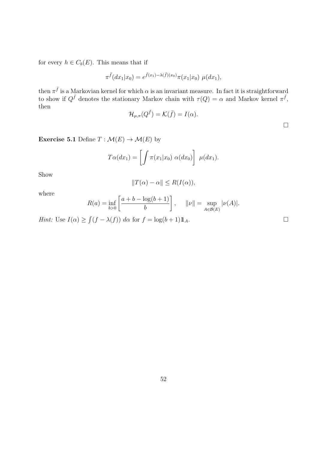for every  $h \in C_b(E)$ . This means that if

$$
\pi^{\bar{f}}(dx_1|x_0) = e^{\bar{f}(x_1) - \lambda(\bar{f})(x_0)} \pi(x_1|x_0) \mu(dx_1),
$$

then  $\pi^{\bar f}$  is a Markovian kernel for which  $\alpha$  is an invariant measure. In fact it is straightforward to show if  $Q^{\bar{f}}$  denotes the stationary Markov chain with  $\tau(Q) = \alpha$  and Markov kernel  $\pi^{\bar{f}}$ , then

$$
\mathcal{H}_{\mu,\pi}(Q^{\bar{f}}) = \mathcal{K}(\bar{f}) = I(\alpha).
$$

**Exercise 5.1** Define  $T : \mathcal{M}(E) \to \mathcal{M}(E)$  by

$$
T\alpha(dx_1) = \left[ \int \pi(x_1|x_0) \; \alpha(dx_0) \right] \; \mu(dx_1).
$$

Show

$$
||T(\alpha) - \alpha|| \le R(I(\alpha)),
$$

where

$$
R(a) = \inf_{b>0} \left[ \frac{a+b-\log(b+1)}{b} \right], \quad ||\nu|| = \sup_{A \in \mathcal{B}(E)} |\nu(A)|.
$$

*Hint*: Use  $I(\alpha) \ge \int (f - \lambda(f)) d\alpha$  for  $f = \log(b + 1)1\mathbb{1}_A$ .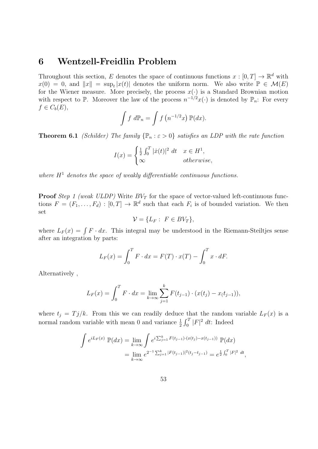# 6 Wentzell-Freidlin Problem

Throughout this section, E denotes the space of continuous functions  $x : [0, T] \to \mathbb{R}^d$  with  $x(0) = 0$ , and  $||x|| = \sup_t |x(t)|$  denotes the uniform norm. We also write  $\mathbb{P} \in \mathcal{M}(E)$ for the Wiener measure. More precisely, the process  $x(\cdot)$  is a Standard Brownian motion with respect to P. Moreover the law of the process  $n^{-1/2}x(\cdot)$  is denoted by  $\mathbb{P}_n$ : For every  $f \in C_b(E)$ ,

$$
\int f \ d\mathbb{P}_n = \int f \left( n^{-1/2} x \right) \mathbb{P}(dx).
$$

**Theorem 6.1** (Schilder) The family  $\{\mathbb{P}_n : \varepsilon > 0\}$  satisfies an LDP with the rate function

$$
I(x) = \begin{cases} \frac{1}{2} \int_0^T |\dot{x}(t)|^2 dt & x \in H^1, \\ \infty & otherwise, \end{cases}
$$

where  $H<sup>1</sup>$  denotes the space of weakly differentiable continuous functions.

**Proof** Step 1 (weak ULDP) Write  $BV_T$  for the space of vector-valued left-continuous functions  $F = (F_1, \ldots, F_d) : [0, T] \to \mathbb{R}^d$  such that each  $F_i$  is of bounded variation. We then set

$$
\mathcal{V} = \{L_F : F \in BV_T\},\
$$

where  $L_F(x) = \int F \cdot dx$ . This integral may be understood in the Riemann-Steiltjes sense after an integration by parts:

$$
L_F(x) = \int_0^T F \cdot dx = F(T) \cdot x(T) - \int_0^T x \cdot dF.
$$

Alternatively ,

$$
L_F(x) = \int_0^T F \cdot dx = \lim_{k \to \infty} \sum_{j=1}^k F(t_{j-1}) \cdot (x(t_j) - x(t_{j-1})),
$$

where  $t_j = T_j/k$ . From this we can readily deduce that the random variable  $L_F(x)$  is a normal random variable with mean 0 and variance  $\frac{1}{2} \int_0^T |F|^2 dt$ : Indeed

$$
\int e^{iL_F(x)} \mathbb{P}(dx) = \lim_{k \to \infty} \int e^{i \sum_{j=1}^k F(t_{j-1}) \cdot (x(t_j) - x(t_{j-1}))} \mathbb{P}(dx)
$$
  
= 
$$
\lim_{k \to \infty} e^{2^{-1} \sum_{j=1}^k |F(t_{j-1})|^2 (t_j - t_{j-1})} = e^{\frac{1}{2} \int_0^T |F|^2 dt},
$$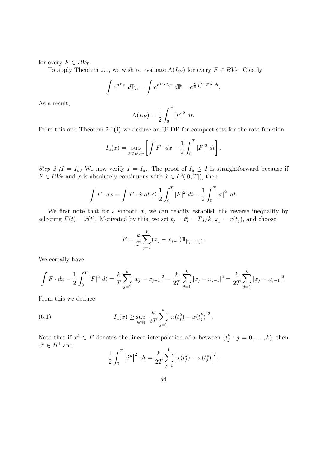for every  $F \in BV_T$ .

To apply Theorem 2.1, we wish to evaluate  $\Lambda(L_F)$  for every  $F \in BV_T$ . Clearly

$$
\int e^{nL_F} d\mathbb{P}_n = \int e^{n^{1/2}L_F} d\mathbb{P} = e^{\frac{n}{2}\int_0^T |F|^2 dt}.
$$

As a result,

$$
\Lambda(L_F) = \frac{1}{2} \int_0^T |F|^2 \ dt.
$$

From this and Theorem 2.1(i) we deduce an ULDP for compact sets for the rate function

$$
I_u(x) = \sup_{F \in BV_T} \left[ \int F \cdot dx - \frac{1}{2} \int_0^T |F|^2 \, dt \right].
$$

Step 2  $(I = I_u)$  We now verify  $I = I_u$ . The proof of  $I_u \leq I$  is straightforward because if  $F \in BV_T$  and x is absolutely continuous with  $\dot{x} \in L^2([0,T])$ , then

$$
\int F \cdot dx = \int F \cdot \dot{x} \, dt \le \frac{1}{2} \int_0^T |F|^2 \, dt + \frac{1}{2} \int_0^T |\dot{x}|^2 \, dt.
$$

We first note that for a smooth  $x$ , we can readily establish the reverse inequality by selecting  $F(t) = \dot{x}(t)$ . Motivated by this, we set  $t_j = t_j^k = T_j/k$ ,  $x_j = x(t_j)$ , and choose

$$
F = \frac{k}{T} \sum_{j=1}^{k} (x_j - x_{j-1}) \mathbb{1}_{[t_{j-1}, t_j)}.
$$

We certaily have,

$$
\int F \cdot dx - \frac{1}{2} \int_0^T |F|^2 dt = \frac{k}{T} \sum_{j=1}^k |x_j - x_{j-1}|^2 - \frac{k}{2T} \sum_{j=1}^k |x_j - x_{j-1}|^2 = \frac{k}{2T} \sum_{j=1}^k |x_j - x_{j-1}|^2.
$$

From this we deduce

(6.1) 
$$
I_u(x) \ge \sup_{k \in \mathbb{N}} \frac{k}{2T} \sum_{j=1}^k |x(t_j^k) - x(t_j^k)|^2.
$$

Note that if  $x^k \in E$  denotes the linear interpolation of x between  $(t_j^k : j = 0, \ldots, k)$ , then  $x^k \in H^1$  and

$$
\frac{1}{2} \int_0^T \left| \dot{x}^k \right|^2 dt = \frac{k}{2T} \sum_{j=1}^k \left| x(t_j^k) - x(t_j^k) \right|^2.
$$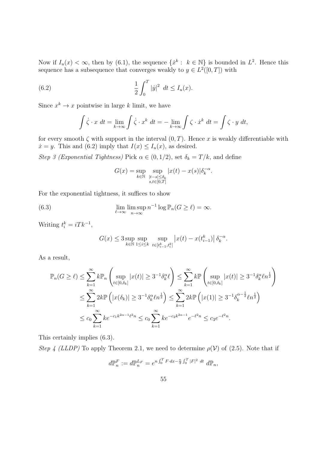Now if  $I_u(x) < \infty$ , then by (6.1), the sequence  $\{\dot{x}^k : k \in \mathbb{N}\}\$ is bounded in  $L^2$ . Hence this sequence has a subsequence that converges weakly to  $y \in L^2([0,T])$  with

(6.2) 
$$
\frac{1}{2} \int_0^T |\dot{y}|^2 dt \le I_u(x).
$$

Since  $x^k \to x$  pointwise in large k limit, we have

$$
\int \dot{\zeta} \cdot x \, dt = \lim_{k \to \infty} \int \dot{\zeta} \cdot x^k \, dt = -\lim_{k \to \infty} \int \zeta \cdot \dot{x}^k \, dt = \int \zeta \cdot y \, dt,
$$

for every smooth  $\zeta$  with support in the interval  $(0, T)$ . Hence x is weakly differentiable with  $\dot{x} = y$ . This and (6.2) imply that  $I(x) \leq I_u(x)$ , as desired.

Step 3 (Exponential Tightness) Pick  $\alpha \in (0, 1/2)$ , set  $\delta_k = T/k$ , and define

$$
G(x) = \sup_{k \in \mathbb{N}} \sup_{\substack{|t-s| \le \delta_k \\ s,t \in [0,T]}} |x(t) - x(s)| \delta_k^{-\alpha}.
$$

For the exponential tightness, it suffices to show

(6.3) 
$$
\lim_{\ell \to \infty} \limsup_{n \to \infty} n^{-1} \log \mathbb{P}_n(G \ge \ell) = \infty.
$$

Writing  $t_i^k = iTk^{-1}$ ,

$$
G(x) \le 3 \sup_{k \in \mathbb{N}} \sup_{1 \le i \le k} \sup_{t \in [t_{i-1}^k, t_i^k]} |x(t) - x(t_{i-1}^k)| \delta_k^{-\alpha}.
$$

As a result,

$$
\mathbb{P}_n(G \geq \ell) \leq \sum_{k=1}^{\infty} k \mathbb{P}_n \left( \sup_{t \in [0,\delta_k]} |x(t)| \geq 3^{-1} \delta_k^{\alpha} \ell \right) \leq \sum_{k=1}^{\infty} k \mathbb{P} \left( \sup_{t \in [0,\delta_k]} |x(t)| \geq 3^{-1} \delta_k^{\alpha} \ell n^{\frac{1}{2}} \right)
$$
  

$$
\leq \sum_{k=1}^{\infty} 2k \mathbb{P} \left( |x(\delta_k)| \geq 3^{-1} \delta_k^{\alpha} \ell n^{\frac{1}{2}} \right) \leq \sum_{k=1}^{\infty} 2k \mathbb{P} \left( |x(1)| \geq 3^{-1} \delta_k^{\alpha - \frac{1}{2}} \ell n^{\frac{1}{2}} \right)
$$
  

$$
\leq c_0 \sum_{k=1}^{\infty} k e^{-c_1 k^{2\alpha - 1} \ell^2 n} \leq c_0 \sum_{k=1}^{\infty} k e^{-c_2 k^{2\alpha - 1}} e^{-\ell^2 n} \leq c_3 e^{-\ell^2 n}.
$$

This certainly implies (6.3).

Step 4 (LLDP) To apply Theorem 2.1, we need to determine  $\rho(\mathcal{V})$  of (2.5). Note that if

$$
d\mathbb{P}_n^F := d\mathbb{P}_n^{L_F} = e^{n \int_0^T F \cdot dx - \frac{n}{2} \int_0^T |F|^2 \, dt} \, d\mathbb{P}_n,
$$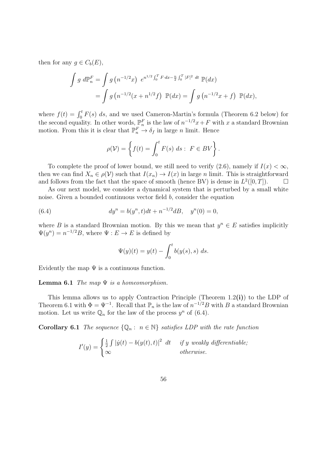then for any  $g \in C_b(E)$ ,

$$
\int g \, d\mathbb{P}_n^F = \int g \left( n^{-1/2} x \right) \, e^{n^{1/2} \int_0^T F \cdot dx - \frac{n}{2} \int_0^T |F|^2 \, dt} \, \mathbb{P}(dx)
$$

$$
= \int g \left( n^{-1/2} (x + n^{1/2} f) \, \mathbb{P}(dx) = \int g \left( n^{-1/2} x + f \right) \, \mathbb{P}(dx),
$$

where  $f(t) = \int_0^t F(s) ds$ , and we used Cameron-Martin's formula (Theorem 6.2 below) for the second equality. In other words,  $\mathbb{P}_n^F$  is the law of  $n^{-1/2}x + F$  with x a standard Brownian motion. From this it is clear that  $\mathbb{P}_n^F \to \delta_f$  in large *n* limit. Hence

$$
\rho(\mathcal{V}) = \left\{ f(t) = \int_0^t F(s) \ ds : \ F \in BV \right\}.
$$

To complete the proof of lower bound, we still need to verify (2.6), namely if  $I(x) < \infty$ , then we can find  $X_n \in \rho(\mathcal{V})$  such that  $I(x_n) \to I(x)$  in large *n* limit. This is straightforward and follows from the fact that the space of smooth (hence BV) is dense in  $L^2([0,T])$ .

As our next model, we consider a dynamical system that is perturbed by a small white noise. Given a bounded continuous vector field b, consider the equation

(6.4) 
$$
dy^{n} = b(y^{n}, t)dt + n^{-1/2}dB, \quad y^{n}(0) = 0,
$$

where B is a standard Brownian motion. By this we mean that  $y^n \in E$  satisfies implicitly  $\Psi(y^n) = n^{-1/2}B$ , where  $\Psi : E \to E$  is defined by

$$
\Psi(y)(t) = y(t) - \int_0^t b(y(s), s) \ ds.
$$

Evidently the map  $\Psi$  is a continuous function.

### **Lemma 6.1** The map  $\Psi$  is a homeomorphism.

This lemma allows us to apply Contraction Principle (Theorem 1.2(i)) to the LDP of Theorem 6.1 with  $\Phi = \Psi^{-1}$ . Recall that  $\mathbb{P}_n$  is the law of  $n^{-1/2}B$  with B a standard Brownian motion. Let us write  $\mathbb{Q}_n$  for the law of the process  $y^n$  of (6.4).

**Corollary 6.1** The sequence  $\{Q_n : n \in \mathbb{N}\}\$  satisfies LDP with the rate function

$$
I'(y) = \begin{cases} \frac{1}{2} \int |\dot{y}(t) - b(y(t), t)|^2 \, dt & \text{if } y \text{ weakly differentiable;} \\ \infty & \text{otherwise.} \end{cases}
$$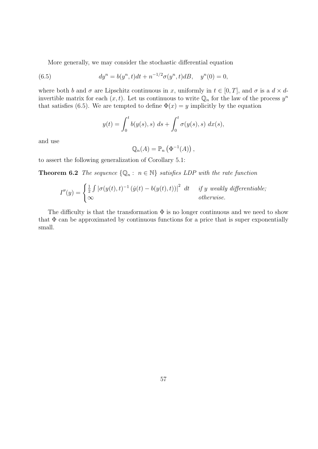More generally, we may consider the stochastic differential equation

(6.5) 
$$
dy^{n} = b(y^{n}, t)dt + n^{-1/2}\sigma(y^{n}, t)dB, \quad y^{n}(0) = 0,
$$

where both b and  $\sigma$  are Lipschitz continuous in x, uniformly in  $t \in [0, T]$ , and  $\sigma$  is a  $d \times d$ invertible matrix for each  $(x, t)$ . Let us continuous to write  $\mathbb{Q}_n$  for the law of the process  $y^n$ that satisfies (6.5). We are tempted to define  $\Phi(x) = y$  implicitly by the equation

$$
y(t) = \int_0^t b(y(s), s) \, ds + \int_0^t \sigma(y(s), s) \, dx(s),
$$

and use

$$
\mathbb{Q}_n(A) = \mathbb{P}_n \left( \Phi^{-1}(A) \right),
$$

to assert the following generalization of Corollary 5.1:

**Theorem 6.2** The sequence  $\{Q_n : n \in \mathbb{N}\}\$  satisfies LDP with the rate function

$$
I''(y) = \begin{cases} \frac{1}{2} \int |\sigma(y(t), t)^{-1} (y(t) - b(y(t), t))|^2 \, dt & \text{if } y \text{ weakly differentiable,} \\ \infty & \text{otherwise.} \end{cases}
$$

The difficulty is that the transformation  $\Phi$  is no longer continuous and we need to show that  $\Phi$  can be approximated by continuous functions for a price that is super exponentially small.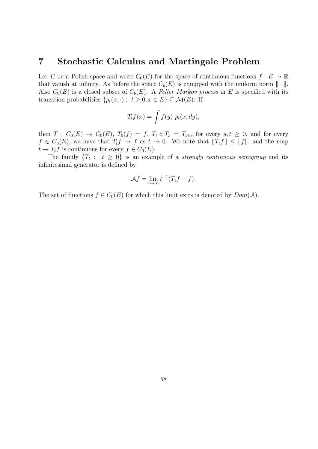### 7 Stochastic Calculus and Martingale Problem

Let E be a Polish space and write  $C_0(E)$  for the space of continuous functions  $f : E \to \mathbb{R}$ that vanish at infinity. As before the space  $C_b(E)$  is equipped with the uniform norm  $\|\cdot\|$ . Also  $C_0(E)$  is a closed subset of  $C_b(E)$ . A Feller Markov process in E is specified with its transition probabilities  $\{p_t(x, \cdot): t \geq 0, x \in E\} \subseteq \mathcal{M}(E)$ : If

$$
T_t f(x) = \int f(y) \ p_t(x, dy),
$$

then  $T: C_0(E) \to C_0(E)$ ,  $T_0(f) = f$ ,  $T_t \circ T_s = T_{t+s}$  for every  $s, t \geq 0$ , and for every  $f \in C_0(E)$ , we have that  $T_t f \to f$  as  $t \to 0$ . We note that  $||T_t f|| \leq ||f||$ , and the map  $t \mapsto T_t f$  is continuous for every  $f \in C_0(E)$ .

The family  $\{T_t : t \geq 0\}$  is an example of a *strongly continuous semigroup* and its infinitesimal generator is defined by

$$
\mathcal{A}f = \lim_{t \to \infty} t^{-1}(T_t f - f).
$$

The set of functions  $f \in C_0(E)$  for which this limit exits is denoted by  $Dom(\mathcal{A})$ .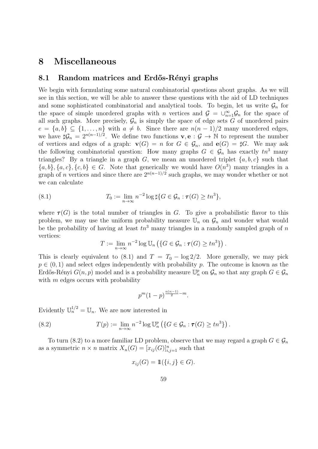### 8 Miscellaneous

### 8.1 Random matrices and Erdős-Rényi graphs

We begin with formulating some natural combinatorial questions about graphs. As we will see in this section, we will be able to answer these questions with the aid of LD techniques and some sophisticated combinatorial and analytical tools. To begin, let us write  $\mathcal{G}_n$  for the space of simple unordered graphs with n vertices and  $\mathcal{G} = \bigcup_{n=1}^{\infty} \mathcal{G}_n$  for the space of all such graphs. More precisely,  $\mathcal{G}_n$  is simply the space of edge sets G of unordered pairs  $e = \{a, b\} \subseteq \{1, \ldots, n\}$  with  $a \neq b$ . Since there are  $n(n-1)/2$  many unordered edges, we have  $\sharp \mathcal{G}_n = 2^{n(n-1)/2}$ . We define two functions  $\mathbf{v}, \mathbf{e} : \mathcal{G} \to \mathbb{N}$  to represent the number of vertices and edges of a graph:  $\mathbf{v}(G) = n$  for  $G \in \mathcal{G}_n$ , and  $\mathbf{e}(G) = \sharp G$ . We may ask the following combinatorial question: How many graphs  $G \in \mathcal{G}_n$  has exactly  $tn^3$  many triangles? By a triangle in a graph G, we mean an unordered triplet  $\{a, b, c\}$  such that  $\{a, b\}, \{a, c\}, \{c, b\} \in G$ . Note that generically we would have  $O(n^3)$  many triangles in a graph of *n* vertices and since there are  $2^{n(n-1)/2}$  such graphs, we may wonder whether or not we can calculate

(8.1) 
$$
T_0 := \lim_{n \to \infty} n^{-2} \log \sharp \{ G \in \mathcal{G}_n : \tau(G) \geq tn^3 \},
$$

where  $\tau(G)$  is the total number of triangles in G. To give a probabilistic flavor to this problem, we may use the uniform probability measure  $\mathbb{U}_n$  on  $\mathcal{G}_n$  and wonder what would be the probability of having at least  $tn^3$  many triangles in a randomly sampled graph of n vertices:

$$
T := \lim_{n \to \infty} n^{-2} \log \mathbb{U}_n \left( \{ G \in \mathcal{G}_n : \tau(G) \geq tn^3 \} \right).
$$

This is clearly equivalent to (8.1) and  $T = T_0 - \log 2/2$ . More generally, we may pick  $p \in (0, 1)$  and select edges independently with probability p. The outcome is known as the Erdős-Rényi  $G(n, p)$  model and is a probability measure  $\mathbb{U}_n^p$  on  $\mathcal{G}_n$  so that any graph  $G \in \mathcal{G}_n$ with  $m$  edges occurs with probability

$$
p^m(1-p)^{\frac{n(n-1)}{2}-m}.
$$

Evidently  $\mathbb{U}_n^{1/2} = \mathbb{U}_n$ . We are now interested in

(8.2) 
$$
T(p) := \lim_{n \to \infty} n^{-2} \log \mathbb{U}_n^p \left( \{ G \in \mathcal{G}_n : \tau(G) \geq tn^3 \} \right).
$$

To turn (8.2) to a more familiar LD problem, observe that we may regard a graph  $G \in \mathcal{G}_n$ as a symmetric  $n \times n$  matrix  $X_n(G) = [x_{ij}(G)]_{i,j=1}^n$  such that

$$
x_{ij}(G) = \mathbb{1}(\{i, j\} \in G).
$$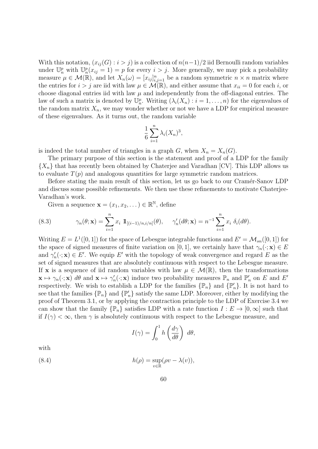With this notation,  $(x_{ii}(G) : i > j)$  is a collection of  $n(n-1)/2$  iid Bernoulli random variables under  $\mathbb{U}_n^p$  with  $\mathbb{U}_n^p(x_{ij} = 1) = p$  for every  $i > j$ . More generally, we may pick a probability measure  $\mu \in \mathcal{M}(\mathbb{R})$ , and let  $X_n(\omega) = [x_{ij}]_{i,j=1}^n$  be a random symmetric  $n \times n$  matrix where the entries for  $i > j$  are iid with law  $\mu \in \mathcal{M}(\mathbb{R})$ , and either assume that  $x_{ii} = 0$  for each i, or choose diagonal entries iid with law  $\mu$  and independently from the off-diagonal entries. The law of such a matrix is denoted by  $\mathbb{U}_n^{\mu}$ . Writing  $(\lambda_i(X_n): i = 1, \ldots, n)$  for the eigenvalues of the random matrix  $X_n$ , we may wonder whether or not we have a LDP for empirical measure of these eigenvalues. As it turns out, the random variable

$$
\frac{1}{6}\sum_{i=1}^n \lambda_i (X_n)^3,
$$

is indeed the total number of triangles in a graph G, when  $X_n = X_n(G)$ .

The primary purpose of this section is the statement and proof of a LDP for the family  ${X_n}$  that has recently been obtained by Chaterjee and Varadhan [CV]. This LDP allows us to evaluate  $T(p)$  and analogous quantities for large symmetric random matrices.

Before stating the main result of this section, let us go back to our Cramér-Sanov LDP and discuss some possible refinements. We then use these refinements to motivate Chaterjee-Varadhan's work.

Given a sequence  $\mathbf{x} = (x_1, x_2, \dots) \in \mathbb{R}^{\mathbb{N}}$ , define

(8.3) 
$$
\gamma_n(\theta; \mathbf{x}) = \sum_{i=1}^n x_i \mathbb{1}_{[(i-1)/n, i/n]}(\theta), \quad \gamma'_n(d\theta; \mathbf{x}) = n^{-1} \sum_{i=1}^n x_i \delta_i(d\theta).
$$

Writing  $E = L^1([0, 1])$  for the space of Lebesgue integrable functions and  $E' = \mathcal{M}_{sn}([0, 1])$  for the space of signed measures of finite variation on [0, 1], we certainly have that  $\gamma_n(\cdot; \mathbf{x}) \in E$ and  $\gamma'_n(\cdot; \mathbf{x}) \in E'$ . We equip E' with the topology of weak convergence and regard E as the set of signed measures that are absolutely continuous with respect to the Lebesgue measure. If x is a sequence of iid random variables with law  $\mu \in \mathcal{M}(\mathbb{R})$ , then the transformations  $\mathbf{x} \mapsto \gamma_n(\cdot; \mathbf{x})$  d $\theta$  and  $\mathbf{x} \mapsto \gamma'_n(\cdot; \mathbf{x})$  induce two probability measures  $\mathbb{P}_n$  and  $\mathbb{P}'_n$  on E and E' respectively. We wish to establish a LDP for the families  $\{\mathbb{P}_n\}$  and  $\{\mathbb{P}'_n\}$ . It is not hard to see that the families  $\{\mathbb{P}_n\}$  and  $\{\mathbb{P}'_n\}$  satisfy the same LDP. Moreover, either by modifying the proof of Theorem 3.1, or by applying the contraction principle to the LDP of Exercise 3.4 we can show that the family  $\{\mathbb{P}_n\}$  satisfies LDP with a rate function  $I: E \to [0,\infty]$  such that if  $I(\gamma) < \infty$ , then  $\gamma$  is absolutely continuous with respect to the Lebesgue measure, and

$$
I(\gamma) = \int_0^1 h\left(\frac{d\gamma}{d\theta}\right) d\theta,
$$

with

(8.4) 
$$
h(\rho) = \sup_{v \in \mathbb{R}} (\rho v - \lambda(v)),
$$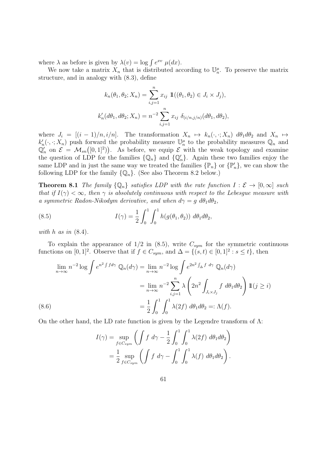where  $\lambda$  as before is given by  $\lambda(v) = \log \int e^{xv} \mu(dx)$ .

We now take a matrix  $X_n$  that is distributed according to  $\mathbb{U}_n^{\mu}$ . To preserve the matrix structure, and in analogy with (8.3), define

$$
k_n(\theta_1, \theta_2; X_n) = \sum_{i,j=1}^n x_{ij} \mathbb{1}((\theta_1, \theta_2) \in J_i \times J_j),
$$
  

$$
k'_n(d\theta_1, d\theta_2; X_n) = n^{-2} \sum_{i,j=1}^n x_{ij} \delta_{(i/n, j/n)}(d\theta_1, d\theta_2),
$$

where  $J_i = [(i-1)/n, i/n]$ . The transformation  $X_n \mapsto k_n(\cdot, \cdot; X_n) d\theta_1 d\theta_2$  and  $X_n \mapsto$  $k'_n(\cdot, \cdot; X_n)$  push forward the probability measure  $\mathbb{U}_n^{\mu}$  to the probability measures  $\mathbb{Q}_n$  and  $\mathbb{Q}_n'$  on  $\mathcal{E} = \mathcal{M}_{sn}([0,1]^2)$ . As before, we equip  $\mathcal{E}$  with the weak topology and examine the question of LDP for the families  $\{\mathbb{Q}_n\}$  and  $\{\mathbb{Q}'_n\}$ . Again these two families enjoy the same LDP and in just the same way we treated the families  $\{\mathbb{P}_n\}$  or  $\{\mathbb{P}'_n\}$ , we can show the following LDP for the family  $\{\mathbb{Q}_n\}$ . (See also Theorem 8.2 below.)

**Theorem 8.1** The family  $\{\mathbb{Q}_n\}$  satisfies LDP with the rate function  $I : \mathcal{E} \to [0,\infty]$  such that if  $I(\gamma) < \infty$ , then  $\gamma$  is absolutely continuous with respect to the Lebesgue measure with a symmetric Radon-Nikodym derivative, and when  $d\gamma = g \, d\theta_1 d\theta_2$ ,

(8.5) 
$$
I(\gamma) = \frac{1}{2} \int_0^1 \int_0^1 h(g(\theta_1, \theta_2)) \ d\theta_1 d\theta_2,
$$

with h as in  $(8.4)$ .

To explain the appearance of  $1/2$  in (8.5), write  $C_{sym}$  for the symmetric continuous functions on [0,1]<sup>2</sup>. Observe that if  $f \in C_{sym}$ , and  $\Delta = \{(s,t) \in [0,1]^2 : s \le t\}$ , then

$$
\lim_{n \to \infty} n^{-2} \log \int e^{n^2 \int f d\gamma} \mathbb{Q}_n(d\gamma) = \lim_{n \to \infty} n^{-2} \log \int e^{2n^2 \int_{\Delta} f d\gamma} \mathbb{Q}_n(d\gamma)
$$

$$
= \lim_{n \to \infty} n^{-2} \sum_{i,j=1}^n \lambda \left( 2n^2 \int_{J_i \times J_j} f d\theta_1 d\theta_2 \right) \mathbb{1}(j \ge i)
$$

$$
= \frac{1}{2} \int_0^1 \int_0^1 \lambda(2f) d\theta_1 d\theta_2 =: \Lambda(f).
$$

On the other hand, the LD rate function is given by the Legendre transform of Λ:

$$
I(\gamma) = \sup_{f \in C_{sym}} \left( \int f \ d\gamma - \frac{1}{2} \int_0^1 \int_0^1 \lambda(2f) \ d\theta_1 d\theta_2 \right)
$$
  
= 
$$
\frac{1}{2} \sup_{f \in C_{sym}} \left( \int f \ d\gamma - \int_0^1 \int_0^1 \lambda(f) \ d\theta_1 d\theta_2 \right).
$$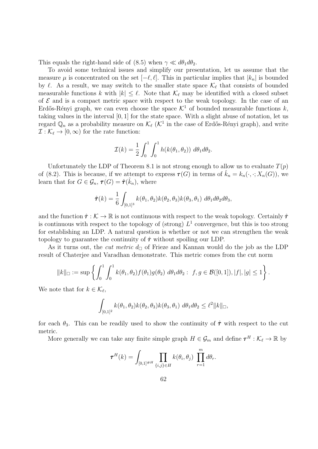This equals the right-hand side of (8.5) when  $\gamma \ll d\theta_1 d\theta_2$ .

To avoid some technical issues and simplify our presentation, let us assume that the measure  $\mu$  is concentrated on the set  $[-\ell, \ell]$ . This in particular implies that  $|k_n|$  is bounded by  $\ell$ . As a result, we may switch to the smaller state space  $\mathcal{K}_{\ell}$  that consists of bounded measurable functions k with  $|k| \leq \ell$ . Note that  $\mathcal{K}_{\ell}$  may be identified with a closed subset of  $\mathcal E$  and is a compact metric space with respect to the weak topology. In the case of an Erdős-Rényi graph, we can even choose the space  $\mathcal{K}^1$  of bounded measurable functions k, taking values in the interval  $[0, 1]$  for the state space. With a slight abuse of notation, let us regard  $\mathbb{Q}_n$  as a probability measure on  $\mathcal{K}_{\ell}$  ( $\mathcal{K}^1$  in the case of Erdős-Rényi graph), and write  $\mathcal{I}: \mathcal{K}_{\ell} \to [0,\infty)$  for the rate function:

$$
\mathcal{I}(k) = \frac{1}{2} \int_0^1 \int_0^1 h(k(\theta_1, \theta_2)) \ d\theta_1 d\theta_2.
$$

Unfortunately the LDP of Theorem 8.1 is not strong enough to allow us to evaluate  $T(p)$ of (8.2). This is because, if we attempt to express  $\tau(G)$  in terms of  $k_n = k_n(\cdot, \cdot; X_n(G))$ , we learn that for  $G \in \mathcal{G}_n$ ,  $\tau(G) = \hat{\tau}(\hat{k}_n)$ , where

$$
\hat{\tau}(k) = \frac{1}{6} \int_{[0,1]^3} k(\theta_1, \theta_2) k(\theta_2, \theta_3) k(\theta_3, \theta_1) \ d\theta_1 d\theta_2 d\theta_3,
$$

and the function  $\hat{\tau}: \mathcal{K} \to \mathbb{R}$  is not continuous with respect to the weak topology. Certainly  $\hat{\tau}$ is continuous with respect to the topology of (strong)  $L<sup>1</sup>$  convergence, but this is too strong for establishing an LDP. A natural question is whether or not we can strengthen the weak topology to guarantee the continuity of  $\hat{\tau}$  without spoiling our LDP.

As it turns out, the *cut metric*  $d_{\Box}$  of Frieze and Kannan would do the job as the LDP result of Chaterjee and Varadhan demonstrate. This metric comes from the cut norm

$$
||k||_{\Box} := \sup \left\{ \int_0^1 \int_0^1 k(\theta_1, \theta_2) f(\theta_1) g(\theta_2) \, d\theta_1 d\theta_2 : f, g \in \mathcal{B}([0, 1]), |f|, |g| \le 1 \right\}.
$$

We note that for  $k \in \mathcal{K}_{\ell}$ ,

$$
\int_{[0,1]^2} k(\theta_1, \theta_2) k(\theta_2, \theta_3) k(\theta_3, \theta_1) \ d\theta_1 d\theta_2 \leq \ell^2 ||k||_{\square},
$$

for each  $\theta_3$ . This can be readily used to show the continuity of  $\hat{\tau}$  with respect to the cut metric.

More generally we can take any finite simple graph  $H \in \mathcal{G}_m$  and define  $\tau^H : \mathcal{K}_\ell \to \mathbb{R}$  by

$$
\tau^{H}(k) = \int_{[0,1]^{*H}} \prod_{\{i,j\} \in H} k(\theta_i, \theta_j) \prod_{r=1}^{m} d\theta_r.
$$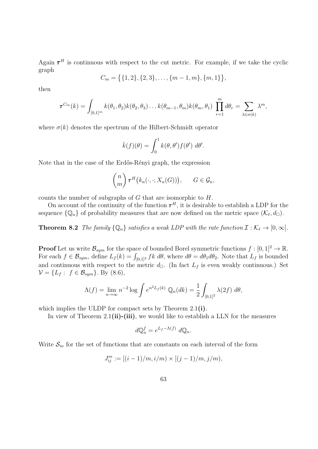Again  $\tau^H$  is continuous with respect to the cut metric. For example, if we take the cyclic graph

$$
C_m = \{ \{1, 2\}, \{2, 3\}, \ldots, \{m - 1, m\}, \{m, 1\} \},
$$

then

$$
\boldsymbol{\tau}^{C_m}(k)=\int_{[0,1]^m}k(\theta_1,\theta_2)k(\theta_2,\theta_3)\ldots k(\theta_{m-1},\theta_m)k(\theta_m,\theta_1)\prod_{r=1}^m d\theta_r=\sum_{\lambda\in\sigma(k)}\lambda^m,
$$

where  $\sigma(k)$  denotes the spectrum of the Hilbert-Schmidt operator

$$
\bar{k}(f)(\theta) = \int_0^1 k(\theta, \theta') f(\theta') d\theta'.
$$

Note that in the case of the Erdős-Rényi graph, the expression

$$
\binom{n}{m}\,\boldsymbol{\tau}^H\big(k_n(\cdot,\cdot;X_n(G))\big),\qquad G\in\mathcal{G}_n,
$$

counts the number of subgraphs of  $G$  that are isomorphic to  $H$ .

On account of the continuity of the function  $\tau^H$ , it is desirable to establish a LDP for the sequence  $\{\mathbb Q_n\}$  of probability measures that are now defined on the metric space  $(\mathcal{K}_\ell, d_\square)$ .

**Theorem 8.2** The family  $\{Q_n\}$  satisfies a weak LDP with the rate function  $\mathcal{I}: \mathcal{K}_{\ell} \to [0,\infty]$ .

**Proof** Let us write  $\mathcal{B}_{sym}$  for the space of bounded Borel symmetric functions  $f : [0, 1]^2 \to \mathbb{R}$ . For each  $f \in \mathcal{B}_{sym}$ , define  $L_f(k) = \int_{[0,1]^2} f k \, d\theta$ , where  $d\theta = d\theta_1 d\theta_2$ . Note that  $L_f$  is bounded and continuous with respect to the metric  $d_{\Box}$ . (In fact  $L_f$  is even weakly continuous.) Set  $V = \{L_f : f \in \mathcal{B}_{sum}\}\$ . By (8.6),

$$
\Lambda(f) = \lim_{n \to \infty} n^{-2} \log \int e^{n^2 L_f(k)} \mathbb{Q}_n(dk) = \frac{1}{2} \int_{[0,1]^2} \lambda(2f) d\theta,
$$

which implies the ULDP for compact sets by Theorem 2.1(i).

In view of Theorem  $2.1$ (ii)-(iii), we would like to establish a LLN for the measures

$$
d\mathbb{Q}_n^f = e^{L_f - \Lambda(f)} d\mathbb{Q}_n.
$$

Write  $\mathcal{S}_m$  for the set of functions that are constants on each interval of the form

$$
J_{ij}^m := [(i-1)/m, i/m) \times [(j-1)/m, j/m),
$$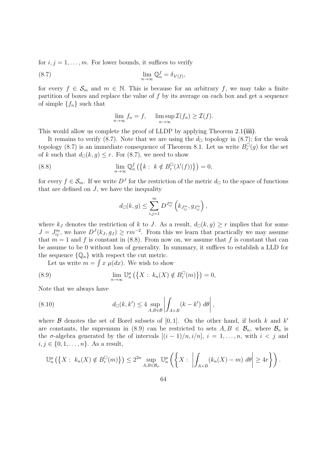for  $i, j = 1, \ldots, m$ . For lower bounds, it suffices to verify

(8.7) 
$$
\lim_{n \to \infty} \mathbb{Q}_n^f = \delta_{\lambda'(f)},
$$

for every  $f \in \mathcal{S}_m$  and  $m \in \mathbb{N}$ . This is because for an arbitrary f, we may take a finite partition of boxes and replace the value of  $f$  by its average on each box and get a sequence of simple  $\{f_n\}$  such that

$$
\lim_{n \to \infty} f_n = f, \quad \limsup_{n \to \infty} \mathcal{I}(f_n) \ge \mathcal{I}(f).
$$

This would allow us complete the proof of LLDP by applying Theorem 2.1(iii).

It remains to verify (8.7). Note that we are using the  $d_{\Box}$  topology in (8.7); for the weak topology (8.7) is an immediate consequence of Theorem 8.1. Let us write  $B_r^{\square}(g)$  for the set of k such that  $d_{\square}(k, g) \leq r$ . For (8.7), we need to show

(8.8) 
$$
\lim_{n \to \infty} \mathbb{Q}_n^f \left( \left\{ k : k \notin B_r^{\square}(\lambda'(f)) \right\} \right) = 0,
$$

for every  $f \in \mathcal{S}_m$ . If we write  $D<sup>J</sup>$  for the restriction of the metric  $d_{\Box}$  to the space of functions that are defined on  $J$ , we have the inequality

$$
d_{\square}(k,g) \leq \sum_{i,j=1}^{m} D^{J_{ij}^{m}}\left(k_{J_{ij}^{m}}, g_{J_{ij}^{m}}\right),
$$

where  $k_J$  denotes the restriction of k to J. As a result,  $d_{\Box}(k, g) \geq r$  implies that for some  $J = J_{ij}^m$ , we have  $D^{J}(k_J, g_J) \geq rm^{-2}$ . From this we learn that practically we may assume that  $m = 1$  and f is constant in (8.8). From now on, we assume that f is constant that can be assume to be 0 without loss of generality. In summary, it suffices to establish a LLD for the sequence  $\{\mathbb{Q}_n\}$  with respect the cut metric.

Let us write  $m = \int x \mu(dx)$ . We wish to show

(8.9) 
$$
\lim_{n \to \infty} \mathbb{U}_n^{\mu} \left( \left\{ X : k_n(X) \notin B_r^{\square}(m) \right\} \right) = 0,
$$

Note that we always have

(8.10) 
$$
d_{\square}(k, k') \leq 4 \sup_{A, B \in \mathcal{B}} \left| \int_{A \times B} (k - k') d\theta \right|,
$$

where  $\beta$  denotes the set of Borel subsets of [0,1]. On the other hand, if both k and k' are constants, the supremum in (8.9) can be restricted to sets  $A, B \in \mathcal{B}_n$ , where  $\mathcal{B}_n$  is the  $\sigma$ -algebra generated by the of intervals  $[(i-1)/n, i/n]$ ,  $i = 1, \ldots, n$ , with  $i < j$  and  $i, j \in \{0, 1, ..., n\}$ . As a result,

$$
\mathbb{U}_n^{\mu}\left(\left\{X:\ k_n(X)\notin B_r^{\square}(m)\right\}\right)\leq 2^{2n}\sup_{A,B\in\mathcal{B}_n}\mathbb{U}_n^{\mu}\left(\left\{X:\ \left|\int_{A\times B}(k_n(X)-m)\ d\theta\right|\geq 4r\right\}\right).
$$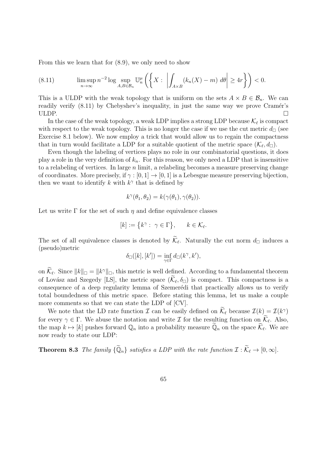From this we learn that for (8.9), we only need to show

(8.11) 
$$
\limsup_{n \to \infty} n^{-2} \log \sup_{A,B \in \mathcal{B}_n} \mathbb{U}_n^{\mu} \left( \left\{ X : \left| \int_{A \times B} (k_n(X) - m) \, d\theta \right| \geq 4r \right\} \right) < 0.
$$

This is a ULDP with the weak topology that is uniform on the sets  $A \times B \in \mathcal{B}_n$ . We can readily verify  $(8.11)$  by Chebyshev's inequality, in just the same way we prove Cramér's ULDP.

In the case of the weak topology, a weak LDP implies a strong LDP because  $\mathcal{K}_{\ell}$  is compact with respect to the weak topology. This is no longer the case if we use the cut metric  $d_{\Box}$  (see Exercise 8.1 below). We now employ a trick that would allow us to regain the compactness that in turn would facilitate a LDP for a suitable quotient of the metric space  $(\mathcal{K}_\ell, d_\square)$ .

Even though the labeling of vertices plays no role in our combinatorial questions, it does play a role in the very definition of  $k_n$ . For this reason, we only need a LDP that is insensitive to a relabeling of vertices. In large  $n$  limit, a relabeling becomes a measure preserving change of coordinates. More precisely, if  $\gamma : [0, 1] \to [0, 1]$  is a Lebesgue measure preserving bijection, then we want to identify k with  $k^{\gamma}$  that is defined by

$$
k^{\gamma}(\theta_1, \theta_2) = k(\gamma(\theta_1), \gamma(\theta_2)).
$$

Let us write  $\Gamma$  for the set of such  $\eta$  and define equivalence classes

$$
[k] := \left\{ k^{\gamma} : \ \gamma \in \Gamma \right\}, \qquad k \in \mathcal{K}_{\ell}.
$$

The set of all equivalence classes is denoted by  $\mathcal{K}_{\ell}$ . Naturally the cut norm  $d_{\square}$  induces a (pseudo)metric

$$
\delta_{\square}([k],[k']) = \inf_{\gamma \in \Gamma} d_{\square}(k^{\gamma},k'),
$$

on  $\mathcal{K}_{\ell}$ . Since  $||k||_{\square} = ||k^{\gamma}||_{\square}$ , this metric is well defined. According to a fundamental theorem of Lovász and Szegedy [LS], the metric space  $(\mathcal{K}_{\ell}, \delta_{\Box})$  is compact. This compactness is a consequence of a deep regularity lemma of Szemerédi that practically allows us to verify total boundedness of this metric space. Before stating this lemma, let us make a couple more comments so that we can state the LDP of [CV].

We note that the LD rate function  $\mathcal I$  can be easily defined on  $\mathcal K_\ell$  because  $\mathcal I(k) = \mathcal I(k^\gamma)$ for every  $\gamma \in \Gamma$ . We abuse the notation and write  $\mathcal I$  for the resulting function on  $\mathcal K_\ell$ . Also, the map  $k \mapsto [k]$  pushes forward  $\mathbb{Q}_n$  into a probability measure  $\widetilde{\mathbb{Q}}_n$  on the space  $\widetilde{\mathcal{K}}_{\ell}$ . We are now ready to state our LDP:

**Theorem 8.3** The family  $\{\widetilde{\mathbb{Q}}_n\}$  satisfies a LDP with the rate function  $\mathcal{I}: \widetilde{\mathcal{K}}_{\ell} \to [0,\infty]$ .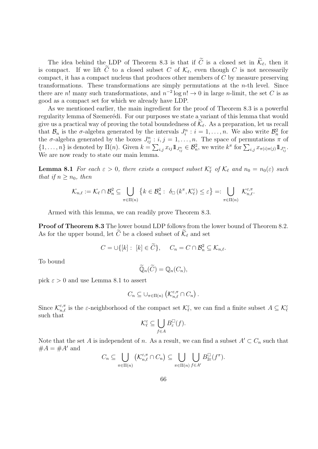The idea behind the LDP of Theorem 8.3 is that if C is a closed set in  $\mathcal{K}_{\ell}$ , then it is compact. If we lift C to a closed subset C of  $\mathcal{K}_{\ell}$ , even though C is not necessarily compact, it has a compact nucleus that produces other members of C by measure preserving transformations. These transformations are simply permutations at the  $n$ -th level. Since there are n! many such transformations, and  $n^{-2} \log n! \to 0$  in large n-limit, the set C is as good as a compact set for which we already have LDP.

As we mentioned earlier, the main ingredient for the proof of Theorem 8.3 is a powerful regularity lemma of Szemerédi. For our purposes we state a variant of this lemma that would give us a practical way of proving the total boundedness of  $\mathcal{K}_{\ell}$ . As a preparation, let us recall that  $\mathcal{B}_n$  is the  $\sigma$ -algebra generated by the intervals  $J_i^n : i = 1, \ldots, n$ . We also write  $\mathcal{B}_n^2$  for the  $\sigma$ -algebra generated by the boxes  $J_{ij}^n : i, j = 1, \ldots, n$ . The space of permutations  $\pi$  of  $\{1,\ldots,n\}$  is denoted by  $\Pi(n)$ . Given  $k=\sum_{i,j}x_{ij}\mathbb{1}_{J_{ij}^n}\in\mathcal{B}_n^2$ , we write  $k^{\pi}$  for  $\sum_{i,j}x_{\pi(i)\pi(j)}\mathbb{1}_{J_{ij}^n}$ . We are now ready to state our main lemma.

**Lemma 8.1** For each  $\varepsilon > 0$ , there exists a compact subset  $\mathcal{K}_{\ell}^{\varepsilon}$  of  $\mathcal{K}_{\ell}$  and  $n_0 = n_0(\varepsilon)$  such that if  $n \geq n_0$ , then

$$
\mathcal{K}_{n,\ell} := \mathcal{K}_{\ell} \cap \mathcal{B}_{n}^{2} \subseteq \bigcup_{\pi \in \Pi(n)} \left\{ k \in \mathcal{B}_{n}^{2} : \delta_{\square} (k^{\pi}, \mathcal{K}_{\ell}^{\varepsilon}) \leq \varepsilon \right\} =: \bigcup_{\pi \in \Pi(n)} \mathcal{K}_{n,\ell}^{\varepsilon,\pi}.
$$

Armed with this lemma, we can readily prove Theorem 8.3.

Proof of Theorem 8.3 The lower bound LDP follows from the lower bound of Theorem 8.2. As for the upper bound, let  $\tilde{C}$  be a closed subset of  $\tilde{\mathcal{K}}_{\ell}$  and set

$$
C = \cup \{ [k] : [k] \in \widetilde{C} \}, \quad C_n = C \cap \mathcal{B}_n^2 \subseteq \mathcal{K}_{n,\ell}.
$$

To bound

$$
\widetilde{\mathbb{Q}}_n(\widetilde{C})=\mathbb{Q}_n(C_n),
$$

pick  $\varepsilon > 0$  and use Lemma 8.1 to assert

$$
C_n \subseteq \cup_{\pi \in \Pi(n)} \left( \mathcal{K}_{n,\ell}^{\varepsilon,\pi} \cap C_n \right).
$$

Since  $\mathcal{K}_{n,\ell}^{\varepsilon,\pi}$  is the  $\varepsilon$ -neighborhood of the compact set  $\mathcal{K}_{\ell}^{\varepsilon}$ , we can find a finite subset  $A \subseteq \mathcal{K}_{\ell}^{\varepsilon}$ such that

$$
\mathcal{K}^{\varepsilon}_{\ell} \subseteq \bigcup_{f \in A} B^{\square}_{\varepsilon}(f).
$$

Note that the set A is independent of n. As a result, we can find a subset  $A' \subset C_n$  such that  $#A = #A'$  and

$$
C_n \subseteq \bigcup_{\pi \in \Pi(n)} \left( \mathcal{K}_{n,\ell}^{\varepsilon,\pi} \cap C_n \right) \subseteq \bigcup_{\pi \in \Pi(n)} \bigcup_{f \in A'} B_{2\varepsilon}^{\square}(f^{\pi}).
$$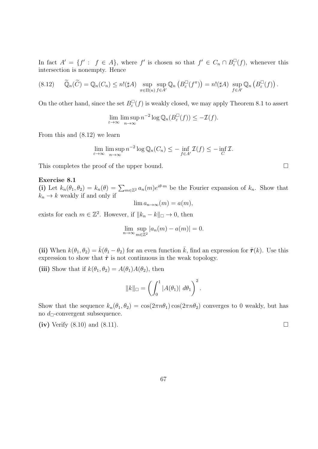In fact  $A' = \{f' : f \in A\}$ , where f' is chosen so that  $f' \in C_n \cap B_{\varepsilon}^{\square}(f)$ , whenever this intersection is nonempty. Hence

$$
(8.12) \qquad \widetilde{\mathbb{Q}}_n(\widetilde{C}) = \mathbb{Q}_n(C_n) \le n! (\sharp A) \sup_{\pi \in \Pi(n)} \sup_{f \in A'} \mathbb{Q}_n\left(B_{\varepsilon}^{\square}(f^{\pi})\right) = n! (\sharp A) \sup_{f \in A'} \mathbb{Q}_n\left(B_{\varepsilon}^{\square}(f)\right).
$$

On the other hand, since the set  $B_{\varepsilon}^{\square}(f)$  is weakly closed, we may apply Theorem 8.1 to assert

$$
\lim_{\varepsilon \to \infty} \limsup_{n \to \infty} n^{-2} \log \mathbb{Q}_n(B_{\varepsilon}^{\square}(f)) \le -\mathcal{I}(f).
$$

From this and (8.12) we learn

$$
\lim_{\varepsilon \to \infty} \limsup_{n \to \infty} n^{-2} \log \mathbb{Q}_n(C_n) \leq - \inf_{f \in A'} \mathcal{I}(f) \leq - \inf_C \mathcal{I}.
$$

This completes the proof of the upper bound.

#### Exercise 8.1

(i) Let  $k_n(\theta_1, \theta_2) = k_n(\theta) = \sum_{m \in \mathbb{Z}^2} a_n(m) e^{i\theta \cdot m}$  be the Fourier expansion of  $k_n$ . Show that  $k_n \to k$  weakly if and only if

$$
\lim a_{n\to\infty}(m)=a(m),
$$

exists for each  $m \in \mathbb{Z}^2$ . However, if  $||k_n - k||_{\square} \to 0$ , then

$$
\lim_{n \to \infty} \sup_{m \in \mathbb{Z}^2} |a_n(m) - a(m)| = 0.
$$

(ii) When  $k(\theta_1, \theta_2) = \bar{k}(\theta_1 - \theta_2)$  for an even function  $\bar{k}$ , find an expression for  $\hat{\tau}(k)$ . Use this expression to show that  $\hat{\tau}$  is not continuous in the weak topology.

(iii) Show that if  $k(\theta_1, \theta_2) = A(\theta_1)A(\theta_2)$ , then

$$
||k||_{\Box} = \left(\int_0^1 |A(\theta_1)| \, d\theta_1\right)^2.
$$

Show that the sequence  $k_n(\theta_1, \theta_2) = \cos(2\pi n\theta_1)\cos(2\pi n\theta_2)$  converges to 0 weakly, but has no  $d_{\square}$ -convergent subsequence.

(iv) Verify  $(8.10)$  and  $(8.11)$ .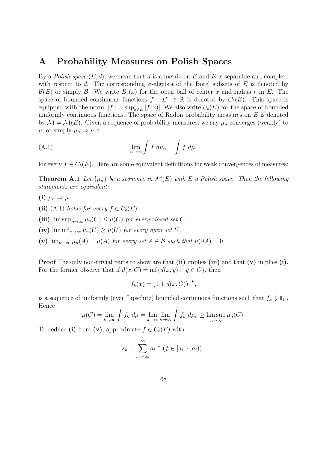### A Probability Measures on Polish Spaces

By a Polish space  $(E, d)$ , we mean that d is a metric on E and E is separable and complete with respect to d. The corresponding  $\sigma$ -algebra of the Borel subsets of E is denoted by  $\mathcal{B}(E)$  or simply  $\mathcal{B}$ . We write  $B_r(x)$  for the open ball of center x and radius r in E. The space of bounded continuous functions  $f : E \to \mathbb{R}$  is denoted by  $C_b(E)$ . This space is equipped with the norm  $||f|| = \sup_{x \in E} |f(x)|$ . We also write  $U_b(E)$  for the space of bounded uniformly continuous functions. The space of Radon probability measures on  $E$  is denoted by  $\mathcal{M} = \mathcal{M}(E)$ . Given a sequence of probability measures, we say  $\mu_n$  converges (weakly) to  $\mu$ , or simply  $\mu_n \Rightarrow \mu$  if

(A.1) 
$$
\lim_{n \to \infty} \int f \, d\mu_n = \int f \, d\mu,
$$

for every  $f \in C_b(E)$ . Here are some equivalent definitions for weak convergences of measures:

**Theorem A.1** Let  $\{\mu_n\}$  be a sequence in  $\mathcal{M}(E)$  with E a Polish space. Then the following statements are equivalent:

(i)  $\mu_n \Rightarrow \mu$ .

- (ii) (A.1) holds for every  $f \in U_b(E)$ .
- (iii)  $\limsup_{n\to\infty}\mu_n(C)\leq\mu(C)$  for every closed set C.
- (iv)  $\liminf_{n\to\infty}\mu_n(U)\geq\mu(U)$  for every open set U.
- (v)  $\lim_{n\to\infty}\mu_n(A)=\mu(A)$  for every set  $A\in\mathcal{B}$  such that  $\mu(\partial A)=0$ .

**Proof** The only non-trivial parts to show are that (ii) implies (iii) and that (v) implies (i). For the former observe that if  $d(x, C) = \inf \{d(x, y) : y \in C\}$ , then

$$
f_k(x) = (1 + d(x, C))^{-k},
$$

is a sequence of uniformly (even Lipschitz) bounded continuous functions such that  $f_k \downarrow \mathbb{1}_C$ . Hence

$$
\mu(C) = \lim_{k \to \infty} \int f_k \ d\mu = \lim_{k \to \infty} \lim_{n \to \infty} \int f_k \ d\mu_n \ge \limsup_{n \to \infty} \mu_n(C).
$$

To deduce (i) from (v), approximate  $f \in C_b(E)$  with

$$
s_k = \sum_{i=-\infty}^{\infty} a_i \mathbb{1} \left( f \in [a_{i-1}, a_i) \right),
$$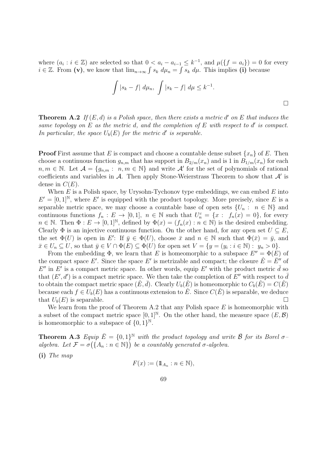where  $(a_i : i \in \mathbb{Z})$  are selected so that  $0 < a_i - a_{i-1} \leq k^{-1}$ , and  $\mu({f = a_i}) = 0$  for every  $i \in \mathbb{Z}$ . From (v), we know that  $\lim_{n\to\infty} \int s_k d\mu_n = \int s_k d\mu$ . This implies (i) because

$$
\int |s_k - f| d\mu_n, \int |s_k - f| d\mu \leq k^{-1}.
$$

**Theorem A.2** If  $(E, d)$  is a Polish space, then there exists a metric d' on E that induces the same topology on  $E$  as the metric  $d$ , and the completion of  $E$  with respect to  $d'$  is compact. In particular, the space  $U_b(E)$  for the metric d' is separable.

**Proof** First assume that E is compact and choose a countable dense subset  $\{x_n\}$  of E. Then choose a continuous function  $g_{n,m}$  that has support in  $B_{2/m}(x_n)$  and is 1 in  $B_{1/m}(x_n)$  for each  $n, m \in \mathbb{N}$ . Let  $\mathcal{A} = \{g_{n,m} : n, m \in \mathbb{N}\}\$ and write  $\mathcal{A}'$  for the set of polynomials of rational coefficients and variables in  $A$ . Then apply Stone-Weierstrass Theorem to show that  $A'$  is dense in  $C(E)$ .

When  $E$  is a Polish space, by Urysohn-Tychonov type embeddings, we can embed  $E$  into  $E' = [0,1]^{\mathbb{N}}$ , where E' is equipped with the product topology. More precisely, since E is a separable metric space, we may choose a countable base of open sets  $\{U_n : n \in \mathbb{N}\}\$  and continuous functions  $f_n: E \to [0,1], n \in \mathbb{N}$  such that  $U_n^c = \{x: f_n(x) = 0\}$ , for every  $n \in \mathbb{N}$ . Then  $\Phi: E \to [0,1]^{\mathbb{N}}$ , defined by  $\Phi(x) = (f_n(x) : n \in \mathbb{N})$  is the desired embedding. Clearly  $\Phi$  is an injective continuous function. On the other hand, for any open set  $U \subseteq E$ , the set  $\Phi(U)$  is open in E': If  $\bar{y} \in \Phi(U)$ , choose  $\bar{x}$  and  $n \in \mathbb{N}$  such that  $\Phi(\bar{x}) = \bar{y}$ , and  $\bar{x} \in U_n \subseteq U$ , so that  $\bar{y} \in V \cap \Phi(E) \subseteq \Phi(U)$  for open set  $V = \{y = (y_i : i \in \mathbb{N}) : y_n > 0\}.$ 

From the embedding  $\Phi$ , we learn that E is homeomorphic to a subspace  $E'' = \Phi(E)$  of the compact space E'. Since the space E' is metrizable and compact; the closure  $\hat{E} = \overline{E}''$  of  $E''$  in  $E'$  is a compact metric space. In other words, equip  $E'$  with the product metric  $\bar{d}$  so that  $(E', d')$  is a compact metric space. We then take the completion of  $E''$  with respect to  $\overline{d}$ to obtain the compact metric space  $(\hat{E}, \overline{d})$ . Clearly  $U_b(\hat{E})$  is homeomorphic to  $C_b(\hat{E}) = C(\hat{E})$ because each  $f \in U_b(E)$  has a continuous extension to  $\hat{E}$ . Since  $C(\hat{E})$  is separable, we deduce that  $U_b(E)$  is separable.

We learn from the proof of Theorem A.2 that any Polish space  $E$  is homeomorphic with a subset of the compact metric space  $[0,1]^{\mathbb{N}}$ . On the other hand, the measure space  $(E,\mathcal{B})$ is homeomorphic to a subspace of  $\{0, 1\}^{\mathbb{N}}$ .

**Theorem A.3** Equip  $\bar{E} = \{0, 1\}^{\mathbb{N}}$  with the product topology and write  $\bar{\mathcal{B}}$  for its Borel  $\sigma$ algebra. Let  $\mathcal{F} = \sigma(\lbrace A_n : n \in \mathbb{N} \rbrace)$  be a countably generated  $\sigma$ -algebra.

(i) The map

$$
F(x) := (\mathbb{1}_{A_n} : n \in \mathbb{N}),
$$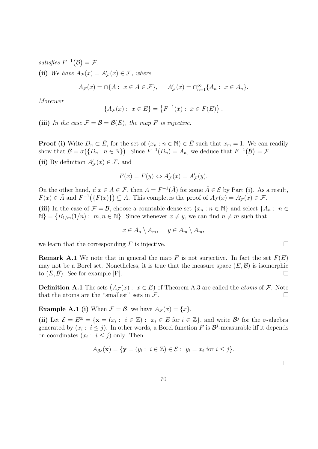satisfies  $F^{-1}(\overline{B}) = \mathcal{F}.$ (ii) We have  $A_{\mathcal{F}}(x) = A'_{\mathcal{F}}(x) \in \mathcal{F}$ , where

 $A_{\mathcal{F}}(x) = \bigcap \{ A : x \in A \in \mathcal{F} \}, \quad A'_{\mathcal{F}}(x) = \bigcap_{n=1}^{\infty} \{ A_n : x \in A_n \}.$ 

Moreover

$$
\{A_{\mathcal{F}}(x): x \in E\} = \{F^{-1}(\bar{x}): \bar{x} \in F(E)\}.
$$

(iii) In the case  $\mathcal{F} = \mathcal{B} = \mathcal{B}(E)$ , the map F is injective.

**Proof (i)** Write  $D_n \subset \overline{E}$ , for the set of  $(x_n : n \in \mathbb{N}) \in \overline{E}$  such that  $x_m = 1$ . We can readily show that  $\mathcal{B} = \sigma(\{D_n : n \in \mathbb{N}\})$ . Since  $F^{-1}(D_n) = A_n$ , we deduce that  $F^{-1}(\mathcal{B}) = \mathcal{F}$ . (ii) By definition  $A'_{\mathcal{F}}(x) \in \mathcal{F}$ , and

$$
F(x) = F(y) \Leftrightarrow A'_{\mathcal{F}}(x) = A'_{\mathcal{F}}(y).
$$

On the other hand, if  $x \in A \in \mathcal{F}$ , then  $A = F^{-1}(\overline{A})$  for some  $\overline{A} \in \mathcal{E}$  by Part (i). As a result,  $F(x) \in \overline{A}$  and  $F^{-1}(\{F(x)\}) \subseteq A$ . This completes the proof of  $A_{\mathcal{F}}(x) = A'_{\mathcal{F}}(x) \in \mathcal{F}$ .

(iii) In the case of  $\mathcal{F} = \mathcal{B}$ , choose a countable dense set  $\{x_n : n \in \mathbb{N}\}\$  and select  $\{A_n : n \in \mathbb{N}\}\$  $\mathbb{N} = \{B_{1/m}(1/n) : m, n \in \mathbb{N}\}.$  Since whenever  $x \neq y$ , we can find  $n \neq m$  such that

$$
x \in A_n \setminus A_m, \quad y \in A_m \setminus A_m,
$$

we learn that the corresponding  $F$  is injective.

**Remark A.1** We note that in general the map F is not surjective. In fact the set  $F(E)$ may not be a Borel set. Nonetheless, it is true that the measure space  $(E, \mathcal{B})$  is isomorphic to  $(E, \mathcal{B})$ . See for example [P].

**Definition A.1** The sets  $(A_{\mathcal{F}}(x) : x \in E)$  of Theorem A.3 are called the *atoms* of  $\mathcal{F}$ . Note that the atoms are the "smallest" sets in  $\mathcal{F}$ .

**Example A.1 (i)** When  $\mathcal{F} = \mathcal{B}$ , we have  $A_{\mathcal{F}}(x) = \{x\}$ .

(ii) Let  $\mathcal{E} = E^{\mathbb{Z}} = {\mathbf{x} = (x_i : i \in \mathbb{Z}) : x_i \in E \text{ for } i \in \mathbb{Z}}$ , and write  $\mathcal{B}^j$  for the  $\sigma$ -algebra generated by  $(x_i : i \leq j)$ . In other words, a Borel function F is  $\mathcal{B}^j$ -measurable iff it depends on coordinates  $(x_i : i \leq j)$  only. Then

$$
A_{\mathcal{B}^j}(\mathbf{x}) = \{ \mathbf{y} = (y_i : i \in \mathbb{Z}) \in \mathcal{E} : y_i = x_i \text{ for } i \leq j \}.
$$

 $\Box$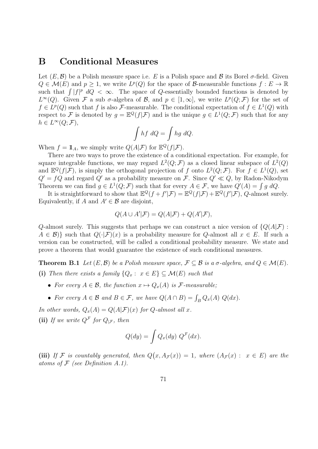### B Conditional Measures

Let  $(E, \mathcal{B})$  be a Polish measure space i.e. E is a Polish space and  $\mathcal{B}$  its Borel  $\sigma$ -field. Given  $Q \in \mathcal{M}(E)$  and  $p \geq 1$ , we write  $L^p(Q)$  for the space of B-measurable functions  $f : E \to \mathbb{R}$ such that  $\int |f|^p \ dQ \leq \infty$ . The space of Q-essentially bounded functions is denoted by  $L^{\infty}(Q)$ . Given F a sub  $\sigma$ -algebra of B, and  $p \in [1,\infty]$ , we write  $L^p(Q; \mathcal{F})$  for the set of  $f \in L^p(Q)$  such that f is also F-measurable. The conditional expectation of  $f \in L^1(Q)$  with respect to F is denoted by  $g = \mathbb{E}^Q(f|\mathcal{F})$  and is the unique  $g \in L^1(Q; \mathcal{F})$  such that for any  $h \in L^{\infty}(Q; \mathcal{F}),$ 

$$
\int hf \ dQ = \int hg \ dQ.
$$

When  $f = \mathbb{1}_A$ , we simply write  $Q(A|\mathcal{F})$  for  $\mathbb{E}^Q(f|\mathcal{F})$ .

There are two ways to prove the existence of a conditional expectation. For example, for square integrable functions, we may regard  $L^2(Q; \mathcal{F})$  as a closed linear subspace of  $L^2(Q)$ and  $\mathbb{E}^Q(f|\mathcal{F})$ , is simply the orthogonal projection of f onto  $L^2(Q;\mathcal{F})$ . For  $f \in L^1(Q)$ , set  $Q' = fQ$  and regard Q' as a probability measure on F. Since  $Q' \ll Q$ , by Radon-Nikodym Theorem we can find  $g \in L^1(Q; \mathcal{F})$  such that for every  $A \in \mathcal{F}$ , we have  $Q'(A) = \int g \, dQ$ .

It is straightforward to show that  $\mathbb{E}^Q(f + f'|\mathcal{F}) = \mathbb{E}^Q(f|\mathcal{F}) + \mathbb{E}^Q(f'|\mathcal{F}), Q$ -almost surely. Equivalently, if A and  $A' \in \mathcal{B}$  are disjoint,

$$
Q(A \cup A'|\mathcal{F}) = Q(A|\mathcal{F}) + Q(A'|\mathcal{F}),
$$

Q-almost surely. This suggests that perhaps we can construct a nice version of  $\{Q(A|\mathcal{F})\}$ :  $A \in \mathcal{B}$ } such that  $Q(\cdot | \mathcal{F})(x)$  is a probability measure for Q-almost all  $x \in E$ . If such a version can be constructed, will be called a conditional probability measure. We state and prove a theorem that would guarantee the existence of such conditional measures.

**Theorem B.1** Let  $(E, \mathcal{B})$  be a Polish measure space,  $\mathcal{F} \subseteq \mathcal{B}$  is a  $\sigma$ -algebra, and  $Q \in \mathcal{M}(E)$ . (i) Then there exists a family  ${Q_x : x \in E} \subseteq \mathcal{M}(E)$  such that

- For every  $A \in \mathcal{B}$ , the function  $x \mapsto Q_x(A)$  is F-measurable;
- For every  $A \in \mathcal{B}$  and  $B \in \mathcal{F}$ , we have  $Q(A \cap B) = \int_B Q_x(A) Q(dx)$ .

In other words,  $Q_x(A) = Q(A|\mathcal{F})(x)$  for  $Q$ -almost all x.

(ii) If we write  $Q^{\mathcal{F}}$  for  $Q_{|\mathcal{F}}$ , then

$$
Q(dy) = \int Q_x(dy) Q^{\mathcal{F}}(dx).
$$

(iii) If F is countably generated, then  $Q(x, A_{\mathcal{F}}(x)) = 1$ , where  $(A_{\mathcal{F}}(x) : x \in E)$  are the atoms of  $F$  (see Definition A.1).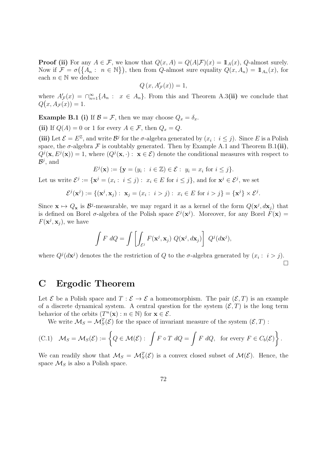**Proof (ii)** For any  $A \in \mathcal{F}$ , we know that  $Q(x, A) = Q(A|\mathcal{F})(x) = 1\!\!1_{A}(x)$ , Q-almost surely. Now if  $\mathcal{F} = \sigma(\lbrace A_n : n \in \mathbb{N} \rbrace)$ , then from Q-almost sure equality  $Q(x, A_n) = \mathbb{1}_{A_n}(x)$ , for each  $n \in \mathbb{N}$  we deduce

$$
Q\left(x, A'_{\mathcal{F}}(x)\right) = 1,
$$

where  $A'_{\mathcal{F}}(x) = \bigcap_{n=1}^{\infty} \{A_n : x \in A_n\}.$  From this and Theorem A.3(ii) we conclude that  $Q(x, A_{\mathcal{F}}(x)) = 1.$ 

**Example B.1 (i)** If  $\mathcal{B} = \mathcal{F}$ , then we may choose  $Q_x = \delta_x$ .

(ii) If  $Q(A) = 0$  or 1 for every  $A \in \mathcal{F}$ , then  $Q_x = Q$ .

(iii) Let  $\mathcal{E} = E^{\mathbb{Z}}$ , and write  $\mathcal{B}^j$  for the  $\sigma$ -algebra generated by  $(x_i : i \leq j)$ . Since E is a Polish space, the  $\sigma$ -algebra  $\mathcal F$  is coubtably generated. Then by Example A.1 and Theorem B.1(ii),  $Q^j(\mathbf{x}, E^j(\mathbf{x})) = 1$ , where  $(Q^j(\mathbf{x}, \cdot) : \mathbf{x} \in \mathcal{E})$  denote the conditional measures with respect to  $\mathcal{B}^j$ , and

$$
E^j(\mathbf{x}) := \{ \mathbf{y} = (y_i : i \in \mathbb{Z}) \in \mathcal{E} : y_i = x_i \text{ for } i \leq j \}.
$$

Let us write  $\mathcal{E}^j := \{ \mathbf{x}^j = (x_i : i \le j) : x_i \in E \text{ for } i \le j \},\$ and for  $\mathbf{x}^j \in \mathcal{E}^j$ , we set

$$
\mathcal{E}^j(\mathbf{x}^j) := \{ (\mathbf{x}^j, \mathbf{x}_j) : \ \mathbf{x}_j = (x_i : \ i > j) : \ x_i \in E \text{ for } i > j \} = \{ \mathbf{x}^j \} \times \mathcal{E}^j.
$$

Since  $\mathbf{x} \mapsto Q_{\mathbf{x}}$  is  $\mathcal{B}^{j}$ -measurable, we may regard it as a kernel of the form  $Q(\mathbf{x}^{j}, d\mathbf{x}_{j})$  that is defined on Borel  $\sigma$ -algebra of the Polish space  $\mathcal{E}^j(\mathbf{x}^j)$ . Moreover, for any Borel  $F(\mathbf{x}) =$  $F(\mathbf{x}^j, \mathbf{x}_j)$ , we have

$$
\int F \ dQ = \int \left[ \int_{\mathcal{E}^j} F(\mathbf{x}^j, \mathbf{x}_j) \ Q(\mathbf{x}^j, d\mathbf{x}_j) \right] \ Q^j(d\mathbf{x}^j),
$$

where  $Q^{j}(d\mathbf{x}^{j})$  denotes the the restriction of Q to the  $\sigma$ -algebra generated by  $(x_{i}: i > j)$ .  $\Box$ 

# C Ergodic Theorem

Let  $\mathcal E$  be a Polish space and  $T : \mathcal E \to \mathcal E$  a homeomorphism. The pair  $(\mathcal E, T)$  is an example of a discrete dynamical system. A central question for the system  $(\mathcal{E}, T)$  is the long term behavior of the orbits  $(T^n(\mathbf{x}) : n \in \mathbb{N})$  for  $\mathbf{x} \in \mathcal{E}$ .

We write  $\mathcal{M}_S = \mathcal{M}_S^T(\mathcal{E})$  for the space of invariant measure of the system  $(\mathcal{E}, T)$ :

(C.1) 
$$
\mathcal{M}_S = \mathcal{M}_S(\mathcal{E}) := \left\{ Q \in \mathcal{M}(\mathcal{E}) : \int F \circ T \ dQ = \int F \ dQ, \text{ for every } F \in C_b(\mathcal{E}) \right\}.
$$

We can readily show that  $\mathcal{M}_S = \mathcal{M}_S^T(\mathcal{E})$  is a convex closed subset of  $\mathcal{M}(\mathcal{E})$ . Hence, the space  $\mathcal{M}_S$  is also a Polish space.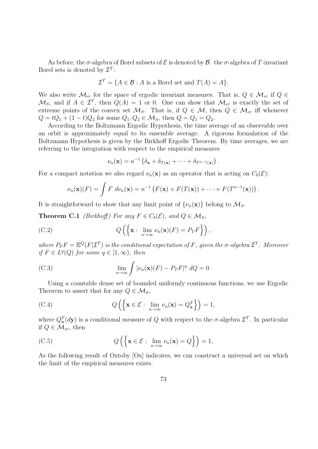As before, the  $\sigma$ -algebra of Borel subsets of  $\mathcal E$  is denoted by  $\mathcal B$ , the  $\sigma$ -algebra of T-invariant Borel sets is denoted by  $\mathcal{I}^T$ :

$$
\mathcal{I}^T = \{ A \in \mathcal{B} : A \text{ is a Borel set and } T(A) = A \}.
$$

We also write  $\mathcal{M}_{er}$  for the space of ergodic invariant measures. That is,  $Q \in \mathcal{M}_{er}$  if  $Q \in$  $\mathcal{M}_S$ , and if  $A \in \mathcal{I}^T$ , then  $Q(A) = 1$  or 0. One can show that  $\mathcal{M}_{er}$  is exactly the set of extreme points of the convex set  $\mathcal{M}_S$ . That is, if  $Q \in \mathcal{M}$ , then  $Q \in \mathcal{M}_{er}$  iff whenever  $Q = tQ_1 + (1-t)Q_2$  for some  $Q_1, Q_2 \in \mathcal{M}_S$ , then  $Q = Q_1 = Q_2$ .

According to the Boltzmann Ergodic Hypothesis, the time average of an observable over an orbit is approximately equal to its ensemble average. A rigorous formulation of the Boltzmann Hypothesis is given by the Birkhoff Ergodic Theorem. By time averages, we are referring to the integration with respect to the empirical measures

$$
\nu_n(\mathbf{x}) = n^{-1} \left( \delta_{\mathbf{x}} + \delta_{T(\mathbf{x})} + \cdots + \delta_{T^{n-1}(\mathbf{x})} \right).
$$

For a compact notation we also regard  $\nu_n(\mathbf{x})$  as an operator that is acting on  $C_b(\mathcal{E})$ :

$$
\nu_n(\mathbf{x})(F) = \int F d\nu_n(\mathbf{x}) = n^{-1} \left( F(\mathbf{x}) + F(T(\mathbf{x})) + \cdots + F(T^{n-1}(\mathbf{x})) \right).
$$

It is straightforward to show that any limit point of  $\{\nu_n(\mathbf{x})\}$  belong to  $\mathcal{M}_S$ .

**Theorem C.1** (Birkhoff) For any  $F \in C_b(\mathcal{E})$ , and  $Q \in \mathcal{M}_S$ ,

(C.2) 
$$
Q\left(\left\{\mathbf{x}: \lim_{n\to\infty} \nu_n(\mathbf{x})(F) = P_T F\right\}\right),\,
$$

where  $P_T F = \mathbb{E}^Q(F | \mathcal{I}^T)$  is the conditional expectation of F, given the  $\sigma$ -algebra  $\mathcal{I}^T$ . Moreover if  $F \in L^q(Q)$  for some  $q \in [1,\infty)$ , then

(C.3) 
$$
\lim_{n \to \infty} \int |\nu_n(\mathbf{x})(F) - P_T F|^q \ dQ = 0.
$$

Using a countable dense set of bounded uniformly continuous functions, we use Ergodic Theorem to assert that for any  $Q \in \mathcal{M}_S$ ,

(C.4) 
$$
Q\left(\left\{\mathbf{x}\in\mathcal{E}: \lim_{n\to\infty} \nu_n(\mathbf{x})=Q_\mathbf{x}^T\right\}\right)=1,
$$

where  $Q_{\mathbf{x}}^{T}(d\mathbf{y})$  is a conditional measure of Q with respect to the  $\sigma$ -algebra  $\mathcal{I}^{T}$ . In particular if  $Q \in \mathcal{M}_{er}$ , then

(C.5) 
$$
Q\left(\left\{\mathbf{x}\in\mathcal{E}: \lim_{n\to\infty} \nu_n(\mathbf{x})=Q\right\}\right)=1,
$$

As the following result of Oxtoby  $[Ox]$  indicates, we can construct a universal set on which the limit of the empirical measures exists.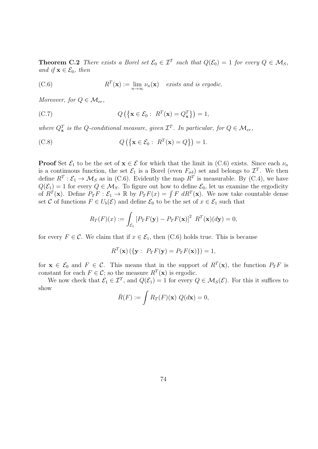**Theorem C.2** There exists a Borel set  $\mathcal{E}_0 \in \mathcal{I}^T$  such that  $Q(\mathcal{E}_0) = 1$  for every  $Q \in \mathcal{M}_S$ , and if  $\mathbf{x} \in \mathcal{E}_0$ , then

 $(C.6)$  $T(\mathbf{x}) := \lim_{n \to \infty} \nu_n(\mathbf{x})$  exists and is ergodic.

Moreover, for  $Q \in \mathcal{M}_{er}$ ,

(C.7) 
$$
Q\left(\left\{\mathbf{x}\in\mathcal{E}_0:\;R^T(\mathbf{x})=Q^T_{\mathbf{x}}\right\}\right)=1,
$$

where  $Q_x^T$  is the Q-conditional measure, given  $\mathcal{I}^T$ . In particular, for  $Q \in \mathcal{M}_{er}$ ,

(C.8) 
$$
Q\left(\left\{\mathbf{x}\in\mathcal{E}_0:\;R^T(\mathbf{x})=Q\right\}\right)=1.
$$

**Proof** Set  $\mathcal{E}_1$  to be the set of  $\mathbf{x} \in \mathcal{E}$  for which that the limit in (C.6) exists. Since each  $\nu_n$ is a continuous function, the set  $\mathcal{E}_1$  is a Borel (even  $F_{\sigma\delta}$ ) set and belongs to  $\mathcal{I}^T$ . We then define  $R^T: \mathcal{E}_1 \to \mathcal{M}_S$  as in (C.6). Evidently the map  $R^T$  is measurable. By (C.4), we have  $Q(\mathcal{E}_1) = 1$  for every  $Q \in \mathcal{M}_S$ . To figure out how to define  $\mathcal{E}_0$ , let us examine the ergodicity of  $R^T(\mathbf{x})$ . Define  $P_T F : \mathcal{E}_1 \to \mathbb{R}$  by  $P_T F(x) = \int F dR^T(\mathbf{x})$ . We now take countable dense set C of functions  $F \in U_b(\mathcal{E})$  and define  $\mathcal{E}_0$  to be the set of  $x \in \mathcal{E}_1$  such that

$$
R_T(F)(x) := \int_{\mathcal{E}_1} \left[ P_T F(\mathbf{y}) - P_T F(\mathbf{x}) \right]^2 \ R^T(\mathbf{x}) (d\mathbf{y}) = 0,
$$

for every  $F \in \mathcal{C}$ . We claim that if  $x \in \mathcal{E}_1$ , then (C.6) holds true. This is because

$$
R^T(\mathbf{x})\left(\{\mathbf{y}:\;P_TF(\mathbf{y})=P_TF(\mathbf{x})\}\right)=1,
$$

for  $\mathbf{x} \in \mathcal{E}_0$  and  $F \in \mathcal{C}$ . This means that in the support of  $R^T(\mathbf{x})$ , the function  $P_T F$  is constant for each  $F \in \mathcal{C}$ ; so the measure  $R^T(\mathbf{x})$  is ergodic.

We now check that  $\mathcal{E}_1 \in \mathcal{I}^T$ , and  $Q(\mathcal{E}_1) = 1$  for every  $Q \in \mathcal{M}_S(\mathcal{E})$ . For this it suffices to show

$$
\bar{R}(F) := \int R_T(F)(\mathbf{x}) Q(d\mathbf{x}) = 0,
$$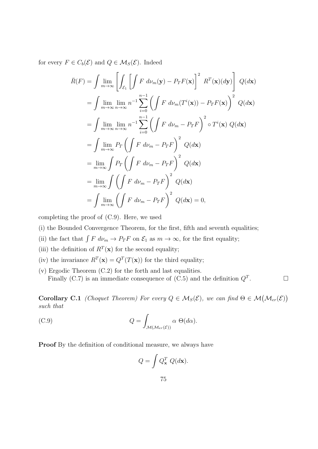for every  $F \in C_b(\mathcal{E})$  and  $Q \in \mathcal{M}_S(\mathcal{E})$ . Indeed

$$
\bar{R}(F) = \int \lim_{m \to \infty} \left[ \int_{\mathcal{E}_1} \left[ \int F d\nu_m(\mathbf{y}) - P_T F(\mathbf{x}) \right]^2 R^T(\mathbf{x}) (d\mathbf{y}) \right] Q(d\mathbf{x})
$$
  
\n
$$
= \int \lim_{m \to \infty} \lim_{n \to \infty} n^{-1} \sum_{i=0}^{n-1} \left( \int F d\nu_m(T^i(\mathbf{x})) - P_T F(\mathbf{x}) \right)^2 Q(d\mathbf{x})
$$
  
\n
$$
= \int \lim_{m \to \infty} \lim_{n \to \infty} n^{-1} \sum_{i=0}^{n-1} \left( \int F d\nu_m - P_T F \right)^2 \circ T^i(\mathbf{x}) Q(d\mathbf{x})
$$
  
\n
$$
= \int \lim_{m \to \infty} P_T \left( \int F d\nu_m - P_T F \right)^2 Q(d\mathbf{x})
$$
  
\n
$$
= \lim_{m \to \infty} \int P_T \left( \int F d\nu_m - P_T F \right)^2 Q(d\mathbf{x})
$$
  
\n
$$
= \lim_{m \to \infty} \int \left( \int F d\nu_m - P_T F \right)^2 Q(d\mathbf{x})
$$
  
\n
$$
= \int \lim_{m \to \infty} \left( \int F d\nu_m - P_T F \right)^2 Q(d\mathbf{x}) = 0,
$$

completing the proof of (C.9). Here, we used

- (i) the Bounded Convergence Theorem, for the first, fifth and seventh equalities;
- (ii) the fact that  $\int F d\nu_m \to P_T F$  on  $\mathcal{E}_1$  as  $m \to \infty$ , for the first equality;
- (iii) the definition of  $R^T(\mathbf{x})$  for the second equality;
- (iv) the invariance  $R^T(\mathbf{x}) = Q^T(T(\mathbf{x}))$  for the third equality;
- (v) Ergodic Theorem (C.2) for the forth and last equalities. Finally (C.7) is an immediate consequence of (C.5) and the definition  $Q<sup>T</sup>$ . .

**Corollary C.1** (Choquet Theorem) For every  $Q \in \mathcal{M}_S(\mathcal{E})$ , we can find  $\Theta \in \mathcal{M}(\mathcal{M}_{er}(\mathcal{E}))$ such that

(C.9) 
$$
Q = \int_{\mathcal{M}(\mathcal{M}_{er}(\mathcal{E}))} \alpha \Theta(d\alpha).
$$

Proof By the definition of conditional measure, we always have

$$
Q = \int Q_{\mathbf{x}}^T Q(d\mathbf{x}).
$$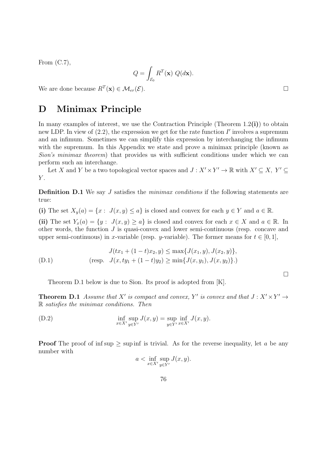From  $(C.7)$ ,

$$
Q = \int_{\mathcal{E}_0} R^T(\mathbf{x}) Q(d\mathbf{x}).
$$

We are done because  $R^T(\mathbf{x}) \in \mathcal{M}_{er}(\mathcal{E}).$ 

## D Minimax Principle

In many examples of interest, we use the Contraction Principle (Theorem  $1.2(i)$ ) to obtain new LDP. In view of  $(2.2)$ , the expression we get for the rate function  $I'$  involves a supremum and an infimum. Sometimes we can simplify this expression by interchanging the infimum with the supremum. In this Appendix we state and prove a minimax principle (known as Sion's minimax theorem) that provides us with sufficient conditions under which we can perform such an interchange.

Let X and Y be a two topological vector spaces and  $J: X' \times Y' \to \mathbb{R}$  with  $X' \subseteq X$ ,  $Y' \subseteq$  $Y$ .

**Definition D.1** We say J satisfies the *minimax conditions* if the following statements are true:

(i) The set  $X_y(a) = \{x : J(x, y) \leq a\}$  is closed and convex for each  $y \in Y$  and  $a \in \mathbb{R}$ .

(ii) The set  $Y_x(a) = \{y : J(x, y) \ge a\}$  is closed and convex for each  $x \in X$  and  $a \in \mathbb{R}$ . In other words, the function J is quasi-convex and lower semi-continuous (resp. concave and upper semi-continuous) in x-variable (resp. y-variable). The former means for  $t \in [0, 1]$ ,

$$
J(tx_1 + (1-t)x_2, y) \le \max\{J(x_1, y), J(x_2, y)\},
$$
  
(D.1) 
$$
(\text{resp. } J(x, ty_1 + (1-t)y_2) \ge \min\{J(x, y_1), J(x, y_2)\}).
$$

Theorem D.1 below is due to Sion. Its proof is adopted from [K].

**Theorem D.1** Assume that X' is compact and convex, Y' is convex and that  $J : X' \times Y' \rightarrow$ R satisfies the minimax conditions. Then

(D.2) 
$$
\inf_{x \in X'} \sup_{y \in Y'} J(x, y) = \sup_{y \in Y'} \inf_{x \in X'} J(x, y).
$$

**Proof** The proof of inf sup  $\geq$  sup inf is trivial. As for the reverse inequality, let a be any number with

$$
a < \inf_{x \in X'} \sup_{y \in Y'} J(x, y).
$$

 $\Box$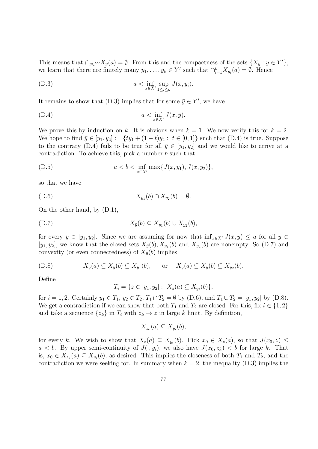This means that  $\bigcap_{y\in Y'} X_y(a) = \emptyset$ . From this and the compactness of the sets  $\{X_y : y \in Y'\},\$ we learn that there are finitely many  $y_1, \ldots, y_k \in Y'$  such that  $\bigcap_{i=1}^k X_{y_i}(a) = \emptyset$ . Hence

(D.3) 
$$
a < \inf_{x \in X'} \sup_{1 \le i \le k} J(x, y_i).
$$

It remains to show that (D.3) implies that for some  $\bar{y} \in Y'$ , we have

$$
(D.4) \t\t a < \inf_{x \in X'} J(x, \bar{y}).
$$

We prove this by induction on k. It is obvious when  $k = 1$ . We now verify this for  $k = 2$ . We hope to find  $\bar{y} \in [y_1, y_2] := \{ty_1 + (1-t)y_2 : t \in [0,1]\}\$  such that  $(D.4)$  is true. Suppose to the contrary (D.4) fails to be true for all  $\bar{y} \in [y_1, y_2]$  and we would like to arrive at a contradiction. To achieve this, pick a number b such that

(D.5) 
$$
a < b < \inf_{x \in X'} \max\{J(x, y_1), J(x, y_2)\},\
$$

so that we have

(D.6) 
$$
X_{y_1}(b) \cap X_{y_2}(b) = \emptyset.
$$

On the other hand, by (D.1),

$$
(D.7) \t\t X_{\bar{y}}(b) \subseteq X_{y_1}(b) \cup X_{y_2}(b),
$$

for every  $\bar{y} \in [y_1, y_2]$ . Since we are assuming for now that  $\inf_{x \in X'} J(x, \bar{y}) \leq a$  for all  $\bar{y} \in$ [y<sub>1</sub>, y<sub>2</sub>], we know that the closed sets  $X_{\bar{y}}(b)$ ,  $X_{y_1}(b)$  and  $X_{y_2}(b)$  are nonempty. So (D.7) and convexity (or even connectedness) of  $X_{\bar{y}}(b)$  implies

(D.8) 
$$
X_{\bar{y}}(a) \subseteq X_{\bar{y}}(b) \subseteq X_{y_1}(b)
$$
, or  $X_{\bar{y}}(a) \subseteq X_{\bar{y}}(b) \subseteq X_{y_2}(b)$ .

Define

$$
T_i = \{ z \in [y_1, y_2] : X_z(a) \subseteq X_{y_i}(b) \},
$$

for  $i = 1, 2$ . Certainly  $y_1 \in T_1$ ,  $y_2 \in T_2$ ,  $T_1 \cap T_2 = \emptyset$  by (D.6), and  $T_1 \cup T_2 = [y_1, y_2]$  by (D.8). We get a contradiction if we can show that both  $T_1$  and  $T_2$  are closed. For this, fix  $i \in \{1,2\}$ and take a sequence  $\{z_k\}$  in  $T_i$  with  $z_k \to z$  in large k limit. By definition,

$$
X_{z_k}(a) \subseteq X_{y_i}(b),
$$

for every k. We wish to show that  $X_z(a) \subseteq X_{y_i}(b)$ . Pick  $x_0 \in X_z(a)$ , so that  $J(x_0, z) \leq$  $a < b$ . By upper semi-continuity of  $J(\cdot, y_i)$ , we also have  $J(x_0, z_k) < b$  for large k. That is,  $x_0 \in X_{z_k}(a) \subseteq X_{y_i}(b)$ , as desired. This implies the closeness of both  $T_1$  and  $T_2$ , and the contradiction we were seeking for. In summary when  $k = 2$ , the inequality (D.3) implies the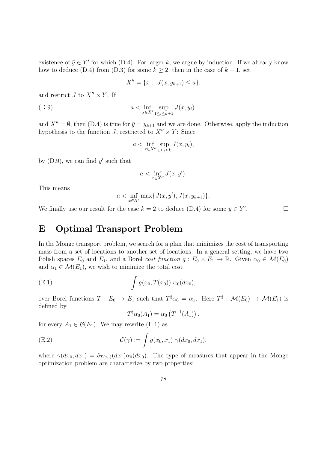existence of  $\bar{y} \in Y'$  for which (D.4). For larger k, we argue by induction. If we already know how to deduce (D.4) from (D.3) for some  $k \geq 2$ , then in the case of  $k + 1$ , set

$$
X'' = \{x : J(x, y_{k+1}) \le a\}.
$$

and restrict  $J$  to  $X'' \times Y$ . If

(D.9) 
$$
a < \inf_{x \in X'} \sup_{1 \le i \le k+1} J(x, y_i).
$$

and  $X'' = \emptyset$ , then (D.4) is true for  $\bar{y} = y_{k+1}$  and we are done. Otherwise, apply the induction hypothesis to the function J, restricted to  $X'' \times Y$ : Since

$$
a < \inf_{x \in X''} \sup_{1 \le i \le k} J(x, y_i),
$$

by  $(D.9)$ , we can find  $y'$  such that

$$
a < \inf_{x \in X''} J(x, y').
$$

This means

$$
a < \inf_{x \in X'} \max\{J(x, y'), J(x, y_{k+1})\}.
$$

We finally use our result for the case  $k = 2$  to deduce (D.4) for some  $\bar{y} \in Y'$ . — Первый простав и простав и простав и простав и простав и простав и простав и простав и простав и простав и<br>В село в село в село в село в село в село в село в село в село в село в село в село в село в село в село в сел

## E Optimal Transport Problem

In the Monge transport problem, we search for a plan that minimizes the cost of transporting mass from a set of locations to another set of locations. In a general setting, we have two Polish spaces  $E_0$  and  $E_1$ , and a Borel cost function  $g : E_0 \times E_1 \to \mathbb{R}$ . Given  $\alpha_0 \in \mathcal{M}(E_0)$ and  $\alpha_1 \in \mathcal{M}(E_1)$ , we wish to minimize the total cost

(E.1) 
$$
\int g(x_0, T(x_0)) \alpha_0(dx_0),
$$

over Borel functions  $T: E_0 \to E_1$  such that  $T^{\sharp} \alpha_0 = \alpha_1$ . Here  $T^{\sharp}: \mathcal{M}(E_0) \to \mathcal{M}(E_1)$  is defined by

$$
T^{\sharp}\alpha_0(A_1) = \alpha_0 \left( T^{-1}(A_1) \right),
$$

for every  $A_1 \in \mathcal{B}(E_1)$ . We may rewrite (E.1) as

(E.2) 
$$
\mathcal{C}(\gamma) := \int g(x_0, x_1) \ \gamma(dx_0, dx_1),
$$

where  $\gamma(dx_0, dx_1) = \delta_{T(x_0)}(dx_1)\alpha_0(dx_0)$ . The type of measures that appear in the Monge optimization problem are characterize by two properties: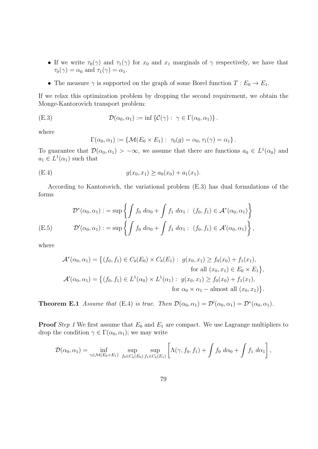- If we write  $\tau_0(\gamma)$  and  $\tau_1(\gamma)$  for  $x_0$  and  $x_1$  marginals of  $\gamma$  respectively, we have that  $\tau_0(\gamma) = \alpha_0$  and  $\tau_1(\gamma) = \alpha_1$ .
- The measure  $\gamma$  is supported on the graph of some Borel function  $T: E_0 \to E_1$ .

If we relax this optimization problem by dropping the second requirement, we obtain the Monge-Kantorovich transport problem:

(E.3) 
$$
\mathcal{D}(\alpha_0, \alpha_1) := \inf \{ \mathcal{C}(\gamma) : \ \gamma \in \Gamma(\alpha_0, \alpha_1) \}.
$$

where

$$
\Gamma(\alpha_0,\alpha_1):=\left\{\mathcal{M}(E_0\times E_1): \ \tau_0(g)=\alpha_0, \tau_1(\gamma)=\alpha_1\right\}.
$$

To guarantee that  $\mathcal{D}(\alpha_0, \alpha_1) > -\infty$ , we assume that there are functions  $a_0 \in L^1(\alpha_0)$  and  $a_1 \in L^1(\alpha_1)$  such that

(E.4) 
$$
g(x_0, x_1) \ge a_0(x_0) + a_1(x_1).
$$

According to Kantorovich, the variational problem (E.3) has dual formulations of the forms

$$
\mathcal{D}^*(\alpha_0, \alpha_1) := \sup \left\{ \int f_0 \, d\alpha_0 + \int f_1 \, d\alpha_1 : (f_0, f_1) \in \mathcal{A}^*(\alpha_0, \alpha_1) \right\}
$$
\n(E.5) 
$$
\mathcal{D}'(\alpha_0, \alpha_1) := \sup \left\{ \int f_0 \, d\alpha_0 + \int f_1 \, d\alpha_1 : (f_0, f_1) \in \mathcal{A}'(\alpha_0, \alpha_1) \right\},
$$

where

$$
\mathcal{A}^*(\alpha_0, \alpha_1) = \left\{ (f_0, f_1) \in C_b(E_0) \times C_b(E_1) : g(x_0, x_1) \ge f_0(x_0) + f_1(x_1),
$$
  
for all  $(x_0, x_1) \in E_0 \times E_1 \right\},$   

$$
\mathcal{A}'(\alpha_0, \alpha_1) = \left\{ (f_0, f_1) \in L^1(\alpha_0) \times L^1(\alpha_1) : g(x_0, x_1) \ge f_0(x_0) + f_1(x_1),
$$
  
for  $\alpha_0 \times \alpha_1$  – almost all  $(x_0, x_1) \right\}.$ 

**Theorem E.1** Assume that (E.4) is true. Then  $\mathcal{D}(\alpha_0, \alpha_1) = \mathcal{D}'(\alpha_0, \alpha_1) = \mathcal{D}^*(\alpha_0, \alpha_1)$ .

**Proof** Step 1 We first assume that  $E_0$  and  $E_1$  are compact. We use Lagrange multipliers to drop the condition  $\gamma \in \Gamma(\alpha_0, \alpha_1)$ ; we may write

$$
\mathcal{D}(\alpha_0, \alpha_1) = \inf_{\gamma \in \mathcal{M}(E_0 \times E_1)} \sup_{f_0 \in C_b(E_0)} \sup_{f_1 \in C_b(E_1)} \left[ \Lambda(\gamma, f_0, f_1) + \int f_0 \, d\alpha_0 + \int f_1 \, d\alpha_1 \right],
$$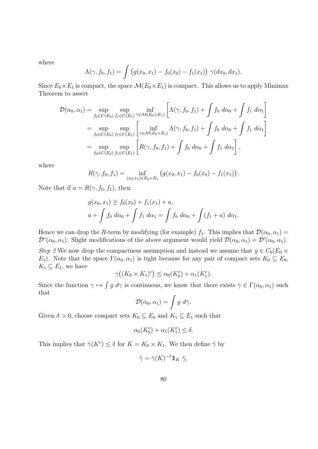where

$$
\Lambda(\gamma, f_0, f_1) = \int \big(g(x_0, x_1) - f_0(x_0) - f_1(x_1)\big) \, \gamma(dx_0, dx_1).
$$

Since  $E_0 \times E_1$  is compact, the space  $\mathcal{M}(E_0 \times E_1)$  is compact. This allows us to apply Minimax Theorem to assert

$$
\mathcal{D}(\alpha_0, \alpha_1) = \sup_{f_0 \in C(E_0)} \sup_{f_1 \in C(E_1)} \inf_{\gamma \in \mathcal{M}(E_0 \times E_1)} \left[ \Lambda(\gamma, f_0, f_1) + \int f_0 \, d\alpha_0 + \int f_1 \, d\alpha_1 \right]
$$
  
\n
$$
= \sup_{f_0 \in C(E_0)} \sup_{f_1 \in C(E_1)} \left[ \inf_{\gamma \in \mathcal{M}(E_0 \times E_1)} \Lambda(\gamma, f_0, f_1) + \int f_0 \, d\alpha_0 + \int f_1 \, d\alpha_1 \right]
$$
  
\n
$$
= \sup_{f_0 \in C(E_0)} \sup_{f_1 \in C(E_1)} \left[ R(\gamma, f_0, f_1) + \int f_0 \, d\alpha_0 + \int f_1 \, d\alpha_1 \right],
$$

where

$$
R(\gamma, f_0, f_1) = \inf_{(x_0, x_1) \in E_0 \times E_1} \big(g(x_0, x_1) - f_0(x_0) - f_1(x_1)\big).
$$

Note that if  $a = R(\gamma, f_0, f_1)$ , then

$$
g(x_0, x_1) \ge f_0(x_0) + f_1(x_1) + a,
$$
  
\n
$$
a + \int f_0 \, d\alpha_0 + \int f_1 \, d\alpha_1 = \int f_0 \, d\alpha_0 + \int (f_1 + a) \, d\alpha_1.
$$

Hence we can drop the R-term by modifying (for example)  $f_1$ . This implies that  $\mathcal{D}(\alpha_0, \alpha_1)$  =  $\mathcal{D}^*(\alpha_0, \alpha_1)$ . Slight modifications of the above argument would yield  $\mathcal{D}(\alpha_0, \alpha_1) = \mathcal{D}'(\alpha_0, \alpha_1)$ .

Step 2 We now drop the compactness assumption and instead we assume that  $g \in C_b(E_0 \times$ E<sub>1</sub>). Note that the space  $\Gamma(\alpha_0, \alpha_1)$  is tight because for any pair of compact sets  $K_0 \subseteq E_0$ ,  $K_1 \subseteq E_1$ , we have

$$
\gamma\big((K_0 \times K_1)^c\big) \le \alpha_0(K_0^c) + \alpha_1(K_1^c).
$$

Since the function  $\gamma \mapsto \int g \ d\gamma$  is continuous, we know that there exists  $\bar{\gamma} \in \Gamma(\alpha_0, \alpha_1)$  such that

$$
\mathcal{D}(\alpha_0,\alpha_1)=\int g\ d\bar\gamma.
$$

Given  $\delta > 0$ , choose compact sets  $K_0 \subseteq E_0$  and  $K_1 \subseteq E_1$  such that

$$
\alpha_0(K_0^c) + \alpha_1(K_1^c) \le \delta.
$$

This implies that  $\bar{\gamma}(K^c) \leq \delta$  for  $K = K_0 \times K_1$ . We then define  $\hat{\gamma}$  by

$$
\hat{\gamma} = \bar{\gamma}(K)^{-1} \mathbb{1}_K \bar{\gamma},
$$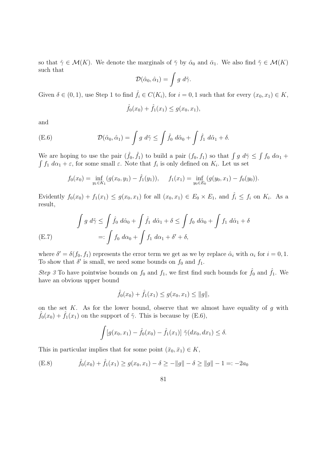so that  $\hat{\gamma} \in \mathcal{M}(K)$ . We denote the marginals of  $\bar{\gamma}$  by  $\hat{\alpha}_0$  and  $\bar{\alpha}_1$ . We also find  $\tilde{\gamma} \in \mathcal{M}(K)$ such that

$$
\mathcal{D}(\hat{\alpha}_0, \hat{\alpha}_1) = \int g \ d\tilde{\gamma}.
$$

Given  $\delta \in (0,1)$ , use Step 1 to find  $\hat{f}_i \in C(K_i)$ , for  $i = 0,1$  such that for every  $(x_0, x_1) \in K$ ,

$$
\hat{f}_0(x_0) + \hat{f}_1(x_1) \le g(x_0, x_1),
$$

and

(E.6) 
$$
\mathcal{D}(\hat{\alpha}_0, \hat{\alpha}_1) = \int g \ d\tilde{\gamma} \leq \int \hat{f}_0 \ d\hat{\alpha}_0 + \int \hat{f}_1 \ d\hat{\alpha}_1 + \delta.
$$

We are hoping to use the pair  $(\hat{f}_0, \hat{f}_1)$  to build a pair  $(f_0, f_1)$  so that  $\int g d\bar{\gamma} \leq \int f_0 d\alpha_1 +$  $\int f_1 d\alpha_1 + \varepsilon$ , for some small  $\varepsilon$ . Note that  $f_i$  is only defined on  $K_i$ . Let us set

$$
f_0(x_0) = \inf_{y_1 \in K_1} (g(x_0, y_1) - \hat{f}_1(y_1)), \quad f_1(x_1) = \inf_{y_0 \in E_0} (g(y_0, x_1) - f_0(y_0)).
$$

Evidently  $f_0(x_0) + f_1(x_1) \leq g(x_0, x_1)$  for all  $(x_0, x_1) \in E_0 \times E_1$ , and  $\hat{f}_i \leq f_i$  on  $K_i$ . As a result,

$$
\int g \ d\tilde{\gamma} \le \int \hat{f}_0 \ d\hat{\alpha}_0 + \int \hat{f}_1 \ d\hat{\alpha}_1 + \delta \le \int f_0 \ d\hat{\alpha}_0 + \int f_1 \ d\hat{\alpha}_1 + \delta
$$
\n(E.7)\n
$$
=:\int f_0 \ d\alpha_0 + \int f_1 \ d\alpha_1 + \delta' + \delta,
$$

where  $\delta' = \delta(f_0, f_1)$  represents the error term we get as we by replace  $\hat{\alpha}_i$  with  $\alpha_i$  for  $i = 0, 1$ . To show that  $\delta'$  is small, we need some bounds on  $f_0$  and  $f_1$ .

Step 3 To have pointwise bounds on  $f_0$  and  $f_1$ , we first find such bounds for  $\hat{f}_0$  and  $\hat{f}_1$ . We have an obvious upper bound

$$
\hat{f}_0(x_0) + \hat{f}_1(x_1) \le g(x_0, x_1) \le ||g||,
$$

on the set  $K$ . As for the lower bound, observe that we almost have equality of  $g$  with  $\hat{f}_0(x_0) + \hat{f}_1(x_1)$  on the support of  $\tilde{\gamma}$ . This is because by (E.6),

$$
\int [g(x_0, x_1) - \hat{f}_0(x_0) - \hat{f}_1(x_1)] \tilde{\gamma}(dx_0, dx_1) \le \delta.
$$

This in particular implies that for some point  $(\bar{x}_0, \bar{x}_1) \in K$ ,

(E.8) 
$$
\hat{f}_0(x_0) + \hat{f}_1(x_1) \ge g(x_0, x_1) - \delta \ge -\|g\| - \delta \ge \|g\| - 1 =: -2a_0
$$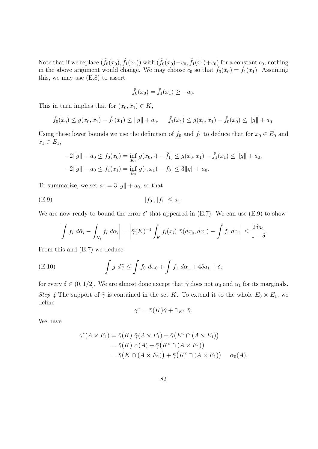Note that if we replace  $(\hat{f}_0(x_0), \hat{f}_1(x_1))$  with  $(\hat{f}_0(x_0) - c_0, \hat{f}_1(x_1) + c_0)$  for a constant  $c_0$ , nothing in the above argument would change. We may choose  $c_0$  so that  $\hat{f}_0(\bar{x}_0) = \hat{f}_1(\bar{x}_1)$ . Assuming this, we may use (E.8) to assert

$$
\hat{f}_0(\bar{x}_0) = \hat{f}_1(\bar{x}_1) \ge -a_0.
$$

This in turn implies that for  $(x_0, x_1) \in K$ ,

$$
\hat{f}_0(x_0) \le g(x_0, \bar{x}_1) - \hat{f}_1(\bar{x}_1) \le ||g|| + a_0, \quad \hat{f}_1(x_1) \le g(\bar{x}_0, x_1) - \hat{f}_0(\bar{x}_0) \le ||g|| + a_0.
$$

Using these lower bounds we use the definition of  $f_0$  and  $f_1$  to deduce that for  $x_0 \in E_0$  and  $x_1 \in E_1$ ,

$$
-2||g|| - a_0 \le f_0(x_0) = \inf_{K_1} [g(x_0, \cdot) - \hat{f}_1] \le g(x_0, \bar{x}_1) - \hat{f}_1(\bar{x}_1) \le ||g|| + a_0,
$$
  

$$
-2||g|| - a_0 \le f_1(x_1) = \inf_{E_0} [g(\cdot, x_1) - f_0] \le 3||g|| + a_0.
$$

To summarize, we set  $a_1 = 3||g|| + a_0$ , so that

(E.9) 
$$
|f_0|, |f_1| \le a_1
$$
.

We are now ready to bound the error  $\delta'$  that appeared in (E.7). We can use (E.9) to show

$$
\left| \int f_i \ d\hat{\alpha}_i - \int_{K_i} f_i \ d\alpha_i \right| = \left| \bar{\gamma}(K)^{-1} \int_K f_i(x_i) \ \bar{\gamma}(dx_0, dx_1) - \int f_i \ d\alpha_i \right| \leq \frac{2\delta a_1}{1 - \delta}.
$$

From this and (E.7) we deduce

(E.10) 
$$
\int g \ d\tilde{\gamma} \leq \int f_0 \ d\alpha_0 + \int f_1 \ d\alpha_1 + 4\delta a_1 + \delta,
$$

for every  $\delta \in (0, 1/2]$ . We are almost done except that  $\tilde{\gamma}$  does not  $\alpha_0$  and  $\alpha_1$  for its marginals. Step 4 The support of  $\tilde{\gamma}$  is contained in the set K. To extend it to the whole  $E_0 \times E_1$ , we define

$$
\gamma^* = \bar{\gamma}(K)\tilde{\gamma} + \mathbb{1}_{K^c} \bar{\gamma}.
$$

We have

$$
\gamma^*(A \times E_1) = \overline{\gamma}(K) \tilde{\gamma}(A \times E_1) + \overline{\gamma}(K^c \cap (A \times E_1))
$$
  
=  $\overline{\gamma}(K) \hat{\alpha}(A) + \overline{\gamma}(K^c \cap (A \times E_1))$   
=  $\overline{\gamma}(K \cap (A \times E_1)) + \overline{\gamma}(K^c \cap (A \times E_1)) = \alpha_0(A).$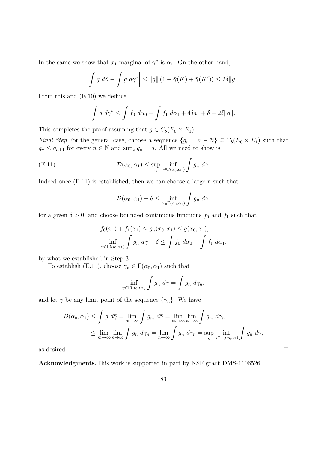In the same we show that  $x_1$ -marginal of  $\gamma^*$  is  $\alpha_1$ . On the other hand,

$$
\left| \int g \ d\tilde{\gamma} - \int g \ d\gamma^* \right| \leq \|g\| \left( 1 - \bar{\gamma}(K) + \bar{\gamma}(K^c) \right) \leq 2\delta \|g\|.
$$

From this and (E.10) we deduce

$$
\int g\ d\gamma^* \leq \int f_0\ d\alpha_0 + \int f_1\ d\alpha_1 + 4\delta a_1 + \delta + 2\delta \|g\|.
$$

This completes the proof assuming that  $g \in C_b(E_0 \times E_1)$ .

Final Step For the general case, choose a sequence  $\{g_n: n \in \mathbb{N}\}\subseteq C_b(E_0 \times E_1)$  such that  $g_n \leq g_{n+1}$  for every  $n \in \mathbb{N}$  and  $\sup_n g_n = g$ . All we need to show is

(E.11) 
$$
\mathcal{D}(\alpha_0, \alpha_1) \leq \sup_n \inf_{\gamma \in \Gamma(\alpha_0, \alpha_1)} \int g_n \ d\gamma.
$$

Indeed once  $(E.11)$  is established, then we can choose a large n such that

$$
\mathcal{D}(\alpha_0, \alpha_1) - \delta \le \inf_{\gamma \in \Gamma(\alpha_0, \alpha_1)} \int g_n \ d\gamma,
$$

for a given  $\delta > 0$ , and choose bounded continuous functions  $f_0$  and  $f_1$  such that

$$
f_0(x_1) + f_1(x_1) \le g_n(x_0, x_1) \le g(x_0, x_1),
$$
  
 
$$
\inf_{\gamma \in \Gamma(\alpha_0, \alpha_1)} \int g_n \ d\gamma - \delta \le \int f_0 \ d\alpha_0 + \int f_1 \ d\alpha_1,
$$

by what we established in Step 3.

To establish (E.11), choose  $\gamma_n \in \Gamma(\alpha_0, \alpha_1)$  such that

$$
\inf_{\gamma \in \Gamma(\alpha_0, \alpha_1)} \int g_n \ d\gamma = \int g_n \ d\gamma_n,
$$

and let  $\bar{\gamma}$  be any limit point of the sequence  $\{\gamma_n\}$ . We have

$$
\mathcal{D}(\alpha_0, \alpha_1) \leq \int g \ d\bar{\gamma} = \lim_{m \to \infty} \int g_m \ d\bar{\gamma} = \lim_{m \to \infty} \lim_{n \to \infty} \int g_m \ d\gamma_n
$$
  

$$
\leq \lim_{m \to \infty} \lim_{n \to \infty} \int g_n \ d\gamma_n = \lim_{n \to \infty} \int g_n \ d\gamma_n = \sup_{n} \inf_{\gamma \in \Gamma(\alpha_0, \alpha_1)} \int g_n \ d\gamma,
$$

as desired.  $\square$ 

Acknowledgments.This work is supported in part by NSF grant DMS-1106526.